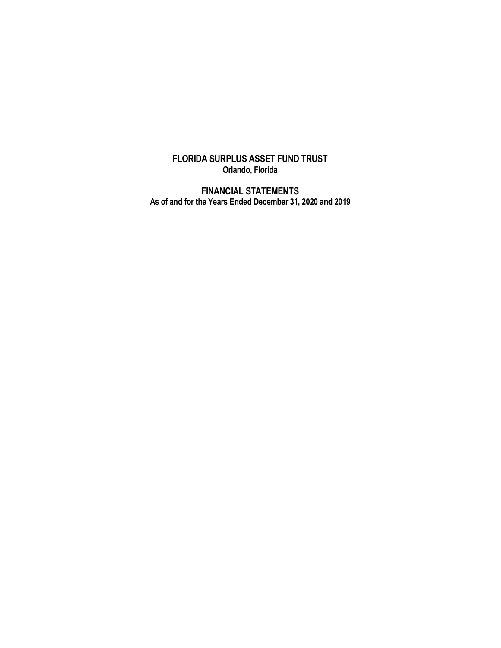## **FLORIDA SURPLUS ASSET FUND TRUST Orlando, Florida**

**FINANCIAL STATEMENTS As of and for the Years Ended December 31, 2020 and 2019**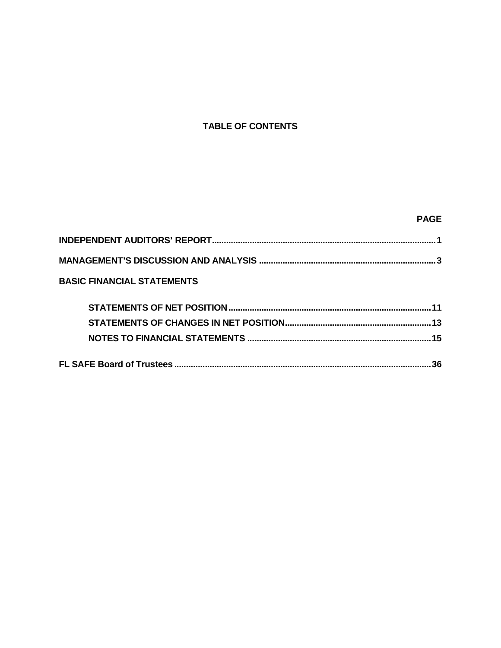# **TABLE OF CONTENTS**

# **PAGE**

| <b>BASIC FINANCIAL STATEMENTS</b> |     |
|-----------------------------------|-----|
|                                   |     |
|                                   |     |
|                                   |     |
|                                   | .36 |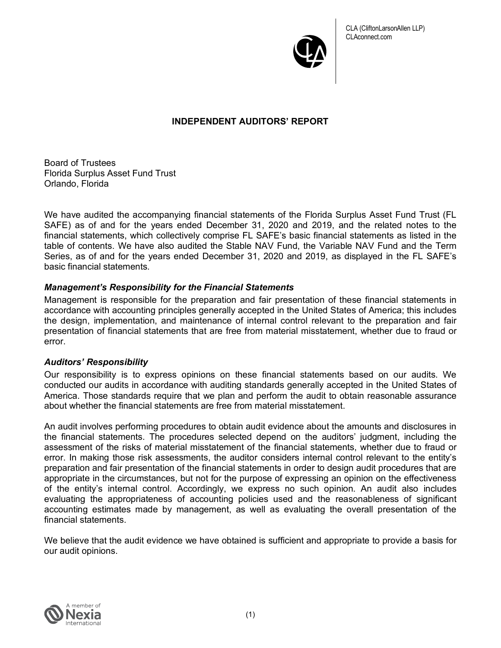

## **INDEPENDENT AUDITORS' REPORT**

Board of Trustees Florida Surplus Asset Fund Trust Orlando, Florida

We have audited the accompanying financial statements of the Florida Surplus Asset Fund Trust (FL SAFE) as of and for the years ended December 31, 2020 and 2019, and the related notes to the financial statements, which collectively comprise FL SAFE's basic financial statements as listed in the table of contents. We have also audited the Stable NAV Fund, the Variable NAV Fund and the Term Series, as of and for the years ended December 31, 2020 and 2019, as displayed in the FL SAFE's basic financial statements.

## *Management's Responsibility for the Financial Statements*

Management is responsible for the preparation and fair presentation of these financial statements in accordance with accounting principles generally accepted in the United States of America; this includes the design, implementation, and maintenance of internal control relevant to the preparation and fair presentation of financial statements that are free from material misstatement, whether due to fraud or error.

### *Auditors' Responsibility*

Our responsibility is to express opinions on these financial statements based on our audits. We conducted our audits in accordance with auditing standards generally accepted in the United States of America. Those standards require that we plan and perform the audit to obtain reasonable assurance about whether the financial statements are free from material misstatement.

An audit involves performing procedures to obtain audit evidence about the amounts and disclosures in the financial statements. The procedures selected depend on the auditors' judgment, including the assessment of the risks of material misstatement of the financial statements, whether due to fraud or error. In making those risk assessments, the auditor considers internal control relevant to the entity's preparation and fair presentation of the financial statements in order to design audit procedures that are appropriate in the circumstances, but not for the purpose of expressing an opinion on the effectiveness of the entity's internal control. Accordingly, we express no such opinion. An audit also includes evaluating the appropriateness of accounting policies used and the reasonableness of significant accounting estimates made by management, as well as evaluating the overall presentation of the financial statements.

We believe that the audit evidence we have obtained is sufficient and appropriate to provide a basis for our audit opinions.

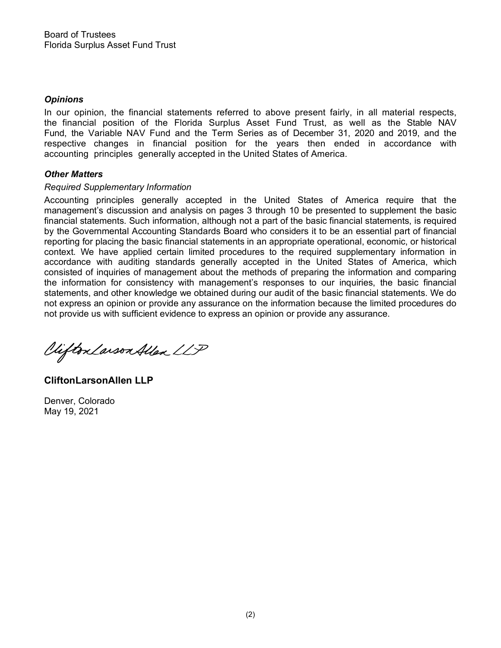### *Opinions*

In our opinion, the financial statements referred to above present fairly, in all material respects, the financial position of the Florida Surplus Asset Fund Trust, as well as the Stable NAV Fund, the Variable NAV Fund and the Term Series as of December 31, 2020 and 2019, and the respective changes in financial position for the years then ended in accordance with accounting principles generally accepted in the United States of America.

## *Other Matters*

### *Required Supplementary Information*

Accounting principles generally accepted in the United States of America require that the management's discussion and analysis on pages 3 through 10 be presented to supplement the basic financial statements. Such information, although not a part of the basic financial statements, is required by the Governmental Accounting Standards Board who considers it to be an essential part of financial reporting for placing the basic financial statements in an appropriate operational, economic, or historical context. We have applied certain limited procedures to the required supplementary information in accordance with auditing standards generally accepted in the United States of America, which consisted of inquiries of management about the methods of preparing the information and comparing the information for consistency with management's responses to our inquiries, the basic financial statements, and other knowledge we obtained during our audit of the basic financial statements. We do not express an opinion or provide any assurance on the information because the limited procedures do not provide us with sufficient evidence to express an opinion or provide any assurance.

Vifton Larson Allen LLP

**CliftonLarsonAllen LLP**

Denver, Colorado May 19, 2021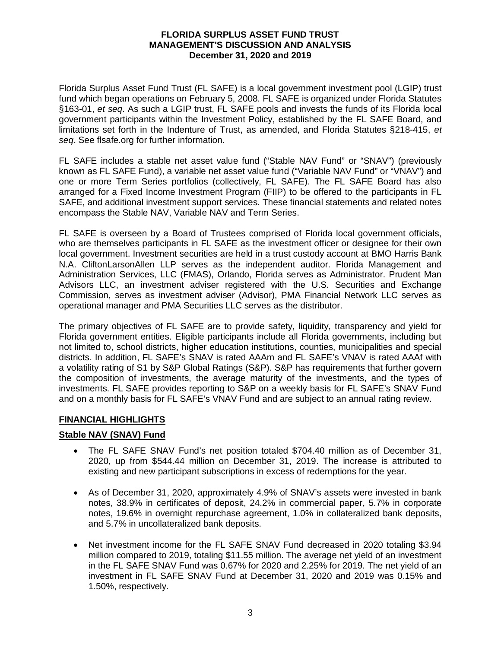Florida Surplus Asset Fund Trust (FL SAFE) is a local government investment pool (LGIP) trust fund which began operations on February 5, 2008. FL SAFE is organized under Florida Statutes §163-01, et seq. As such a LGIP trust, FL SAFE pools and invests the funds of its Florida local government participants within the Investment Policy, established by the FL SAFE Board, and limitations set forth in the Indenture of Trust, as amended, and Florida Statutes §218-415, et seq. See flsafe.org for further information.

FL SAFE includes a stable net asset value fund ("Stable NAV Fund" or "SNAV") (previously known as FL SAFE Fund), a variable net asset value fund ("Variable NAV Fund" or "VNAV") and one or more Term Series portfolios (collectively, FL SAFE). The FL SAFE Board has also arranged for a Fixed Income Investment Program (FIIP) to be offered to the participants in FL SAFE, and additional investment support services. These financial statements and related notes encompass the Stable NAV, Variable NAV and Term Series.

FL SAFE is overseen by a Board of Trustees comprised of Florida local government officials, who are themselves participants in FL SAFE as the investment officer or designee for their own local government. Investment securities are held in a trust custody account at BMO Harris Bank N.A. CliftonLarsonAllen LLP serves as the independent auditor. Florida Management and Administration Services, LLC (FMAS), Orlando, Florida serves as Administrator. Prudent Man Advisors LLC, an investment adviser registered with the U.S. Securities and Exchange Commission, serves as investment adviser (Advisor), PMA Financial Network LLC serves as operational manager and PMA Securities LLC serves as the distributor.

The primary objectives of FL SAFE are to provide safety, liquidity, transparency and yield for Florida government entities. Eligible participants include all Florida governments, including but not limited to, school districts, higher education institutions, counties, municipalities and special districts. In addition, FL SAFE's SNAV is rated AAAm and FL SAFE's VNAV is rated AAAf with a volatility rating of S1 by S&P Global Ratings (S&P). S&P has requirements that further govern the composition of investments, the average maturity of the investments, and the types of investments. FL SAFE provides reporting to S&P on a weekly basis for FL SAFE's SNAV Fund and on a monthly basis for FL SAFE's VNAV Fund and are subject to an annual rating review.

## **FINANCIAL HIGHLIGHTS**

## **Stable NAV (SNAV) Fund**

- � The FL SAFE SNAV Fund's net position totaled \$704.40 million as of December 31, 2020, up from \$544.44 million on December 31, 2019. The increase is attributed to existing and new participant subscriptions in excess of redemptions for the year.
- � As of December 31, 2020, approximately 4.9% of SNAV's assets were invested in bank notes, 38.9% in certificates of deposit, 24.2% in commercial paper, 5.7% in corporate notes, 19.6% in overnight repurchase agreement, 1.0% in collateralized bank deposits, and 5.7% in uncollateralized bank deposits.
- Net investment income for the FL SAFE SNAV Fund decreased in 2020 totaling \$3.94 million compared to 2019, totaling \$11.55 million. The average net yield of an investment in the FL SAFE SNAV Fund was 0.67% for 2020 and 2.25% for 2019. The net yield of an investment in FL SAFE SNAV Fund at December 31, 2020 and 2019 was 0.15% and 1.50%, respectively.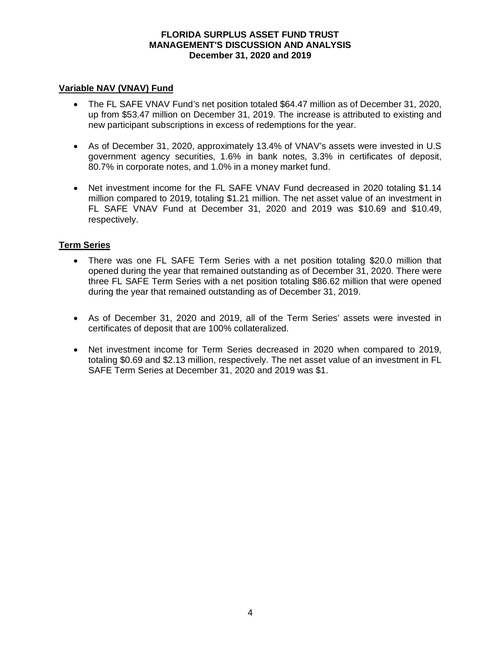### **Variable NAV (VNAV) Fund**

- � The FL SAFE VNAV Fund's net position totaled \$64.47 million as of December 31, 2020, up from \$53.47 million on December 31, 2019. The increase is attributed to existing and new participant subscriptions in excess of redemptions for the year.
- � As of December 31, 2020, approximately 13.4% of VNAV's assets were invested in U.S government agency securities, 1.6% in bank notes, 3.3% in certificates of deposit, 80.7% in corporate notes, and 1.0% in a money market fund.
- Net investment income for the FL SAFE VNAV Fund decreased in 2020 totaling \$1.14 million compared to 2019, totaling \$1.21 million. The net asset value of an investment in FL SAFE VNAV Fund at December 31, 2020 and 2019 was \$10.69 and \$10.49, respectively.

## **Term Series**

- � There was one FL SAFE Term Series with a net position totaling \$20.0 million that opened during the year that remained outstanding as of December 31, 2020. There were three FL SAFE Term Series with a net position totaling \$86.62 million that were opened during the year that remained outstanding as of December 31, 2019.
- � As of December 31, 2020 and 2019, all of the Term Series' assets were invested in certificates of deposit that are 100% collateralized.
- � Net investment income for Term Series decreased in 2020 when compared to 2019, totaling \$0.69 and \$2.13 million, respectively. The net asset value of an investment in FL SAFE Term Series at December 31, 2020 and 2019 was \$1.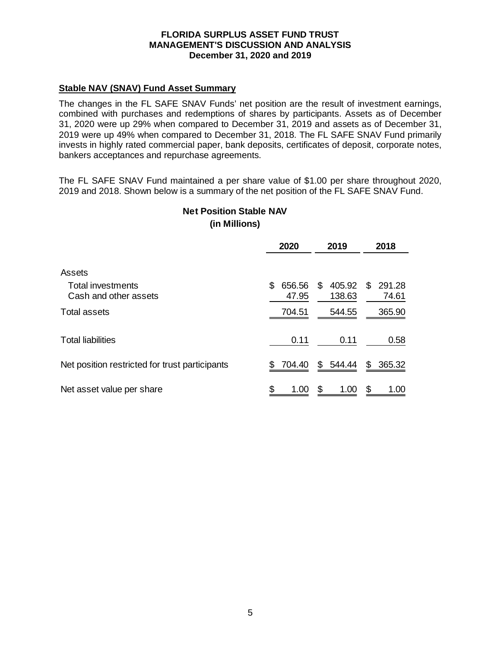## **Stable NAV (SNAV) Fund Asset Summary**

The changes in the FL SAFE SNAV Funds' net position are the result of investment earnings, combined with purchases and redemptions of shares by participants. Assets as of December 31, 2020 were up 29% when compared to December 31, 2019 and assets as of December 31, 2019 were up 49% when compared to December 31, 2018. The FL SAFE SNAV Fund primarily invests in highly rated commercial paper, bank deposits, certificates of deposit, corporate notes, bankers acceptances and repurchase agreements.

The FL SAFE SNAV Fund maintained a per share value of \$1.00 per share throughout 2020, 2019 and 2018. Shown below is a summary of the net position of the FL SAFE SNAV Fund.

|                                                | 2020   | 2019   | 2018   |
|------------------------------------------------|--------|--------|--------|
| Assets                                         | \$     | 405.92 | 291.28 |
| Total investments                              | 656.56 | \$     | S      |
| Cash and other assets                          | 47.95  | 138.63 | 74.61  |
| <b>Total assets</b>                            | 704.51 | 544.55 | 365.90 |
| <b>Total liabilities</b>                       | 0.11   | 0.11   | 0.58   |
| Net position restricted for trust participants | 704.40 | 544.44 | 365.32 |
|                                                | S      | S      | \$     |
| Net asset value per share                      | \$     | \$     | \$     |
|                                                | 1.00   | 1.00   | 1.00   |

## **(in Millions) Net Position Stable NAV**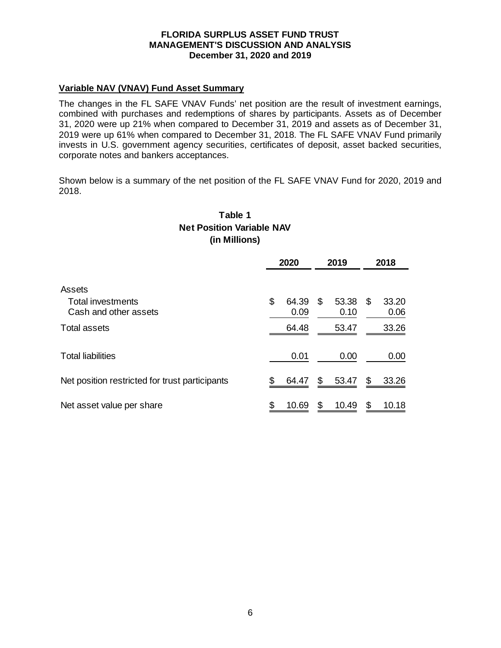### **Variable NAV (VNAV) Fund Asset Summary**

The changes in the FL SAFE VNAV Funds' net position are the result of investment earnings, combined with purchases and redemptions of shares by participants. Assets as of December 31, 2020 were up 21% when compared to December 31, 2019 and assets as of December 31, 2019 were up 61% when compared to December 31, 2018. The FL SAFE VNAV Fund primarily invests in U.S. government agency securities, certificates of deposit, asset backed securities, corporate notes and bankers acceptances.

Shown below is a summary of the net position of the FL SAFE VNAV Fund for 2020, 2019 and 2018.

# **(in Millions) Table 1 Net Position Variable NAV**

|                                                      |    | 2020          | 2019                |     | 2018          |
|------------------------------------------------------|----|---------------|---------------------|-----|---------------|
| Assets<br>Total investments<br>Cash and other assets | \$ | 64.39<br>0.09 | \$<br>53.38<br>0.10 | \$. | 33.20<br>0.06 |
| Total assets                                         |    | 64.48         | 53.47               |     | 33.26         |
| <b>Total liabilities</b>                             |    | 0.01          | 0.00                |     | 0.00          |
| Net position restricted for trust participants       | S  | 64.47         | \$<br>53.47         | \$  | 33.26         |
| Net asset value per share                            |    | 10.69         | \$<br>10.49         | \$  | 10.18         |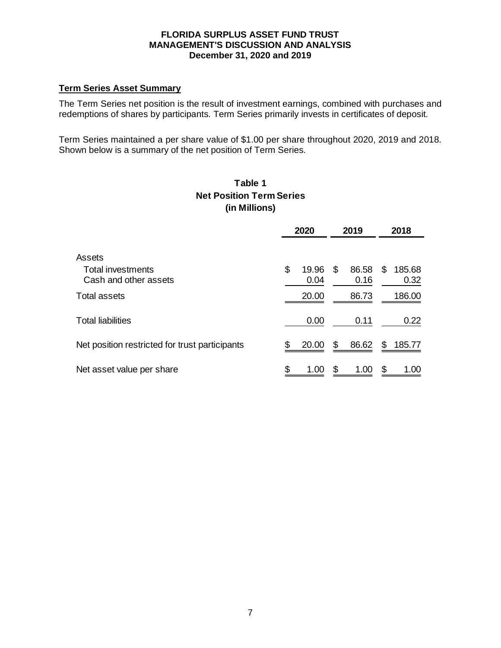### **Term Series Asset Summary**

The Term Series net position is the result of investment earnings, combined with purchases and redemptions of shares by participants. Term Series primarily invests in certificates of deposit.

Term Series maintained a per share value of \$1.00 per share throughout 2020, 2019 and 2018. Shown below is a summary of the net position of Term Series.

# **Table 1 Net Position Term Series (in Millions)**

|                                                             |    | 2020          | 2019                | 2018                 |
|-------------------------------------------------------------|----|---------------|---------------------|----------------------|
| Assets<br><b>Total investments</b><br>Cash and other assets | \$ | 19.96<br>0.04 | \$<br>86.58<br>0.16 | \$<br>185.68<br>0.32 |
| <b>Total assets</b>                                         |    | 20.00         | 86.73               | 186.00               |
| <b>Total liabilities</b>                                    |    | 0.00          | 0.11                | 0.22                 |
| Net position restricted for trust participants              | \$ | 20.00         | \$<br>86.62         | \$<br>185.77         |
| Net asset value per share                                   | \$ | 1.00          | \$<br>1.00          | \$<br>1.00           |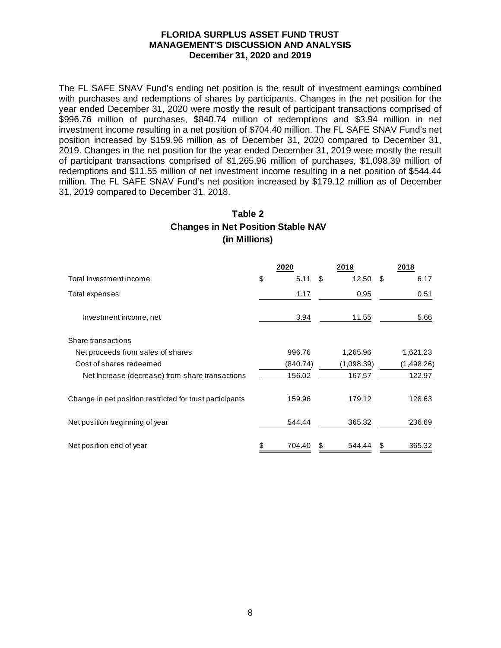The FL SAFE SNAV Fund's ending net position is the result of investment earnings combined with purchases and redemptions of shares by participants. Changes in the net position for the year ended December 31, 2020 were mostly the result of participant transactions comprised of \$996.76 million of purchases, \$840.74 million of redemptions and \$3.94 million in net investment income resulting in a net position of \$704.40 million. The FL SAFE SNAV Fund's net position increased by \$159.96 million as of December 31, 2020 compared to December 31, 2019. Changes in the net position for the year ended December 31, 2019 were mostly the result of participant transactions comprised of \$1,265.96 million of purchases, \$1,098.39 million of redemptions and \$11.55 million of net investment income resulting in a net position of \$544.44 million. The FL SAFE SNAV Fund's net position increased by \$179.12 million as of December 31, 2019 compared to December 31, 2018.

# **Table 2 Changes in Net Position Stable NAV (in Millions)**

|                                                          | 2020         | 2019         | 2018         |
|----------------------------------------------------------|--------------|--------------|--------------|
| Total Investment income                                  | \$<br>5.11   | \$<br>12.50  | \$<br>6.17   |
| Total expenses                                           | 1.17         | 0.95         | 0.51         |
| Investment income, net                                   | 3.94         | 11.55        | 5.66         |
| Share transactions                                       |              |              |              |
| Net proceeds from sales of shares                        | 996.76       | 1,265.96     | 1,621.23     |
| Cost of shares redeemed                                  | (840.74)     | (1,098.39)   | (1,498.26)   |
| Net Increase (decrease) from share transactions          | 156.02       | 167.57       | 122.97       |
| Change in net position restricted for trust participants | 159.96       | 179.12       | 128.63       |
| Net position beginning of year                           | 544.44       | 365.32       | 236.69       |
| Net position end of year                                 | \$<br>704.40 | \$<br>544.44 | \$<br>365.32 |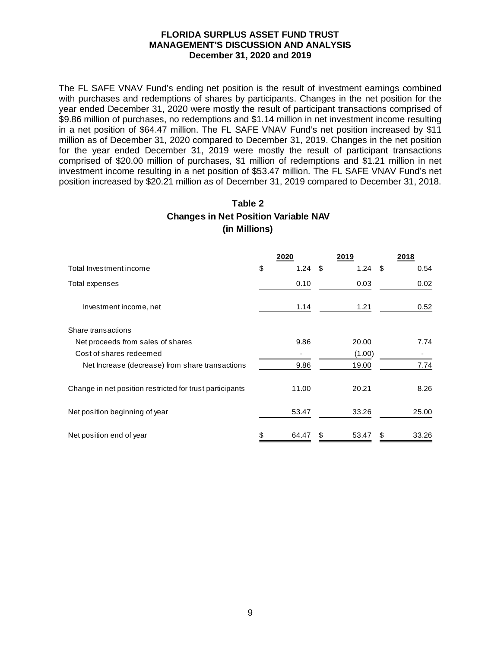The FL SAFE VNAV Fund's ending net position is the result of investment earnings combined with purchases and redemptions of shares by participants. Changes in the net position for the year ended December 31, 2020 were mostly the result of participant transactions comprised of \$9.86 million of purchases, no redemptions and \$1.14 million in net investment income resulting in a net position of \$64.47 million. The FL SAFE VNAV Fund's net position increased by \$11 million as of December 31, 2020 compared to December 31, 2019. Changes in the net position for the year ended December 31, 2019 were mostly the result of participant transactions comprised of \$20.00 million of purchases, \$1 million of redemptions and \$1.21 million in net investment income resulting in a net position of \$53.47 million. The FL SAFE VNAV Fund's net position increased by \$20.21 million as of December 31, 2019 compared to December 31, 2018.

# **Table 2 Changes in Net Position Variable NAV (in Millions)**

|                                                          | 2020        | 2019        | 2018        |
|----------------------------------------------------------|-------------|-------------|-------------|
| Total Investment income                                  | \$<br>1.24  | \$<br>1.24  | \$<br>0.54  |
| Total expenses                                           | 0.10        | 0.03        | 0.02        |
| Investment income, net                                   | 1.14        | 1.21        | 0.52        |
| Share transactions                                       |             |             |             |
| Net proceeds from sales of shares                        | 9.86        | 20.00       | 7.74        |
| Cost of shares redeemed                                  |             | (1.00)      |             |
| Net Increase (decrease) from share transactions          | 9.86        | 19.00       | 7.74        |
| Change in net position restricted for trust participants | 11.00       | 20.21       | 8.26        |
| Net position beginning of year                           | 53.47       | 33.26       | 25.00       |
| Net position end of year                                 | \$<br>64.47 | \$<br>53.47 | \$<br>33.26 |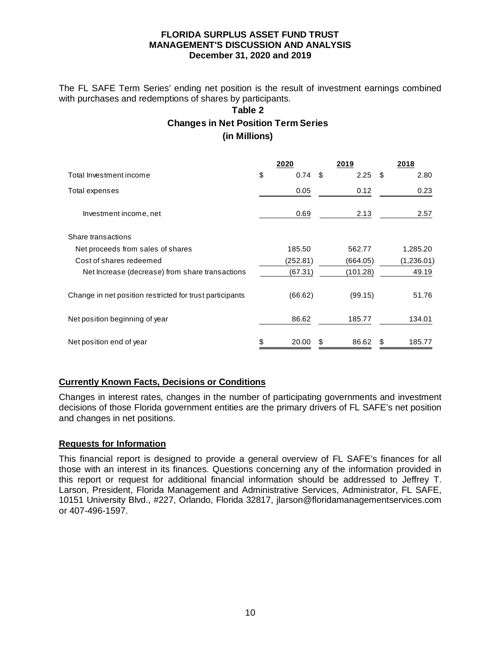The FL SAFE Term Series' ending net position is the result of investment earnings combined with purchases and redemptions of shares by participants.

# **Table 2 Changes in Net Position Term Series (in Millions)**

|                                                          | 2020        |     | 2019     |      | 2018       |
|----------------------------------------------------------|-------------|-----|----------|------|------------|
| Total Investment income                                  | \$<br>0.74  | -\$ | 2.25     | - \$ | 2.80       |
| Total expenses                                           | 0.05        |     | 0.12     |      | 0.23       |
| Investment income, net                                   | 0.69        |     | 2.13     |      | 2.57       |
| Share transactions                                       |             |     |          |      |            |
| Net proceeds from sales of shares                        | 185.50      |     | 562.77   |      | 1,285.20   |
| Cost of shares redeemed                                  | (252.81)    |     | (664.05) |      | (1,236.01) |
| Net Increase (decrease) from share transactions          | (67.31)     |     | (101.28) |      | 49.19      |
| Change in net position restricted for trust participants | (66.62)     |     | (99.15)  |      | 51.76      |
| Net position beginning of year                           | 86.62       |     | 185.77   |      | 134.01     |
| Net position end of year                                 | \$<br>20.00 | -S  | 86.62    | \$   | 185.77     |

## **Currently Known Facts, Decisions or Conditions**

Changes in interest rates, changes in the number of participating governments and investment decisions of those Florida government entities are the primary drivers of FL SAFE's net position and changes in net positions.

### **Requests for Information**

This financial report is designed to provide a general overview of FL SAFE's finances for all those with an interest in its finances. Questions concerning any of the information provided in this report or request for additional financial information should be addressed to Jeffrey T. Larson, President, Florida Management and Administrative Services, Administrator, FL SAFE, 10151 University Blvd., #227, Orlando, Florida 32817, jlarson@floridamanagementservices.com or 407-496-1597.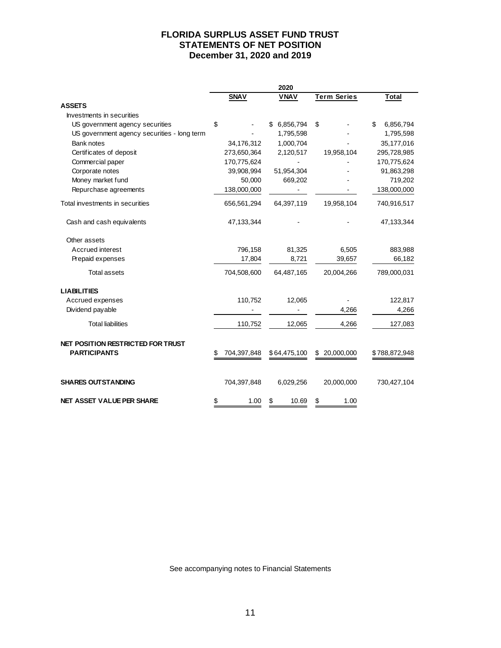### **FLORIDA SURPLUS ASSET FUND TRUST STATEMENTS OF NET POSITION December 31, 2020 and 2019**

|                                                          |    |             | 2020             |                    |                 |
|----------------------------------------------------------|----|-------------|------------------|--------------------|-----------------|
|                                                          |    | <b>SNAV</b> | <b>VNAV</b>      | <b>Term Series</b> | <b>Total</b>    |
| <b>ASSETS</b>                                            |    |             |                  |                    |                 |
| Investments in securities                                |    |             |                  |                    |                 |
| US government agency securities                          | \$ |             | 6,856,794<br>\$. | \$                 | \$<br>6,856,794 |
| US government agency securities - long term              |    |             | 1,795,598        |                    | 1,795,598       |
| Bank notes                                               |    | 34,176,312  | 1,000,704        |                    | 35, 177, 016    |
| Certificates of deposit                                  |    | 273,650,364 | 2,120,517        | 19,958,104         | 295,728,985     |
| Commercial paper                                         |    | 170,775,624 |                  |                    | 170,775,624     |
| Corporate notes                                          |    | 39,908,994  | 51,954,304       |                    | 91,863,298      |
| Money market fund                                        |    | 50,000      | 669,202          |                    | 719,202         |
| Repurchase agreements                                    |    | 138,000,000 |                  |                    | 138,000,000     |
| Total investments in securities                          |    | 656,561,294 | 64,397,119       | 19,958,104         | 740,916,517     |
| Cash and cash equivalents                                |    | 47,133,344  |                  |                    | 47,133,344      |
| Other assets                                             |    |             |                  |                    |                 |
| Accrued interest                                         |    | 796,158     | 81,325           | 6,505              | 883,988         |
| Prepaid expenses                                         |    | 17,804      | 8,721            | 39,657             | 66,182          |
| <b>Total assets</b>                                      |    | 704,508,600 | 64,487,165       | 20,004,266         | 789,000,031     |
| <b>LIABILITIES</b>                                       |    |             |                  |                    |                 |
| Accrued expenses                                         |    | 110,752     | 12,065           |                    | 122,817         |
| Dividend payable                                         |    |             |                  | 4,266              | 4,266           |
| <b>Total liabilities</b>                                 |    | 110,752     | 12,065           | 4,266              | 127,083         |
| NET POSITION RESTRICTED FOR TRUST<br><b>PARTICIPANTS</b> | S  | 704,397,848 | \$64,475,100     | 20,000,000<br>\$   | \$788,872,948   |
| <b>SHARES OUTSTANDING</b>                                |    | 704,397,848 | 6,029,256        | 20,000,000         | 730,427,104     |
| <b>NET ASSET VALUE PER SHARE</b>                         | \$ | 1.00        | \$<br>10.69      | 1.00<br>\$         |                 |

See accompanying notes to Financial Statements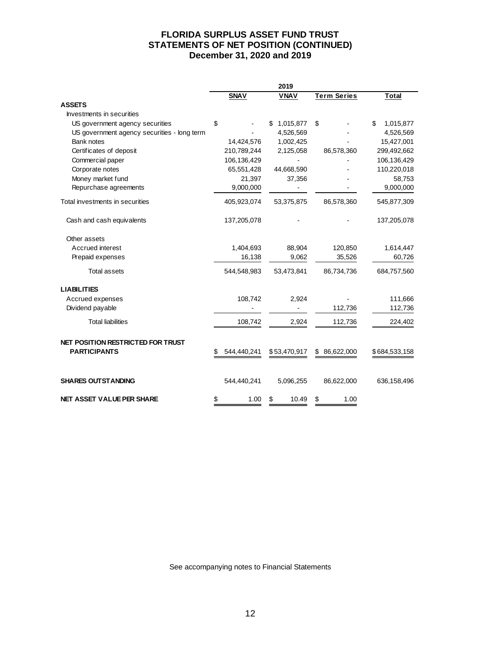### **FLORIDA SURPLUS ASSET FUND TRUST STATEMENTS OF NET POSITION (CONTINUED) December 31, 2020 and 2019**

|                                                          |    |             | 2019         |                    |                 |
|----------------------------------------------------------|----|-------------|--------------|--------------------|-----------------|
|                                                          |    | <b>SNAV</b> | <b>VNAV</b>  | <b>Term Series</b> | <b>Total</b>    |
| <b>ASSETS</b>                                            |    |             |              |                    |                 |
| Investments in securities                                |    |             |              |                    |                 |
| US government agency securities                          | \$ |             | 1,015,877    | \$                 | 1,015,877<br>\$ |
| US government agency securities - long term              |    |             | 4,526,569    |                    | 4,526,569       |
| Bank notes                                               |    | 14,424,576  | 1,002,425    |                    | 15,427,001      |
| Certificates of deposit                                  |    | 210,789,244 | 2,125,058    | 86,578,360         | 299,492,662     |
| Commercial paper                                         |    | 106,136,429 |              |                    | 106,136,429     |
| Corporate notes                                          |    | 65,551,428  | 44,668,590   |                    | 110,220,018     |
| Money market fund                                        |    | 21,397      | 37,356       |                    | 58,753          |
| Repurchase agreements                                    |    | 9,000,000   |              |                    | 9,000,000       |
| Total investments in securities                          |    | 405,923,074 | 53,375,875   | 86,578,360         | 545,877,309     |
| Cash and cash equivalents                                |    | 137,205,078 |              |                    | 137,205,078     |
| Other assets                                             |    |             |              |                    |                 |
| Accrued interest                                         |    | 1,404,693   | 88,904       | 120,850            | 1,614,447       |
| Prepaid expenses                                         |    | 16,138      | 9,062        | 35,526             | 60,726          |
| <b>Total assets</b>                                      |    | 544,548,983 | 53,473,841   | 86,734,736         | 684,757,560     |
| <b>LIABILITIES</b>                                       |    |             |              |                    |                 |
| Accrued expenses                                         |    | 108,742     | 2,924        |                    | 111,666         |
| Dividend payable                                         |    |             |              | 112,736            | 112,736         |
| <b>Total liabilities</b>                                 |    | 108,742     | 2,924        | 112,736            | 224,402         |
| NET POSITION RESTRICTED FOR TRUST<br><b>PARTICIPANTS</b> | S  | 544,440,241 | \$53,470,917 | 86,622,000<br>S    | \$684,533,158   |
| <b>SHARES OUTSTANDING</b>                                |    | 544,440,241 | 5,096,255    | 86,622,000         | 636,158,496     |
| <b>NET ASSET VALUE PER SHARE</b>                         | \$ | 1.00        | \$<br>10.49  | \$<br>1.00         |                 |

See accompanying notes to Financial Statements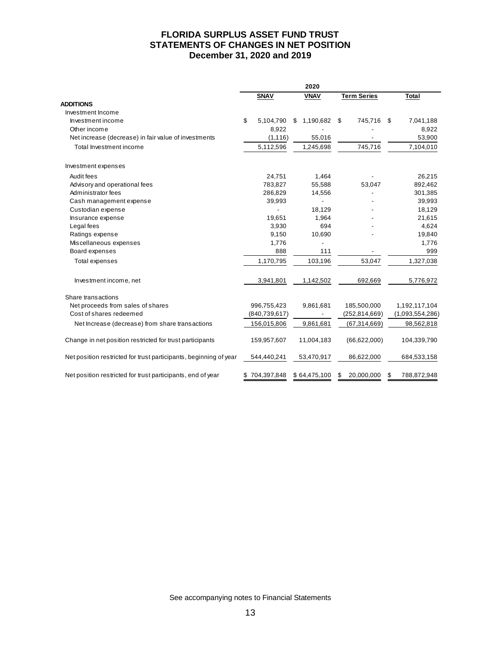### **FLORIDA SURPLUS ASSET FUND TRUST STATEMENTS OF CHANGES IN NET POSITION December 31, 2020 and 2019**

|                                                                   |                 | 2020             |                    |                  |
|-------------------------------------------------------------------|-----------------|------------------|--------------------|------------------|
|                                                                   | <b>SNAV</b>     | <b>VNAV</b>      | <b>Term Series</b> | <b>Total</b>     |
| <b>ADDITIONS</b>                                                  |                 |                  |                    |                  |
| Investment Income                                                 |                 |                  |                    |                  |
| Investment income                                                 | \$<br>5,104,790 | 1,190,682<br>\$. | 745,716<br>\$.     | 7,041,188<br>\$. |
| Other income                                                      | 8,922           |                  |                    | 8,922            |
| Net increase (decrease) in fair value of investments              | (1, 116)        | 55,016           |                    | 53,900           |
| Total Investment income                                           | 5,112,596       | 1,245,698        | 745,716            | 7,104,010        |
| Investment expenses                                               |                 |                  |                    |                  |
| Audit fees                                                        | 24,751          | 1,464            |                    | 26,215           |
| Advisory and operational fees                                     | 783,827         | 55,588           | 53,047             | 892,462          |
| Administrator fees                                                | 286,829         | 14,556           |                    | 301,385          |
| Cash management expense                                           | 39,993          |                  |                    | 39,993           |
| Custodian expense                                                 |                 | 18,129           |                    | 18,129           |
| Insurance expense                                                 | 19,651          | 1,964            |                    | 21,615           |
| Legal fees                                                        | 3,930           | 694              |                    | 4,624            |
| Ratings expense                                                   | 9,150           | 10,690           |                    | 19,840           |
| Miscellaneous expenses                                            | 1,776           |                  |                    | 1,776            |
| Board expenses                                                    | 888             | 111              |                    | 999              |
| <b>Total expenses</b>                                             | 1,170,795       | 103,196          | 53,047             | 1,327,038        |
| Investment income, net                                            | 3,941,801       | 1,142,502        | 692,669            | 5,776,972        |
| Share transactions                                                |                 |                  |                    |                  |
| Net proceeds from sales of shares                                 | 996,755,423     | 9,861,681        | 185,500,000        | 1,192,117,104    |
| Cost of shares redeemed                                           | (840, 739, 617) |                  | (252, 814, 669)    | (1,093,554,286)  |
| Net Increase (decrease) from share transactions                   | 156,015,806     | 9,861,681        | (67, 314, 669)     | 98,562,818       |
| Change in net position restricted for trust participants          | 159,957,607     | 11,004,183       | (66, 622, 000)     | 104,339,790      |
| Net position restricted for trust participants, beginning of year | 544,440,241     | 53,470,917       | 86,622,000         | 684,533,158      |
| Net position restricted for trust participants, end of year       | \$704,397,848   | \$64,475,100     | 20,000,000         | 788,872,948<br>S |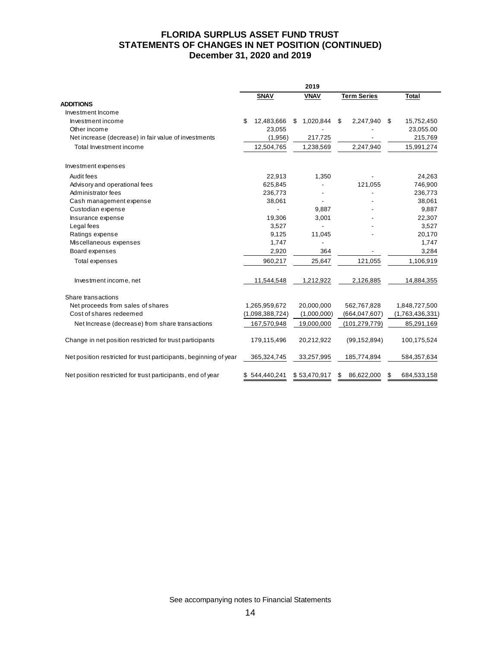### **FLORIDA SURPLUS ASSET FUND TRUST STATEMENTS OF CHANGES IN NET POSITION (CONTINUED) December 31, 2020 and 2019**

|                                                                   |                  | 2019           |                    |                   |
|-------------------------------------------------------------------|------------------|----------------|--------------------|-------------------|
|                                                                   | <b>SNAV</b>      | <b>VNAV</b>    | <b>Term Series</b> | <b>Total</b>      |
| <b>ADDITIONS</b>                                                  |                  |                |                    |                   |
| Investment Income                                                 |                  |                |                    |                   |
| Investment income                                                 | \$<br>12,483,666 | 1,020,844<br>S | 2,247,940<br>S     | 15,752,450<br>\$. |
| Other income                                                      | 23,055           |                |                    | 23,055.00         |
| Net increase (decrease) in fair value of investments              | (1,956)          | 217,725        |                    | 215,769           |
| Total Investment income                                           | 12,504,765       | 1,238,569      | 2,247,940          | 15,991,274        |
| Investment expenses                                               |                  |                |                    |                   |
| Audit fees                                                        | 22,913           | 1,350          |                    | 24,263            |
| Advisory and operational fees                                     | 625,845          |                | 121,055            | 746,900           |
| Administrator fees                                                | 236,773          |                |                    | 236,773           |
| Cash management expense                                           | 38,061           |                |                    | 38,061            |
| Custodian expense                                                 |                  | 9,887          |                    | 9,887             |
| Insurance expense                                                 | 19,306           | 3,001          |                    | 22,307            |
| Legal fees                                                        | 3,527            |                |                    | 3,527             |
| Ratings expense                                                   | 9,125            | 11,045         |                    | 20,170            |
| Miscellaneous expenses                                            | 1,747            |                |                    | 1,747             |
| Board expenses                                                    | 2,920            | 364            |                    | 3,284             |
| <b>Total expenses</b>                                             | 960,217          | 25,647         | 121,055            | 1,106,919         |
| Investment income, net                                            | 11,544,548       | 1,212,922      | 2,126,885          | 14,884,355        |
| Share transactions                                                |                  |                |                    |                   |
| Net proceeds from sales of shares                                 | 1,265,959,672    | 20,000,000     | 562,767,828        | 1,848,727,500     |
| Cost of shares redeemed                                           | (1,098,388,724)  | (1,000,000)    | (664, 047, 607)    | (1,763,436,331)   |
| Net Increase (decrease) from share transactions                   | 167,570,948      | 19,000,000     | (101, 279, 779)    | 85,291,169        |
| Change in net position restricted for trust participants          | 179,115,496      | 20,212,922     | (99, 152, 894)     | 100,175,524       |
| Net position restricted for trust participants, beginning of year | 365,324,745      | 33,257,995     | 185,774,894        | 584,357,634       |
| Net position restricted for trust participants, end of year       | \$544,440,241    | \$53,470,917   | 86,622,000<br>\$   | 684,533,158<br>S  |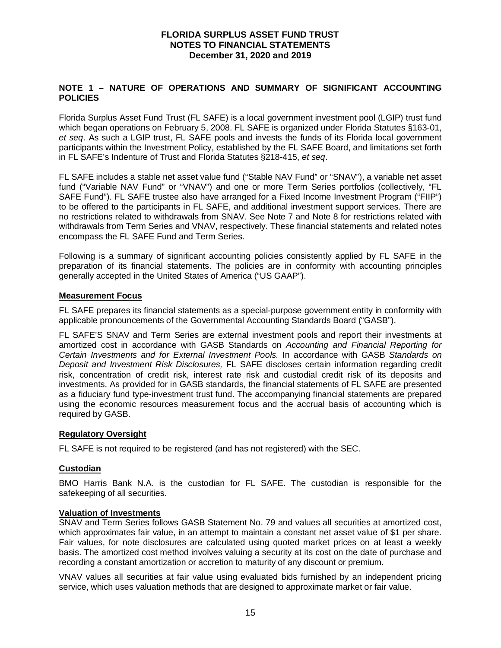#### **NOTE 1 – NATURE OF OPERATIONS AND SUMMARY OF SIGNIFICANT ACCOUNTING POLICIES**

Florida Surplus Asset Fund Trust (FL SAFE) is a local government investment pool (LGIP) trust fund which began operations on February 5, 2008. FL SAFE is organized under Florida Statutes §163-01, et seq. As such a LGIP trust, FL SAFE pools and invests the funds of its Florida local government participants within the Investment Policy, established by the FL SAFE Board, and limitations set forth in FL SAFE's Indenture of Trust and Florida Statutes §218-415, et seq.

FL SAFE includes a stable net asset value fund ("Stable NAV Fund" or "SNAV"), a variable net asset fund ("Variable NAV Fund" or "VNAV") and one or more Term Series portfolios (collectively, "FL SAFE Fund"). FL SAFE trustee also have arranged for a Fixed Income Investment Program ("FIIP") to be offered to the participants in FL SAFE, and additional investment support services. There are no restrictions related to withdrawals from SNAV. See Note 7 and Note 8 for restrictions related with withdrawals from Term Series and VNAV, respectively. These financial statements and related notes encompass the FL SAFE Fund and Term Series.

Following is a summary of significant accounting policies consistently applied by FL SAFE in the preparation of its financial statements. The policies are in conformity with accounting principles generally accepted in the United States of America ("US GAAP").

#### **Measurement Focus**

FL SAFE prepares its financial statements as a special-purpose government entity in conformity with applicable pronouncements of the Governmental Accounting Standards Board ("GASB").

FL SAFE'S SNAV and Term Series are external investment pools and report their investments at amortized cost in accordance with GASB Standards on Accounting and Financial Reporting for Certain Investments and for External Investment Pools. In accordance with GASB Standards on Deposit and Investment Risk Disclosures, FL SAFE discloses certain information regarding credit risk, concentration of credit risk, interest rate risk and custodial credit risk of its deposits and investments. As provided for in GASB standards, the financial statements of FL SAFE are presented as a fiduciary fund type-investment trust fund. The accompanying financial statements are prepared using the economic resources measurement focus and the accrual basis of accounting which is required by GASB.

#### **Regulatory Oversight**

FL SAFE is not required to be registered (and has not registered) with the SEC.

#### **Custodian**

BMO Harris Bank N.A. is the custodian for FL SAFE. The custodian is responsible for the safekeeping of all securities.

#### **Valuation of Investments**

SNAV and Term Series follows GASB Statement No. 79 and values all securities at amortized cost, which approximates fair value, in an attempt to maintain a constant net asset value of \$1 per share. Fair values, for note disclosures are calculated using quoted market prices on at least a weekly basis. The amortized cost method involves valuing a security at its cost on the date of purchase and recording a constant amortization or accretion to maturity of any discount or premium.

VNAV values all securities at fair value using evaluated bids furnished by an independent pricing service, which uses valuation methods that are designed to approximate market or fair value.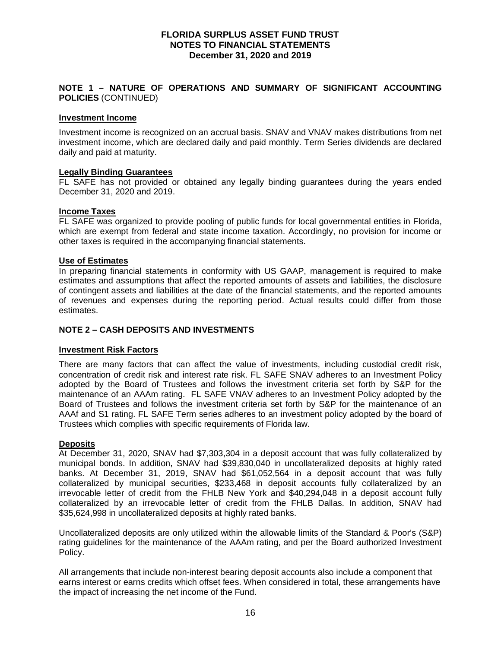#### **NOTE 1 – NATURE OF OPERATIONS AND SUMMARY OF SIGNIFICANT ACCOUNTING POLICIES** (CONTINUED)

#### **Investment Income**

Investment income is recognized on an accrual basis. SNAV and VNAV makes distributions from net investment income, which are declared daily and paid monthly. Term Series dividends are declared daily and paid at maturity.

#### **Legally Binding Guarantees**

FL SAFE has not provided or obtained any legally binding guarantees during the years ended December 31, 2020 and 2019.

#### **Income Taxes**

FL SAFE was organized to provide pooling of public funds for local governmental entities in Florida, which are exempt from federal and state income taxation. Accordingly, no provision for income or other taxes is required in the accompanying financial statements.

#### **Use of Estimates**

In preparing financial statements in conformity with US GAAP, management is required to make estimates and assumptions that affect the reported amounts of assets and liabilities, the disclosure of contingent assets and liabilities at the date of the financial statements, and the reported amounts of revenues and expenses during the reporting period. Actual results could differ from those estimates.

#### **NOTE 2 – CASH DEPOSITS AND INVESTMENTS**

#### **Investment Risk Factors**

There are many factors that can affect the value of investments, including custodial credit risk, concentration of credit risk and interest rate risk. FL SAFE SNAV adheres to an Investment Policy adopted by the Board of Trustees and follows the investment criteria set forth by S&P for the maintenance of an AAAm rating. FL SAFE VNAV adheres to an Investment Policy adopted by the Board of Trustees and follows the investment criteria set forth by S&P for the maintenance of an AAAf and S1 rating. FL SAFE Term series adheres to an investment policy adopted by the board of Trustees which complies with specific requirements of Florida law.

#### **Deposits**

At December 31, 2020, SNAV had \$7,303,304 in a deposit account that was fully collateralized by municipal bonds. In addition, SNAV had \$39,830,040 in uncollateralized deposits at highly rated banks. At December 31, 2019, SNAV had \$61,052,564 in a deposit account that was fully collateralized by municipal securities, \$233,468 in deposit accounts fully collateralized by an irrevocable letter of credit from the FHLB New York and \$40,294,048 in a deposit account fully collateralized by an irrevocable letter of credit from the FHLB Dallas. In addition, SNAV had \$35,624,998 in uncollateralized deposits at highly rated banks.

Uncollateralized deposits are only utilized within the allowable limits of the Standard & Poor's (S&P) rating guidelines for the maintenance of the AAAm rating, and per the Board authorized Investment Policy.

All arrangements that include non-interest bearing deposit accounts also include a component that earns interest or earns credits which offset fees. When considered in total, these arrangements have the impact of increasing the net income of the Fund.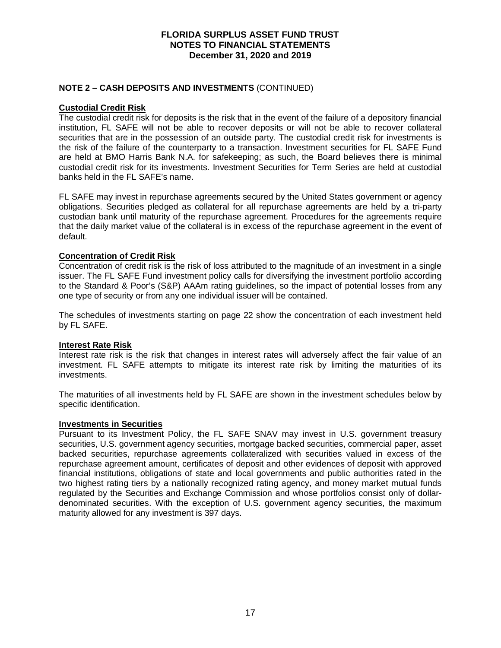### **NOTE 2 – CASH DEPOSITS AND INVESTMENTS** (CONTINUED)

#### **Custodial Credit Risk**

The custodial credit risk for deposits is the risk that in the event of the failure of a depository financial institution, FL SAFE will not be able to recover deposits or will not be able to recover collateral securities that are in the possession of an outside party. The custodial credit risk for investments is the risk of the failure of the counterparty to a transaction. Investment securities for FL SAFE Fund are held at BMO Harris Bank N.A. for safekeeping; as such, the Board believes there is minimal custodial credit risk for its investments. Investment Securities for Term Series are held at custodial banks held in the FL SAFE's name.

FL SAFE may invest in repurchase agreements secured by the United States government or agency obligations. Securities pledged as collateral for all repurchase agreements are held by a tri-party custodian bank until maturity of the repurchase agreement. Procedures for the agreements require that the daily market value of the collateral is in excess of the repurchase agreement in the event of default.

### **Concentration of Credit Risk**

Concentration of credit risk is the risk of loss attributed to the magnitude of an investment in a single issuer. The FL SAFE Fund investment policy calls for diversifying the investment portfolio according to the Standard & Poor's (S&P) AAAm rating guidelines, so the impact of potential losses from any one type of security or from any one individual issuer will be contained.

The schedules of investments starting on page 22 show the concentration of each investment held by FL SAFE.

#### **Interest Rate Risk**

Interest rate risk is the risk that changes in interest rates will adversely affect the fair value of an investment. FL SAFE attempts to mitigate its interest rate risk by limiting the maturities of its investments.

The maturities of all investments held by FL SAFE are shown in the investment schedules below by specific identification.

#### **Investments in Securities**

Pursuant to its Investment Policy, the FL SAFE SNAV may invest in U.S. government treasury securities, U.S. government agency securities, mortgage backed securities, commercial paper, asset backed securities, repurchase agreements collateralized with securities valued in excess of the repurchase agreement amount, certificates of deposit and other evidences of deposit with approved financial institutions, obligations of state and local governments and public authorities rated in the two highest rating tiers by a nationally recognized rating agency, and money market mutual funds regulated by the Securities and Exchange Commission and whose portfolios consist only of dollardenominated securities. With the exception of U.S. government agency securities, the maximum maturity allowed for any investment is 397 days.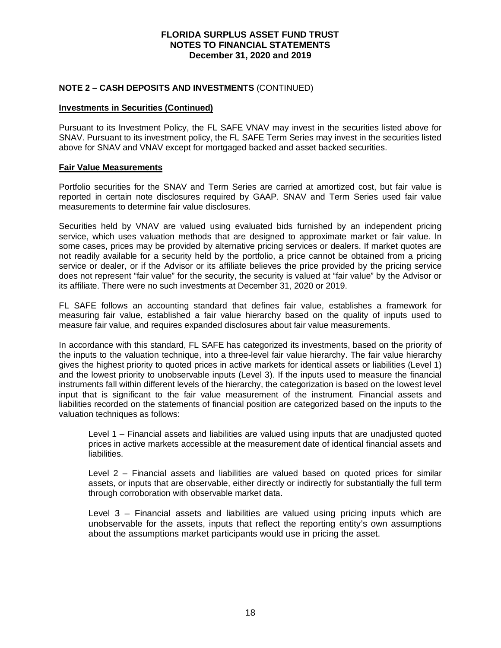#### **NOTE 2 – CASH DEPOSITS AND INVESTMENTS** (CONTINUED)

#### **Investments in Securities (Continued)**

Pursuant to its Investment Policy, the FL SAFE VNAV may invest in the securities listed above for SNAV. Pursuant to its investment policy, the FL SAFE Term Series may invest in the securities listed above for SNAV and VNAV except for mortgaged backed and asset backed securities.

#### **Fair Value Measurements**

Portfolio securities for the SNAV and Term Series are carried at amortized cost, but fair value is reported in certain note disclosures required by GAAP. SNAV and Term Series used fair value measurements to determine fair value disclosures.

Securities held by VNAV are valued using evaluated bids furnished by an independent pricing service, which uses valuation methods that are designed to approximate market or fair value. In some cases, prices may be provided by alternative pricing services or dealers. If market quotes are not readily available for a security held by the portfolio, a price cannot be obtained from a pricing service or dealer, or if the Advisor or its affiliate believes the price provided by the pricing service does not represent "fair value" for the security, the security is valued at "fair value" by the Advisor or its affiliate. There were no such investments at December 31, 2020 or 2019.

FL SAFE follows an accounting standard that defines fair value, establishes a framework for measuring fair value, established a fair value hierarchy based on the quality of inputs used to measure fair value, and requires expanded disclosures about fair value measurements.

In accordance with this standard, FL SAFE has categorized its investments, based on the priority of the inputs to the valuation technique, into a three-level fair value hierarchy. The fair value hierarchy gives the highest priority to quoted prices in active markets for identical assets or liabilities (Level 1) and the lowest priority to unobservable inputs (Level 3). If the inputs used to measure the financial instruments fall within different levels of the hierarchy, the categorization is based on the lowest level input that is significant to the fair value measurement of the instrument. Financial assets and liabilities recorded on the statements of financial position are categorized based on the inputs to the valuation techniques as follows:

Level 1 – Financial assets and liabilities are valued using inputs that are unadjusted quoted prices in active markets accessible at the measurement date of identical financial assets and liabilities.

Level 2 – Financial assets and liabilities are valued based on quoted prices for similar assets, or inputs that are observable, either directly or indirectly for substantially the full term through corroboration with observable market data.

Level 3 – Financial assets and liabilities are valued using pricing inputs which are unobservable for the assets, inputs that reflect the reporting entity's own assumptions about the assumptions market participants would use in pricing the asset.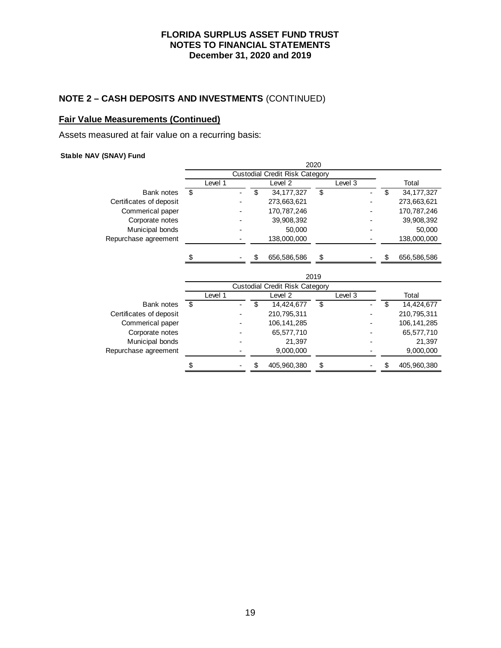## **NOTE 2 – CASH DEPOSITS AND INVESTMENTS** (CONTINUED)

### **Fair Value Measurements (Continued)**

Assets measured at fair value on a recurring basis:

#### **Stable NAV (SNAV) Fund**

|                         |         |    |                                       | 2020 |         |    |             |
|-------------------------|---------|----|---------------------------------------|------|---------|----|-------------|
|                         |         |    | <b>Custodial Credit Risk Category</b> |      |         |    |             |
|                         | Level 1 |    | Level 2                               |      | Level 3 |    | Total       |
| Bank notes              | \$      | \$ | 34, 177, 327                          | \$   |         | \$ | 34,177,327  |
| Certificates of deposit |         |    | 273,663,621                           |      |         |    | 273,663,621 |
| Commerical paper        |         |    | 170,787,246                           |      |         |    | 170,787,246 |
| Corporate notes         |         |    | 39,908,392                            |      |         |    | 39,908,392  |
| Municipal bonds         |         |    | 50,000                                |      |         |    | 50,000      |
| Repurchase agreement    |         |    | 138,000,000                           |      |         |    | 138,000,000 |
|                         | \$      |    | 656,586,586                           | \$   |         | \$ | 656,586,586 |
|                         |         |    |                                       | 2019 |         |    |             |
|                         |         |    | <b>Custodial Credit Risk Category</b> |      |         |    |             |
|                         | Level 1 |    | Level <sub>2</sub>                    |      | Level 3 |    | Total       |
| Bank notes              | \$      |    |                                       |      |         |    |             |
|                         |         | \$ | 14,424,677                            | \$   |         | \$ | 14,424,677  |
| Certificates of deposit |         |    | 210,795,311                           |      |         |    | 210,795,311 |
| Commerical paper        |         |    | 106, 141, 285                         |      |         |    | 106,141,285 |
| Corporate notes         |         |    | 65,577,710                            |      |         |    | 65,577,710  |
| Municipal bonds         |         |    | 21,397                                |      |         |    | 21,397      |
| Repurchase agreement    |         |    | 9,000,000                             |      |         |    | 9,000,000   |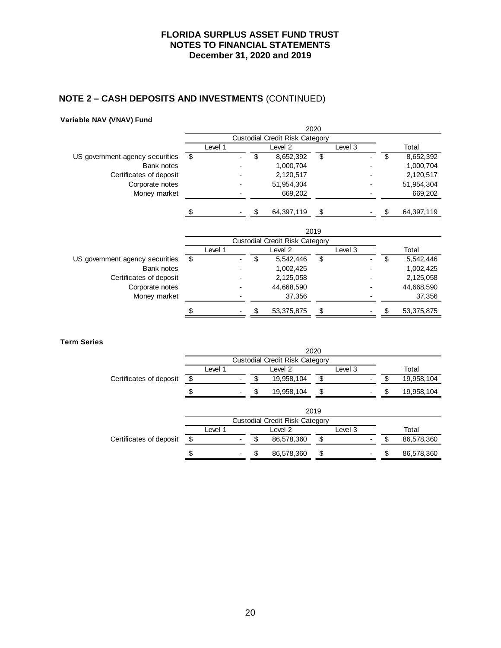# **NOTE 2 – CASH DEPOSITS AND INVESTMENTS** (CONTINUED)

#### **Variable NAV (VNAV) Fund**

|                                 | 2020 |         |  |    |                                       |    |         |  |    |            |  |
|---------------------------------|------|---------|--|----|---------------------------------------|----|---------|--|----|------------|--|
|                                 |      |         |  |    | <b>Custodial Credit Risk Category</b> |    |         |  |    |            |  |
|                                 |      | Level 1 |  |    | Level <sub>2</sub>                    |    | Level 3 |  |    | Total      |  |
| US government agency securities | \$   |         |  | \$ | 8,652,392                             | \$ |         |  | \$ | 8,652,392  |  |
| Bank notes                      |      |         |  |    | 1,000,704                             |    |         |  |    | 1,000,704  |  |
| Certificates of deposit         |      |         |  |    | 2,120,517                             |    |         |  |    | 2,120,517  |  |
| Corporate notes                 |      |         |  |    | 51,954,304                            |    |         |  |    | 51,954,304 |  |
| Money market                    |      |         |  |    | 669,202                               |    |         |  |    | 669,202    |  |
|                                 |      |         |  |    | 64,397,119                            | \$ |         |  |    | 64,397,119 |  |
|                                 |      |         |  |    |                                       |    |         |  |    |            |  |
|                                 |      |         |  |    | <b>Custodial Credit Risk Category</b> |    |         |  |    |            |  |
|                                 |      | Level 1 |  |    | Level <sub>2</sub>                    |    | Level 3 |  |    | Total      |  |
| US government agency securities | -\$  |         |  | \$ | 5,542,446                             | \$ |         |  | \$ | 5,542,446  |  |
| Bank notes                      |      |         |  |    | 1,002,425                             |    |         |  |    | 1,002,425  |  |
| Certificates of deposit         |      |         |  |    | 2,125,058                             |    |         |  |    | 2,125,058  |  |
| Corporate notes                 |      |         |  |    | 44,668,590                            |    |         |  |    | 44,668,590 |  |
| Money market                    |      |         |  |    | 37,356                                |    |         |  |    | 37,356     |  |
|                                 |      |         |  |    | 53,375,875                            | \$ |         |  |    | 53,375,875 |  |

**Term Series**

|                         | 2020                                  |         |                  |                                |         |         |  |    |            |  |  |  |
|-------------------------|---------------------------------------|---------|------------------|--------------------------------|---------|---------|--|----|------------|--|--|--|
|                         |                                       |         |                  | Custodial Credit Risk Category |         |         |  |    |            |  |  |  |
|                         |                                       | Level 1 |                  | Level 2                        |         | Level 3 |  |    | Total      |  |  |  |
| Certificates of deposit | \$                                    |         |                  | 19,958,104                     | \$      |         |  |    | 19,958,104 |  |  |  |
|                         | \$                                    |         | \$<br>19,958,104 |                                | \$      |         |  | \$ | 19,958,104 |  |  |  |
|                         |                                       |         |                  |                                | 2019    |         |  |    |            |  |  |  |
|                         | <b>Custodial Credit Risk Category</b> |         |                  |                                |         |         |  |    |            |  |  |  |
|                         |                                       | Level 1 | Level 2          |                                | Level 3 |         |  |    | Total      |  |  |  |
| Certificates of deposit | \$                                    |         | æ.               | 86,578,360                     | \$      |         |  | S  | 86,578,360 |  |  |  |
|                         | \$                                    |         | £.               | 86,578,360                     | \$      |         |  | ß. | 86,578,360 |  |  |  |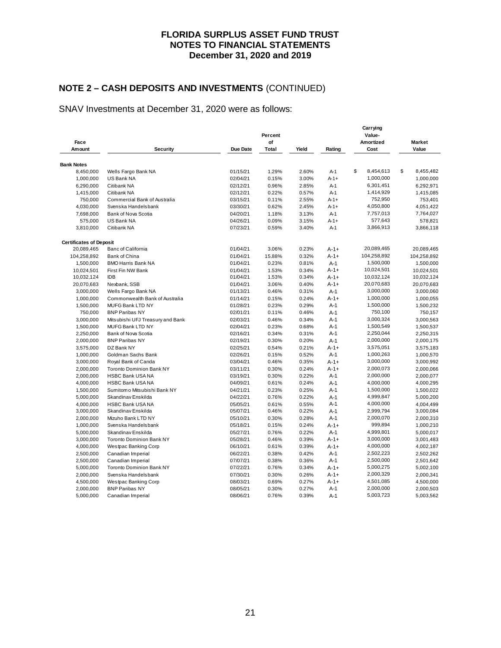# **NOTE 2 – CASH DEPOSITS AND INVESTMENTS** (CONTINUED)

## SNAV Investments at December 31, 2020 were as follows:

| Face                           |                                               |          | Percent<br>of |       |           | Carrying<br>Value-<br>Amortized | <b>Market</b>          |  |  |
|--------------------------------|-----------------------------------------------|----------|---------------|-------|-----------|---------------------------------|------------------------|--|--|
| Amount                         | Security                                      | Due Date | <b>Total</b>  | Yield | Rating    | Cost                            | Value                  |  |  |
|                                |                                               |          |               |       |           |                                 |                        |  |  |
| <b>Bank Notes</b>              |                                               |          |               |       |           |                                 | \$                     |  |  |
| 8,450,000                      | Wells Fargo Bank NA                           | 01/15/21 | 1.29%         | 2.60% | $A-1$     | \$<br>8,454,613                 | 8,455,482              |  |  |
| 1,000,000                      | US Bank NA                                    | 02/04/21 | 0.15%         | 3.00% | $A - 1 +$ | 1,000,000                       | 1,000,000              |  |  |
| 6,290,000                      | Citibank NA                                   | 02/12/21 | 0.96%         | 2.85% | $A-1$     | 6,301,451                       | 6,292,971              |  |  |
| 1,415,000                      | Citibank NA                                   | 02/12/21 | 0.22%         | 0.57% | $A-1$     | 1,414,929                       | 1,415,085              |  |  |
| 750,000                        | Commercial Bank of Australia                  | 03/15/21 | 0.11%         | 2.55% | $A-1+$    | 752,950                         | 753,401                |  |  |
| 4,030,000                      | Svenska Handelsbank                           | 03/30/21 | 0.62%         | 2.45% | $A - 1 +$ | 4,050,800                       | 4,051,422              |  |  |
| 7,698,000                      | Bank of Nova Scotia                           | 04/20/21 | 1.18%         | 3.13% | $A-1$     | 7,757,013                       | 7,764,027              |  |  |
| 575,000                        | US Bank NA                                    | 04/26/21 | 0.09%         | 3.15% | $A - 1 +$ | 577,643                         | 578,821                |  |  |
| 3,810,000                      | Citibank NA                                   | 07/23/21 | 0.59%         | 3.40% | $A-1$     | 3,866,913                       | 3,866,118              |  |  |
| <b>Certificates of Deposit</b> |                                               |          |               |       |           |                                 |                        |  |  |
| 20,089,465                     | Banc of California                            | 01/04/21 | 3.06%         | 0.23% | $A - 1 +$ | 20,089,465                      | 20,089,465             |  |  |
| 104,258,892                    | Bank of China                                 | 01/04/21 | 15.88%        | 0.32% | $A - 1 +$ | 104,258,892                     | 104,258,892            |  |  |
| 1,500,000                      | <b>BMO Harris Bank NA</b>                     | 01/04/21 | 0.23%         | 0.81% | $A-1$     | 1,500,000                       | 1,500,000              |  |  |
| 10,024,501                     | First Fin NW Bank                             | 01/04/21 | 1.53%         | 0.34% | $A - 1 +$ | 10,024,501                      | 10,024,501             |  |  |
| 10,032,124                     | <b>IDB</b>                                    | 01/04/21 | 1.53%         | 0.34% | $A - 1 +$ | 10,032,124                      | 10,032,124             |  |  |
| 20,070,683                     | Nexbank, SSB                                  | 01/04/21 | 3.06%         | 0.40% | $A-1+$    | 20,070,683                      | 20,070,683             |  |  |
| 3,000,000                      | Wells Fargo Bank NA                           | 01/13/21 | 0.46%         | 0.31% | $A-1$     | 3,000,000                       | 3,000,060              |  |  |
| 1,000,000                      | Commonwealth Bank of Australia                | 01/14/21 | 0.15%         | 0.24% | $A - 1 +$ | 1,000,000                       | 1,000,055              |  |  |
| 1,500,000                      | MUFG Bank LTD NY                              | 01/28/21 | 0.23%         | 0.29% | $A-1$     | 1,500,000                       | 1,500,232              |  |  |
| 750,000                        | <b>BNP Paribas NY</b>                         | 02/01/21 | 0.11%         | 0.46% | $A-1$     | 750,100                         | 750,157                |  |  |
| 3,000,000                      | Mitsubishi UFJ Treasury and Bank              | 02/03/21 | 0.46%         | 0.34% | $A-1$     | 3,000,324                       | 3,000,563              |  |  |
| 1,500,000                      | MUFG Bank LTD NY                              | 02/04/21 | 0.23%         | 0.68% | $A-1$     | 1,500,549                       | 1,500,537              |  |  |
| 2,250,000                      | Bank of Nova Scotia                           | 02/16/21 | 0.34%         | 0.31% | $A-1$     | 2,250,044                       | 2,250,315              |  |  |
| 2,000,000                      | <b>BNP Paribas NY</b>                         | 02/19/21 | 0.30%         | 0.20% | $A-1$     | 2,000,000                       | 2,000,175              |  |  |
| 3,575,000                      | DZ Bank NY                                    | 02/25/21 | 0.54%         | 0.21% | $A - 1 +$ | 3,575,051                       | 3,575,183              |  |  |
| 1,000,000                      | Goldman Sachs Bank                            | 02/26/21 | 0.15%         | 0.52% | $A-1$     | 1,000,263                       | 1,000,570              |  |  |
| 3,000,000                      | Royal Bank of Canda                           | 03/04/21 | 0.46%         | 0.35% | $A-1+$    | 3,000,000                       | 3,000,992              |  |  |
| 2,000,000                      | <b>Toronto Dominion Bank NY</b>               | 03/11/21 | 0.30%         | 0.24% | $A - 1 +$ | 2,000,073                       | 2,000,066              |  |  |
| 2,000,000                      | <b>HSBC Bank USA NA</b>                       | 03/19/21 | 0.30%         | 0.22% | $A-1$     | 2,000,000                       | 2,000,077              |  |  |
| 4,000,000                      | <b>HSBC Bank USA NA</b>                       | 04/09/21 | 0.61%         | 0.24% | $A-1$     | 4,000,000                       | 4,000,295              |  |  |
| 1,500,000                      | Sumitomo Mitsubishi Bank NY                   | 04/21/21 | 0.23%         | 0.25% | $A-1$     | 1,500,000                       | 1,500,022              |  |  |
| 5,000,000                      | Skandinav Enskilda                            | 04/22/21 | 0.76%         | 0.22% | $A-1$     | 4,999,847                       | 5,000,200              |  |  |
| 4,000,000                      | <b>HSBC Bank USA NA</b>                       | 05/05/21 | 0.61%         | 0.55% | $A-1$     | 4,000,000                       | 4,004,499              |  |  |
| 3,000,000                      | Skandinav Enskilda                            | 05/07/21 | 0.46%         | 0.22% | $A-1$     | 2,999,794                       | 3,000,084              |  |  |
| 2,000,000                      | Mizuho Bank LTD NY                            | 05/10/21 | 0.30%         | 0.28% | $A-1$     | 2,000,070                       | 2,000,310              |  |  |
| 1,000,000                      | Svenska Handelsbank                           | 05/18/21 | 0.15%         | 0.24% | $A - 1 +$ | 999,894                         | 1,000,210              |  |  |
| 5,000,000                      | Skandinav Enskilda                            | 05/27/21 | 0.76%         | 0.22% | $A-1$     | 4,999,801                       | 5,000,017              |  |  |
| 3,000,000                      | <b>Toronto Dominion Bank NY</b>               | 05/28/21 | 0.46%         | 0.39% | $A - 1 +$ | 3,000,000                       | 3,001,483              |  |  |
| 4,000,000                      | Westpac Banking Corp                          | 06/10/21 | 0.61%         | 0.39% | $A-1+$    | 4,000,000                       | 4,002,187              |  |  |
| 2,500,000                      | Canadian Imperial                             | 06/22/21 | 0.38%         | 0.42% | $A-1$     | 2,502,223                       | 2,502,262              |  |  |
| 2,500,000                      | Canadian Imperial                             | 07/07/21 | 0.38%         | 0.36% | $A-1$     | 2,500,000                       | 2,501,642              |  |  |
|                                | <b>Toronto Dominion Bank NY</b>               | 07/22/21 | 0.76%         | 0.34% | $A - 1 +$ | 5,000,275                       |                        |  |  |
| 5,000,000<br>2,000,000         | Svenska Handelsbank                           | 07/30/21 | 0.30%         | 0.26% | $A - 1 +$ | 2,000,329                       | 5,002,100<br>2,000,341 |  |  |
|                                |                                               | 08/03/21 | 0.69%         | 0.27% | $A-1+$    | 4,501,085                       |                        |  |  |
| 4,500,000                      | Westpac Banking Corp<br><b>BNP Paribas NY</b> |          | 0.30%         | 0.27% | $A-1$     | 2,000,000                       | 4,500,000              |  |  |
| 2,000,000                      |                                               | 08/05/21 |               | 0.39% | $A-1$     | 5,003,723                       | 2,000,503              |  |  |
| 5,000,000                      | Canadian Imperial                             | 08/06/21 | 0.76%         |       |           |                                 | 5,003,562              |  |  |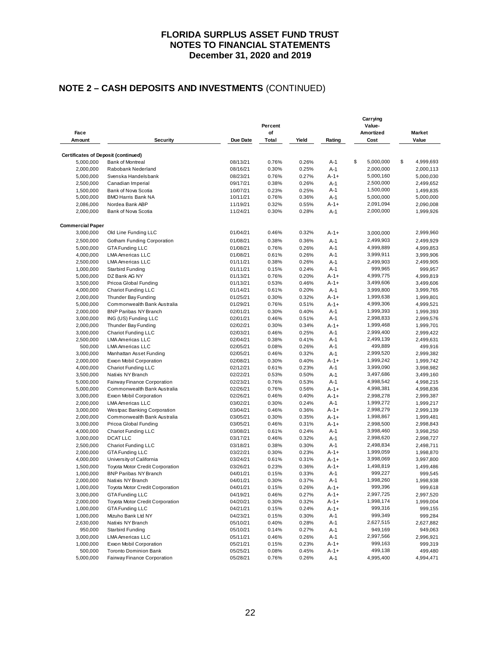# **NOTE 2 – CASH DEPOSITS AND INVESTMENTS** (CONTINUED)

| Face                                       |                                    |          | Percent<br>of |       |           | Value-<br>Amortized | <b>Market</b>   |
|--------------------------------------------|------------------------------------|----------|---------------|-------|-----------|---------------------|-----------------|
| Amount                                     | Security                           | Due Date | Total         | Yield | Rating    | Cost                | Value           |
| <b>Certificates of Deposit (continued)</b> |                                    |          |               |       |           |                     |                 |
| 5,000,000                                  | <b>Bank of Montreal</b>            | 08/13/21 | 0.76%         | 0.26% | $A-1$     | \$<br>5,000,000     | \$<br>4,999,693 |
| 2,000,000                                  | Rabobank Nederland                 | 08/16/21 | 0.30%         | 0.25% | $A-1$     | 2,000,000           | 2,000,113       |
| 5,000,000                                  | Svenska Handelsbank                | 08/23/21 | 0.76%         | 0.27% | $A - 1 +$ | 5,000,160           | 5,000,030       |
| 2,500,000                                  | Canadian Imperial                  | 09/17/21 | 0.38%         | 0.26% | $A-1$     | 2,500,000           | 2,499,652       |
| 1,500,000                                  | Bank of Nova Scotia                | 10/07/21 | 0.23%         | 0.25% | $A-1$     | 1,500,000           | 1,499,835       |
| 5,000,000                                  | <b>BMO Harris Bank NA</b>          | 10/11/21 | 0.76%         | 0.36% | $A-1$     | 5,000,000           | 5,000,000       |
| 2,086,000                                  | Nordea Bank ABP                    | 11/19/21 | 0.32%         | 0.55% | $A - 1 +$ | 2,091,094           | 2,090,008       |
| 2,000,000                                  | Bank of Nova Scotia                | 11/24/21 | 0.30%         | 0.28% | $A-1$     | 2,000,000           | 1,999,926       |
| <b>Commercial Paper</b>                    |                                    |          |               |       |           |                     |                 |
| 3,000,000                                  | Old Line Funding LLC               | 01/04/21 | 0.46%         | 0.32% | $A - 1 +$ | 3,000,000           | 2,999,960       |
| 2,500,000                                  | Gotham Funding Corporation         | 01/08/21 | 0.38%         | 0.36% | $A-1$     | 2,499,903           | 2,499,929       |
| 5,000,000                                  | <b>GTA Funding LLC</b>             | 01/08/21 | 0.76%         | 0.26% | $A-1$     | 4,999,889           | 4,999,853       |
| 4,000,000                                  | <b>LMA Americas LLC</b>            | 01/08/21 | 0.61%         | 0.26% | $A-1$     | 3,999,911           | 3,999,906       |
| 2,500,000                                  | <b>LMA Americas LLC</b>            | 01/11/21 | 0.38%         | 0.26% | $A-1$     | 2,499,903           | 2,499,905       |
| 1,000,000                                  | Starbird Funding                   | 01/11/21 | 0.15%         | 0.24% | $A-1$     | 999,965             | 999,957         |
| 5,000,000                                  | DZ Bank AG NY                      | 01/13/21 | 0.76%         | 0.20% | $A - 1 +$ | 4,999,775           | 4,999,819       |
| 3,500,000                                  | Pricoa Global Funding              | 01/13/21 | 0.53%         | 0.46% | $A - 1 +$ | 3,499,606           | 3,499,606       |
| 4,000,000                                  | <b>Chariot Funding LLC</b>         | 01/14/21 | 0.61%         | 0.20% | $A-1$     | 3,999,800           | 3,999,765       |
| 2,000,000                                  | Thunder Bay Funding                | 01/25/21 | 0.30%         | 0.32% | $A - 1 +$ | 1,999,638           | 1,999,801       |
| 5,000,000                                  | Commonwealth Bank Australia        | 01/29/21 | 0.76%         | 0.51% | $A - 1 +$ | 4,999,306           | 4,999,521       |
| 2,000,000                                  | <b>BNP Paribas NY Branch</b>       | 02/01/21 | 0.30%         | 0.40% | $A-1$     | 1,999,393           | 1,999,393       |
| 3,000,000                                  | ING (US) Funding LLC               | 02/01/21 | 0.46%         | 0.51% | $A-1$     | 2,998,833           | 2,999,576       |
| 2,000,000                                  | Thunder Bay Funding                | 02/02/21 | 0.30%         | 0.34% | $A - 1 +$ | 1,999,468           | 1,999,701       |
| 3,000,000                                  | <b>Chariot Funding LLC</b>         | 02/03/21 | 0.46%         | 0.25% | $A-1$     | 2,999,400           | 2,999,422       |
| 2,500,000                                  | <b>LMA Americas LLC</b>            | 02/04/21 | 0.38%         | 0.41% | $A-1$     | 2,499,139           | 2,499,631       |
| 500,000                                    | <b>LMA Americas LLC</b>            | 02/05/21 | 0.08%         | 0.26% | $A-1$     | 499,889             | 499,916         |
| 3,000,000                                  | Manhattan Asset Funding            | 02/05/21 | 0.46%         | 0.32% | $A-1$     | 2,999,520           | 2,999,382       |
| 2,000,000                                  | Exxon Mobil Corporation            | 02/08/21 | 0.30%         | 0.40% | A-1+      | 1,999,242           | 1,999,742       |
| 4,000,000                                  | <b>Chariot Funding LLC</b>         | 02/12/21 | 0.61%         | 0.23% | $A-1$     | 3,999,090           | 3,998,982       |
| 3,500,000                                  | Natixis NY Branch                  | 02/22/21 | 0.53%         | 0.50% | $A-1$     | 3,497,686           | 3,499,160       |
| 5,000,000                                  | Fairway Finance Corporation        | 02/23/21 | 0.76%         | 0.53% | $A-1$     | 4,998,542           | 4,998,215       |
| 5,000,000                                  | Commonwealth Bank Australia        | 02/26/21 | 0.76%         | 0.56% | $A - 1 +$ | 4,998,381           | 4,998,836       |
| 3,000,000                                  | Exxon Mobil Corporation            | 02/26/21 | 0.46%         | 0.40% | $A - 1 +$ | 2,998,278           | 2,999,387       |
| 2,000,000                                  | <b>LMA Americas LLC</b>            | 03/02/21 | 0.30%         | 0.24% | $A-1$     | 1,999,272           | 1,999,217       |
| 3,000,000                                  | <b>Westpac Banking Corporation</b> | 03/04/21 | 0.46%         | 0.36% | $A - 1 +$ | 2,998,279           | 2,999,139       |
| 2,000,000                                  | Commonwealth Bank Australia        | 03/05/21 | 0.30%         | 0.35% | $A - 1 +$ | 1,998,867           | 1,999,481       |
| 3,000,000                                  | Pricoa Global Funding              | 03/05/21 | 0.46%         | 0.31% | $A - 1 +$ | 2,998,500           | 2,998,843       |
| 4,000,000                                  | Chariot Funding LLC                | 03/08/21 | 0.61%         | 0.24% | $A-1$     | 3,998,460           | 3,998,250       |
| 3,000,000                                  | <b>DCATLLC</b>                     | 03/17/21 | 0.46%         | 0.32% | $A-1$     | 2,998,620           | 2,998,727       |
| 2,500,000                                  | <b>Chariot Funding LLC</b>         | 03/18/21 | 0.38%         | 0.30% | $A-1$     | 2,498,834           | 2,498,711       |
| 2,000,000                                  | <b>GTA Funding LLC</b>             | 03/22/21 | 0.30%         | 0.23% | $A - 1 +$ | 1,999,059           | 1,998,870       |
| 4,000,000                                  | University of California           | 03/24/21 | 0.61%         | 0.31% | $A - 1 +$ | 3,998,069           | 3,997,800       |
| 1,500,000                                  | Toyota Motor Credit Corporation    | 03/26/21 | 0.23%         | 0.36% | $A - 1 +$ | 1,498,819           | 1,499,486       |
| 1,000,000                                  | <b>BNP Paribas NY Branch</b>       | 04/01/21 | 0.15%         | 0.33% | $A-1$     | 999,227             | 999,545         |
| 2,000,000                                  | Natixis NY Branch                  | 04/01/21 | 0.30%         | 0.37% | $A-1$     | 1,998,260           | 1,998,938       |
| 1,000,000                                  | Toyota Motor Credit Corporation    | 04/01/21 | 0.15%         | 0.26% | $A - 1 +$ | 999,396             | 999,618         |
| 3,000,000                                  | <b>GTA Funding LLC</b>             | 04/19/21 | 0.46%         | 0.27% | $A - 1 +$ | 2,997,725           | 2,997,520       |
| 2,000,000                                  | Toyota Motor Credit Corporation    | 04/20/21 | 0.30%         | 0.32% | $A - 1 +$ | 1,998,174           | 1,999,004       |
| 1,000,000                                  | <b>GTA Funding LLC</b>             | 04/21/21 | 0.15%         | 0.24% | $A - 1 +$ | 999,316             | 999,155         |
| 1,000,000                                  | Mizuho Bank Ltd NY                 | 04/23/21 | 0.15%         | 0.30% | $A-1$     | 999,349             | 999,284         |
| 2,630,000                                  | Natixis NY Branch                  | 05/10/21 | 0.40%         | 0.28% | $A-1$     | 2,627,515           | 2,627,882       |
| 950,000                                    | <b>Starbird Funding</b>            | 05/10/21 | 0.14%         | 0.27% | $A-1$     | 949,169             | 949,063         |
| 3,000,000                                  | LMA Americas LLC                   | 05/11/21 | 0.46%         | 0.26% | $A-1$     | 2,997,566           | 2,996,921       |
| 1,000,000                                  | Exxon Mobil Corporation            | 05/21/21 | 0.15%         | 0.23% | $A - 1 +$ | 999,163             | 999,319         |
| 500,000                                    | <b>Toronto Dominion Bank</b>       | 05/25/21 | 0.08%         | 0.45% | $A - 1 +$ | 499,138             | 499,480         |
| 5,000,000                                  | Fairway Finance Corporation        | 05/28/21 | 0.76%         | 0.26% | $A-1$     | 4,995,400           | 4,994,471       |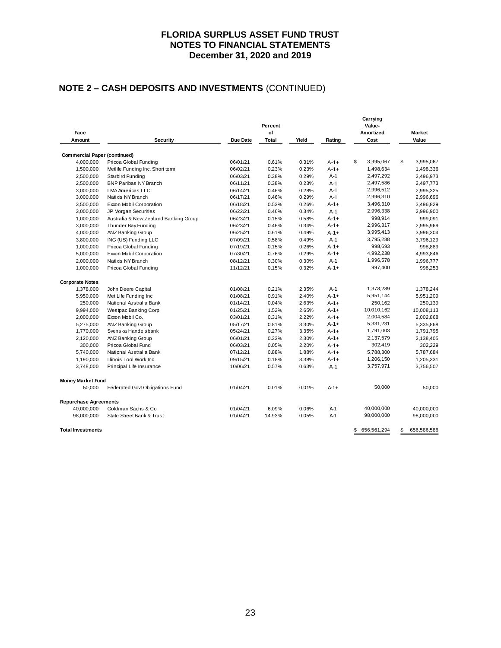# **NOTE 2 – CASH DEPOSITS AND INVESTMENTS** (CONTINUED)

| Face                                |                                                     |          | Percent<br>of  |       |                     | Carrying<br>Value-<br>Amortized | <b>Market</b>          |
|-------------------------------------|-----------------------------------------------------|----------|----------------|-------|---------------------|---------------------------------|------------------------|
| Amount                              | Security                                            | Due Date | Total          | Yield | Rating              | Cost                            | Value                  |
|                                     |                                                     |          |                |       |                     |                                 |                        |
| <b>Commercial Paper (continued)</b> |                                                     | 06/01/21 | 0.61%          | 0.31% |                     | \$<br>3,995,067                 | \$<br>3,995,067        |
| 4,000,000                           | Pricoa Global Funding                               | 06/02/21 | 0.23%          | 0.23% | $A - 1 +$<br>$A-1+$ | 1,498,634                       | 1,498,336              |
| 1,500,000<br>2,500,000              | Metlife Funding Inc. Short term<br>Starbird Funding | 06/03/21 | 0.38%          | 0.29% | $A-1$               | 2,497,292                       | 2,496,973              |
|                                     | <b>BNP Paribas NY Branch</b>                        | 06/11/21 |                | 0.23% | $A-1$               | 2,497,586                       |                        |
| 2,500,000<br>3,000,000              | <b>LMA Americas LLC</b>                             | 06/14/21 | 0.38%<br>0.46% | 0.28% | $A-1$               | 2,996,512                       | 2,497,773<br>2,995,325 |
| 3,000,000                           | Natixis NY Branch                                   | 06/17/21 | 0.46%          | 0.29% | $A-1$               | 2,996,310                       | 2,996,696              |
| 3,500,000                           | Exxon Mobil Corporation                             | 06/18/21 | 0.53%          | 0.26% | $A-1+$              | 3,496,310                       | 3,496,829              |
| 3,000,000                           | JP Morgan Securities                                | 06/22/21 | 0.46%          | 0.34% | $A-1$               | 2,996,338                       | 2,996,900              |
| 1,000,000                           | Australia & New Zealand Banking Group               | 06/23/21 | 0.15%          | 0.58% | $A-1+$              | 998,914                         | 999,091                |
| 3,000,000                           | Thunder Bay Funding                                 | 06/23/21 | 0.46%          | 0.34% | $A-1+$              | 2,996,317                       | 2,995,969              |
| 4,000,000                           | <b>ANZ Banking Group</b>                            | 06/25/21 | 0.61%          | 0.49% | $A-1+$              | 3,995,413                       | 3,996,304              |
| 3,800,000                           | ING (US) Funding LLC                                | 07/09/21 | 0.58%          | 0.49% | $A-1$               | 3,795,288                       | 3,796,129              |
| 1,000,000                           | Pricoa Global Funding                               | 07/19/21 | 0.15%          | 0.26% | $A-1+$              | 998,693                         | 998,889                |
| 5,000,000                           | Exxon Mobil Corporation                             | 07/30/21 | 0.76%          | 0.29% | $A - 1 +$           | 4,992,238                       | 4,993,846              |
| 2,000,000                           | Natixis NY Branch                                   | 08/12/21 | 0.30%          | 0.30% | $A-1$               | 1,996,578                       | 1,996,777              |
| 1,000,000                           | Pricoa Global Funding                               | 11/12/21 | 0.15%          | 0.32% | $A - 1 +$           | 997,400                         | 998,253                |
| <b>Corporate Notes</b>              |                                                     |          |                |       |                     |                                 |                        |
| 1,378,000                           | John Deere Capital                                  | 01/08/21 | 0.21%          | 2.35% | $A-1$               | 1,378,289                       | 1,378,244              |
| 5,950,000                           | Met Life Funding Inc                                | 01/08/21 | 0.91%          | 2.40% | $A - 1 +$           | 5,951,144                       | 5,951,209              |
| 250,000                             | National Australia Bank                             | 01/14/21 | 0.04%          | 2.63% | $A-1+$              | 250,162                         | 250,139                |
| 9,994,000                           | Westpac Banking Corp                                | 01/25/21 | 1.52%          | 2.65% | $A-1+$              | 10,010,162                      | 10,008,113             |
| 2,000,000                           | Exxon Mobil Co.                                     | 03/01/21 | 0.31%          | 2.22% | $A-1+$              | 2,004,584                       | 2,002,868              |
| 5,275,000                           | ANZ Banking Group                                   | 05/17/21 | 0.81%          | 3.30% | $A-1+$              | 5,331,231                       | 5,335,868              |
| 1,770,000                           | Svenska Handelsbank                                 | 05/24/21 | 0.27%          | 3.35% | $A - 1 +$           | 1,791,003                       | 1,791,795              |
| 2,120,000                           | <b>ANZ Banking Group</b>                            | 06/01/21 | 0.33%          | 2.30% | $A-1+$              | 2,137,579                       | 2,138,405              |
| 300,000                             | Pricoa Global Fund                                  | 06/03/21 | 0.05%          | 2.20% | $A - 1 +$           | 302,419                         | 302,229                |
| 5,740,000                           | National Australia Bank                             | 07/12/21 | 0.88%          | 1.88% | $A-1+$              | 5,788,300                       | 5,787,684              |
| 1,190,000                           | Illinois Tool Work Inc.                             | 09/15/21 | 0.18%          | 3.38% | $A - 1 +$           | 1,206,150                       | 1,205,331              |
| 3,748,000                           | Principal Life Insurance                            | 10/06/21 | 0.57%          | 0.63% | $A-1$               | 3,757,971                       | 3,756,507              |
| <b>Money Market Fund</b>            |                                                     |          |                |       |                     |                                 |                        |
| 50,000                              | Federated Govt Obligations Fund                     | 01/04/21 | 0.01%          | 0.01% | $A-1+$              | 50,000                          | 50.000                 |
| <b>Repurchase Agreements</b>        |                                                     |          |                |       |                     |                                 |                        |
| 40,000,000                          | Goldman Sachs & Co.                                 | 01/04/21 | 6.09%          | 0.06% | $A-1$               | 40,000,000                      | 40,000,000             |
| 98,000,000                          | State Street Bank & Trust                           | 01/04/21 | 14.93%         | 0.05% | $A-1$               | 98,000,000                      | 98,000,000             |
| <b>Total Investments</b>            |                                                     |          |                |       |                     | \$<br>656,561,294               | \$<br>656,586,586      |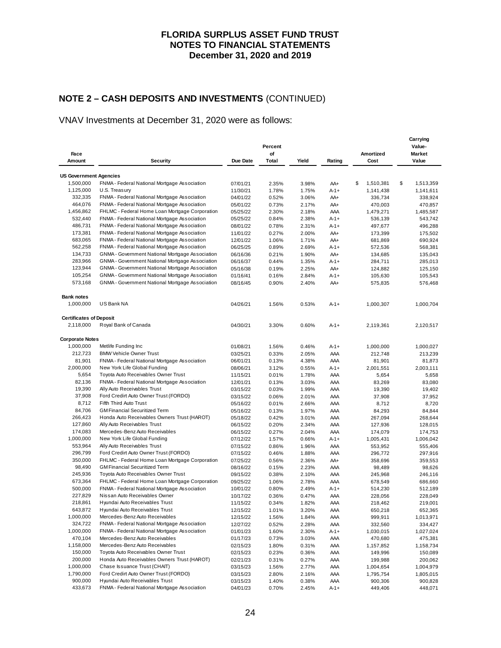# **NOTE 2 – CASH DEPOSITS AND INVESTMENTS** (CONTINUED)

## VNAV Investments at December 31, 2020 were as follows:

| Yield<br>Value<br>Amount<br><b>Security</b><br>Due Date<br>Total<br>Rating<br>Cost<br><b>US Government Agencies</b><br>1,500,000<br>\$<br>FNMA - Federal National Mortgage Association<br>\$<br>1,510,381<br>1,513,359<br>07/01/21<br>2.35%<br>3.98%<br>AA+<br>1,125,000<br>U.S. Treasury<br>11/30/21<br>1.78%<br>1.75%<br>$A - 1 +$<br>1,141,438<br>1,141,611<br>332,335<br>FNMA - Federal National Mortgage Association<br>04/01/22<br>0.52%<br>3.06%<br>336,734<br>338,924<br>AA+<br>464,076<br>FNMA - Federal National Mortgage Association<br>470,857<br>05/01/22<br>0.73%<br>2.17%<br>AA+<br>470,003<br>1,456,862<br>FHLMC - Federal Home Loan Mortgage Corporation<br>2.18%<br>05/25/22<br>2.30%<br>AAA<br>1,479,271<br>1,485,587<br>532,440<br>FNMA - Federal National Mortgage Association<br>2.38%<br>543,742<br>05/25/22<br>0.84%<br>$A - 1 +$<br>536,139<br>486,731<br>FNMA - Federal National Mortgage Association<br>08/01/22<br>0.78%<br>2.31%<br>496,288<br>$A - 1 +$<br>497,677<br>173,381<br>FNMA - Federal National Mortgage Association<br>0.27%<br>2.00%<br>AA+<br>11/01/22<br>173,399<br>175,502<br>683,065<br>FNMA - Federal National Mortgage Association<br>12/01/22<br>1.06%<br>1.71%<br>AA+<br>681,869<br>690,924<br>562,258<br>FNMA - Federal National Mortgage Association<br>06/25/25<br>0.89%<br>2.69%<br>$A - 1 +$<br>572,536<br>568,381<br>134,733<br>GNMA - Government National Mortgage Association<br>1.90%<br>06/16/36<br>0.21%<br>AA+<br>134,685<br>135,043<br>283,966<br>GNMA - Government National Mortgage Association<br>1.35%<br>285,013<br>06/16/37<br>0.44%<br>$A - 1 +$<br>284,711<br>123,944<br>GNMA - Government National Mortgage Association<br>2.25%<br>125,150<br>05/16/38<br>0.19%<br>AA+<br>124,882<br>105,254<br>GNMA - Government National Mortgage Association<br>01/16/41<br>0.16%<br>2.84%<br>$A - 1 +$<br>105,630<br>105,543<br>573,168<br>GNMA - Government National Mortgage Association<br>08/16/45<br>0.90%<br>2.40%<br>AA+<br>575,835<br>576,468<br><b>Bank notes</b><br>1,000,000<br>US Bank NA<br>04/26/21<br>1.56%<br>0.53%<br>$A - 1 +$<br>1,000,307<br>1,000,704<br><b>Certificates of Deposit</b><br>2,118,000<br>Royal Bank of Canada<br>04/30/21<br>3.30%<br>0.60%<br>$A - 1 +$<br>2,119,361<br>2,120,517<br><b>Corporate Notes</b><br>1,000,000<br>Metlife Funding Inc<br>01/08/21<br>1.56%<br>0.46%<br>$A - 1 +$<br>1,000,000<br>1,000,027<br>212,723<br><b>BMW Vehicle Owner Trust</b><br>03/25/21<br>0.33%<br>2.05%<br>AAA<br>212,748<br>213,239<br>81,901<br>FNMA - Federal National Mortgage Association<br>AAA<br>06/01/21<br>0.13%<br>4.38%<br>81,901<br>81,873<br>2,000,000<br>New York Life Global Funding<br>08/06/21<br>3.12%<br>0.55%<br>$A - 1 +$<br>2,001,551<br>2,003,111<br>5,654<br>Toyota Auto Receivables Owner Trust<br>11/15/21<br>0.01%<br>1.78%<br>AAA<br>5,654<br>5,658<br>82,136<br>FNMA - Federal National Mortgage Association<br>0.13%<br>3.03%<br>AAA<br>83,269<br>83,080<br>12/01/21<br>19,390<br>Ally Auto Receivables Trust<br>1.99%<br>19,402<br>03/15/22<br>0.03%<br>AAA<br>19,390<br>37,908<br>Ford Credirt Auto Owner Trust (FORDO)<br>0.06%<br>2.01%<br>AAA<br>37,908<br>37,952<br>03/15/22<br>8,712<br>Fifth Third Auto Trust<br>0.01%<br>2.66%<br>8,712<br>8,720<br>05/16/22<br>AAA<br>84,706<br><b>GM Financial Securitized Term</b><br>05/16/22<br>0.13%<br>1.97%<br>AAA<br>84,293<br>84,844<br>266,423<br>Honda Auto Receivables Owners Trust (HAROT)<br>268,644<br>05/18/22<br>0.42%<br>3.01%<br>AAA<br>267,094<br>127,860<br>Ally Auto Receivables Trust<br>06/15/22<br>0.20%<br>2.34%<br>AAA<br>127,936<br>128,015<br>174,083<br>Mercedes-Benz Auto Receivables<br>174,753<br>06/15/22<br>0.27%<br>2.04%<br>AAA<br>174,079<br>1,000,000<br>New York Life Global Funding<br>07/12/22<br>1.57%<br>0.66%<br>$A - 1 +$<br>1,005,431<br>1,006,042<br>553,964<br>Ally Auto Receivables Trust<br>07/15/22<br>0.86%<br>1.96%<br>AAA<br>553,952<br>555,406<br>296,799<br>Ford Credirt Auto Owner Trust (FORDO)<br>07/15/22<br>0.46%<br>1.88%<br>AAA<br>296,772<br>297,916<br>350,000<br>FHLMC - Federal Home Loan Mortgage Corporation<br>07/25/22<br>359,553<br>0.56%<br>2.36%<br>AA+<br>358,696<br>98,490<br><b>GM Financial Securitized Term</b><br>2.23%<br>98,626<br>08/16/22<br>0.15%<br>AAA<br>98,489<br>245,936<br>Toyota Auto Receivables Owner Trust<br>09/15/22<br>0.38%<br>2.10%<br>AAA<br>245,968<br>246,116<br>673,364<br>FHLMC - Federal Home Loan Mortgage Corporation<br>2.78%<br>09/25/22<br>1.06%<br>AAA<br>678,549<br>686,660<br>500,000<br>FNMA - Federal National Mortgage Association<br>0.80%<br>2.49%<br>10/01/22<br>A-1+<br>514,230<br>512,189<br>227,829<br>Nissan Auto Receivables Owner<br>10/17/22<br>0.36%<br>0.47%<br>AAA<br>228,056<br>228,049<br>218,861<br>Hyundai Auto Receivables Trust<br>1.82%<br>11/15/22<br>0.34%<br>AAA<br>218,462<br>219,001<br>643,872<br>Hyundai Auto Receivables Trust<br>12/15/22<br>1.01%<br>3.20%<br>AAA<br>652,365<br>650,218<br>1,000,000<br>Mercedes-Benz Auto Receivables<br>1,013,971<br>12/15/22<br>1.56%<br>1.84%<br>AAA<br>999,911<br>324,722<br>FNMA - Federal National Mortgage Association<br>0.52%<br>334,427<br>12/27/22<br>2.28%<br>AAA<br>332,560<br>1,000,000<br>FNMA - Federal National Mortgage Association<br>1,030,015<br>1,027,024<br>01/01/23<br>1.60%<br>2.30%<br>$A - 1 +$<br>470,104<br>Mercedes-Benz Auto Receivables<br>01/17/23<br>0.73%<br>3.03%<br>AAA<br>470,680<br>475,381<br>1,158,000<br>Mercedes-Benz Auto Receivables<br>02/15/23<br>1.80%<br>0.31%<br>AAA<br>1,157,852<br>1,158,734<br>150,000<br>Toyota Auto Receivables Owner Trust<br>149,996<br>02/15/23<br>0.23%<br>0.36%<br>AAA<br>150,089<br>200,000<br>Honda Auto Receivables Owners Trust (HAROT)<br>200,062<br>02/21/23<br>0.31%<br>0.27%<br>AAA<br>199,988<br>1,000,000<br>Chase Issuance Trust (CHAIT)<br>03/15/23<br>1.56%<br>2.77%<br>AAA<br>1,004,654<br>1,004,979<br>1,790,000<br>Ford Credirt Auto Owner Trust (FORDO)<br>03/15/23<br>2.80%<br>2.16%<br>AAA<br>1,795,754<br>1,805,015<br>900,000<br>Hyundai Auto Receivables Trust<br>03/15/23<br>1.40%<br>0.38%<br>AAA<br>900,306<br>900,828<br>433,673<br>FNMA - Federal National Mortgage Association<br>04/01/23<br>0.70%<br>449,406<br>448,071<br>2.45%<br>A-1+ | Face |  | Percent<br>of |  | Amortized | Carrying<br>Value-<br><b>Market</b> |
|-----------------------------------------------------------------------------------------------------------------------------------------------------------------------------------------------------------------------------------------------------------------------------------------------------------------------------------------------------------------------------------------------------------------------------------------------------------------------------------------------------------------------------------------------------------------------------------------------------------------------------------------------------------------------------------------------------------------------------------------------------------------------------------------------------------------------------------------------------------------------------------------------------------------------------------------------------------------------------------------------------------------------------------------------------------------------------------------------------------------------------------------------------------------------------------------------------------------------------------------------------------------------------------------------------------------------------------------------------------------------------------------------------------------------------------------------------------------------------------------------------------------------------------------------------------------------------------------------------------------------------------------------------------------------------------------------------------------------------------------------------------------------------------------------------------------------------------------------------------------------------------------------------------------------------------------------------------------------------------------------------------------------------------------------------------------------------------------------------------------------------------------------------------------------------------------------------------------------------------------------------------------------------------------------------------------------------------------------------------------------------------------------------------------------------------------------------------------------------------------------------------------------------------------------------------------------------------------------------------------------------------------------------------------------------------------------------------------------------------------------------------------------------------------------------------------------------------------------------------------------------------------------------------------------------------------------------------------------------------------------------------------------------------------------------------------------------------------------------------------------------------------------------------------------------------------------------------------------------------------------------------------------------------------------------------------------------------------------------------------------------------------------------------------------------------------------------------------------------------------------------------------------------------------------------------------------------------------------------------------------------------------------------------------------------------------------------------------------------------------------------------------------------------------------------------------------------------------------------------------------------------------------------------------------------------------------------------------------------------------------------------------------------------------------------------------------------------------------------------------------------------------------------------------------------------------------------------------------------------------------------------------------------------------------------------------------------------------------------------------------------------------------------------------------------------------------------------------------------------------------------------------------------------------------------------------------------------------------------------------------------------------------------------------------------------------------------------------------------------------------------------------------------------------------------------------------------------------------------------------------------------------------------------------------------------------------------------------------------------------------------------------------------------------------------------------------------------------------------------------------------------------------------------------------------------------------------------------------------------------------------------------------------------------------------------------------------------------------------------------------------------------------------------------------------------------------------------------------------------------------------------------------------------------------------------------------------------------------------------------------------------------------------------------------------------------------------------------------------------------------------------------------------------------------------------------------------------------------------------------------------------------------------------------------------------------------------------------------------------------------------------------------------------------------------------------------------------------------------------------------------------------------------------------------------------------------------------------------------------------------------------------------------------------------------------|------|--|---------------|--|-----------|-------------------------------------|
|                                                                                                                                                                                                                                                                                                                                                                                                                                                                                                                                                                                                                                                                                                                                                                                                                                                                                                                                                                                                                                                                                                                                                                                                                                                                                                                                                                                                                                                                                                                                                                                                                                                                                                                                                                                                                                                                                                                                                                                                                                                                                                                                                                                                                                                                                                                                                                                                                                                                                                                                                                                                                                                                                                                                                                                                                                                                                                                                                                                                                                                                                                                                                                                                                                                                                                                                                                                                                                                                                                                                                                                                                                                                                                                                                                                                                                                                                                                                                                                                                                                                                                                                                                                                                                                                                                                                                                                                                                                                                                                                                                                                                                                                                                                                                                                                                                                                                                                                                                                                                                                                                                                                                                                                                                                                                                                                                                                                                                                                                                                                                                                                                                                                                                                                                                                                                                                                                                                                                                                                                                                                                                                                                                                                                                                                                                           |      |  |               |  |           |                                     |
|                                                                                                                                                                                                                                                                                                                                                                                                                                                                                                                                                                                                                                                                                                                                                                                                                                                                                                                                                                                                                                                                                                                                                                                                                                                                                                                                                                                                                                                                                                                                                                                                                                                                                                                                                                                                                                                                                                                                                                                                                                                                                                                                                                                                                                                                                                                                                                                                                                                                                                                                                                                                                                                                                                                                                                                                                                                                                                                                                                                                                                                                                                                                                                                                                                                                                                                                                                                                                                                                                                                                                                                                                                                                                                                                                                                                                                                                                                                                                                                                                                                                                                                                                                                                                                                                                                                                                                                                                                                                                                                                                                                                                                                                                                                                                                                                                                                                                                                                                                                                                                                                                                                                                                                                                                                                                                                                                                                                                                                                                                                                                                                                                                                                                                                                                                                                                                                                                                                                                                                                                                                                                                                                                                                                                                                                                                           |      |  |               |  |           |                                     |
|                                                                                                                                                                                                                                                                                                                                                                                                                                                                                                                                                                                                                                                                                                                                                                                                                                                                                                                                                                                                                                                                                                                                                                                                                                                                                                                                                                                                                                                                                                                                                                                                                                                                                                                                                                                                                                                                                                                                                                                                                                                                                                                                                                                                                                                                                                                                                                                                                                                                                                                                                                                                                                                                                                                                                                                                                                                                                                                                                                                                                                                                                                                                                                                                                                                                                                                                                                                                                                                                                                                                                                                                                                                                                                                                                                                                                                                                                                                                                                                                                                                                                                                                                                                                                                                                                                                                                                                                                                                                                                                                                                                                                                                                                                                                                                                                                                                                                                                                                                                                                                                                                                                                                                                                                                                                                                                                                                                                                                                                                                                                                                                                                                                                                                                                                                                                                                                                                                                                                                                                                                                                                                                                                                                                                                                                                                           |      |  |               |  |           |                                     |
|                                                                                                                                                                                                                                                                                                                                                                                                                                                                                                                                                                                                                                                                                                                                                                                                                                                                                                                                                                                                                                                                                                                                                                                                                                                                                                                                                                                                                                                                                                                                                                                                                                                                                                                                                                                                                                                                                                                                                                                                                                                                                                                                                                                                                                                                                                                                                                                                                                                                                                                                                                                                                                                                                                                                                                                                                                                                                                                                                                                                                                                                                                                                                                                                                                                                                                                                                                                                                                                                                                                                                                                                                                                                                                                                                                                                                                                                                                                                                                                                                                                                                                                                                                                                                                                                                                                                                                                                                                                                                                                                                                                                                                                                                                                                                                                                                                                                                                                                                                                                                                                                                                                                                                                                                                                                                                                                                                                                                                                                                                                                                                                                                                                                                                                                                                                                                                                                                                                                                                                                                                                                                                                                                                                                                                                                                                           |      |  |               |  |           |                                     |
|                                                                                                                                                                                                                                                                                                                                                                                                                                                                                                                                                                                                                                                                                                                                                                                                                                                                                                                                                                                                                                                                                                                                                                                                                                                                                                                                                                                                                                                                                                                                                                                                                                                                                                                                                                                                                                                                                                                                                                                                                                                                                                                                                                                                                                                                                                                                                                                                                                                                                                                                                                                                                                                                                                                                                                                                                                                                                                                                                                                                                                                                                                                                                                                                                                                                                                                                                                                                                                                                                                                                                                                                                                                                                                                                                                                                                                                                                                                                                                                                                                                                                                                                                                                                                                                                                                                                                                                                                                                                                                                                                                                                                                                                                                                                                                                                                                                                                                                                                                                                                                                                                                                                                                                                                                                                                                                                                                                                                                                                                                                                                                                                                                                                                                                                                                                                                                                                                                                                                                                                                                                                                                                                                                                                                                                                                                           |      |  |               |  |           |                                     |
|                                                                                                                                                                                                                                                                                                                                                                                                                                                                                                                                                                                                                                                                                                                                                                                                                                                                                                                                                                                                                                                                                                                                                                                                                                                                                                                                                                                                                                                                                                                                                                                                                                                                                                                                                                                                                                                                                                                                                                                                                                                                                                                                                                                                                                                                                                                                                                                                                                                                                                                                                                                                                                                                                                                                                                                                                                                                                                                                                                                                                                                                                                                                                                                                                                                                                                                                                                                                                                                                                                                                                                                                                                                                                                                                                                                                                                                                                                                                                                                                                                                                                                                                                                                                                                                                                                                                                                                                                                                                                                                                                                                                                                                                                                                                                                                                                                                                                                                                                                                                                                                                                                                                                                                                                                                                                                                                                                                                                                                                                                                                                                                                                                                                                                                                                                                                                                                                                                                                                                                                                                                                                                                                                                                                                                                                                                           |      |  |               |  |           |                                     |
|                                                                                                                                                                                                                                                                                                                                                                                                                                                                                                                                                                                                                                                                                                                                                                                                                                                                                                                                                                                                                                                                                                                                                                                                                                                                                                                                                                                                                                                                                                                                                                                                                                                                                                                                                                                                                                                                                                                                                                                                                                                                                                                                                                                                                                                                                                                                                                                                                                                                                                                                                                                                                                                                                                                                                                                                                                                                                                                                                                                                                                                                                                                                                                                                                                                                                                                                                                                                                                                                                                                                                                                                                                                                                                                                                                                                                                                                                                                                                                                                                                                                                                                                                                                                                                                                                                                                                                                                                                                                                                                                                                                                                                                                                                                                                                                                                                                                                                                                                                                                                                                                                                                                                                                                                                                                                                                                                                                                                                                                                                                                                                                                                                                                                                                                                                                                                                                                                                                                                                                                                                                                                                                                                                                                                                                                                                           |      |  |               |  |           |                                     |
|                                                                                                                                                                                                                                                                                                                                                                                                                                                                                                                                                                                                                                                                                                                                                                                                                                                                                                                                                                                                                                                                                                                                                                                                                                                                                                                                                                                                                                                                                                                                                                                                                                                                                                                                                                                                                                                                                                                                                                                                                                                                                                                                                                                                                                                                                                                                                                                                                                                                                                                                                                                                                                                                                                                                                                                                                                                                                                                                                                                                                                                                                                                                                                                                                                                                                                                                                                                                                                                                                                                                                                                                                                                                                                                                                                                                                                                                                                                                                                                                                                                                                                                                                                                                                                                                                                                                                                                                                                                                                                                                                                                                                                                                                                                                                                                                                                                                                                                                                                                                                                                                                                                                                                                                                                                                                                                                                                                                                                                                                                                                                                                                                                                                                                                                                                                                                                                                                                                                                                                                                                                                                                                                                                                                                                                                                                           |      |  |               |  |           |                                     |
|                                                                                                                                                                                                                                                                                                                                                                                                                                                                                                                                                                                                                                                                                                                                                                                                                                                                                                                                                                                                                                                                                                                                                                                                                                                                                                                                                                                                                                                                                                                                                                                                                                                                                                                                                                                                                                                                                                                                                                                                                                                                                                                                                                                                                                                                                                                                                                                                                                                                                                                                                                                                                                                                                                                                                                                                                                                                                                                                                                                                                                                                                                                                                                                                                                                                                                                                                                                                                                                                                                                                                                                                                                                                                                                                                                                                                                                                                                                                                                                                                                                                                                                                                                                                                                                                                                                                                                                                                                                                                                                                                                                                                                                                                                                                                                                                                                                                                                                                                                                                                                                                                                                                                                                                                                                                                                                                                                                                                                                                                                                                                                                                                                                                                                                                                                                                                                                                                                                                                                                                                                                                                                                                                                                                                                                                                                           |      |  |               |  |           |                                     |
|                                                                                                                                                                                                                                                                                                                                                                                                                                                                                                                                                                                                                                                                                                                                                                                                                                                                                                                                                                                                                                                                                                                                                                                                                                                                                                                                                                                                                                                                                                                                                                                                                                                                                                                                                                                                                                                                                                                                                                                                                                                                                                                                                                                                                                                                                                                                                                                                                                                                                                                                                                                                                                                                                                                                                                                                                                                                                                                                                                                                                                                                                                                                                                                                                                                                                                                                                                                                                                                                                                                                                                                                                                                                                                                                                                                                                                                                                                                                                                                                                                                                                                                                                                                                                                                                                                                                                                                                                                                                                                                                                                                                                                                                                                                                                                                                                                                                                                                                                                                                                                                                                                                                                                                                                                                                                                                                                                                                                                                                                                                                                                                                                                                                                                                                                                                                                                                                                                                                                                                                                                                                                                                                                                                                                                                                                                           |      |  |               |  |           |                                     |
|                                                                                                                                                                                                                                                                                                                                                                                                                                                                                                                                                                                                                                                                                                                                                                                                                                                                                                                                                                                                                                                                                                                                                                                                                                                                                                                                                                                                                                                                                                                                                                                                                                                                                                                                                                                                                                                                                                                                                                                                                                                                                                                                                                                                                                                                                                                                                                                                                                                                                                                                                                                                                                                                                                                                                                                                                                                                                                                                                                                                                                                                                                                                                                                                                                                                                                                                                                                                                                                                                                                                                                                                                                                                                                                                                                                                                                                                                                                                                                                                                                                                                                                                                                                                                                                                                                                                                                                                                                                                                                                                                                                                                                                                                                                                                                                                                                                                                                                                                                                                                                                                                                                                                                                                                                                                                                                                                                                                                                                                                                                                                                                                                                                                                                                                                                                                                                                                                                                                                                                                                                                                                                                                                                                                                                                                                                           |      |  |               |  |           |                                     |
|                                                                                                                                                                                                                                                                                                                                                                                                                                                                                                                                                                                                                                                                                                                                                                                                                                                                                                                                                                                                                                                                                                                                                                                                                                                                                                                                                                                                                                                                                                                                                                                                                                                                                                                                                                                                                                                                                                                                                                                                                                                                                                                                                                                                                                                                                                                                                                                                                                                                                                                                                                                                                                                                                                                                                                                                                                                                                                                                                                                                                                                                                                                                                                                                                                                                                                                                                                                                                                                                                                                                                                                                                                                                                                                                                                                                                                                                                                                                                                                                                                                                                                                                                                                                                                                                                                                                                                                                                                                                                                                                                                                                                                                                                                                                                                                                                                                                                                                                                                                                                                                                                                                                                                                                                                                                                                                                                                                                                                                                                                                                                                                                                                                                                                                                                                                                                                                                                                                                                                                                                                                                                                                                                                                                                                                                                                           |      |  |               |  |           |                                     |
|                                                                                                                                                                                                                                                                                                                                                                                                                                                                                                                                                                                                                                                                                                                                                                                                                                                                                                                                                                                                                                                                                                                                                                                                                                                                                                                                                                                                                                                                                                                                                                                                                                                                                                                                                                                                                                                                                                                                                                                                                                                                                                                                                                                                                                                                                                                                                                                                                                                                                                                                                                                                                                                                                                                                                                                                                                                                                                                                                                                                                                                                                                                                                                                                                                                                                                                                                                                                                                                                                                                                                                                                                                                                                                                                                                                                                                                                                                                                                                                                                                                                                                                                                                                                                                                                                                                                                                                                                                                                                                                                                                                                                                                                                                                                                                                                                                                                                                                                                                                                                                                                                                                                                                                                                                                                                                                                                                                                                                                                                                                                                                                                                                                                                                                                                                                                                                                                                                                                                                                                                                                                                                                                                                                                                                                                                                           |      |  |               |  |           |                                     |
|                                                                                                                                                                                                                                                                                                                                                                                                                                                                                                                                                                                                                                                                                                                                                                                                                                                                                                                                                                                                                                                                                                                                                                                                                                                                                                                                                                                                                                                                                                                                                                                                                                                                                                                                                                                                                                                                                                                                                                                                                                                                                                                                                                                                                                                                                                                                                                                                                                                                                                                                                                                                                                                                                                                                                                                                                                                                                                                                                                                                                                                                                                                                                                                                                                                                                                                                                                                                                                                                                                                                                                                                                                                                                                                                                                                                                                                                                                                                                                                                                                                                                                                                                                                                                                                                                                                                                                                                                                                                                                                                                                                                                                                                                                                                                                                                                                                                                                                                                                                                                                                                                                                                                                                                                                                                                                                                                                                                                                                                                                                                                                                                                                                                                                                                                                                                                                                                                                                                                                                                                                                                                                                                                                                                                                                                                                           |      |  |               |  |           |                                     |
|                                                                                                                                                                                                                                                                                                                                                                                                                                                                                                                                                                                                                                                                                                                                                                                                                                                                                                                                                                                                                                                                                                                                                                                                                                                                                                                                                                                                                                                                                                                                                                                                                                                                                                                                                                                                                                                                                                                                                                                                                                                                                                                                                                                                                                                                                                                                                                                                                                                                                                                                                                                                                                                                                                                                                                                                                                                                                                                                                                                                                                                                                                                                                                                                                                                                                                                                                                                                                                                                                                                                                                                                                                                                                                                                                                                                                                                                                                                                                                                                                                                                                                                                                                                                                                                                                                                                                                                                                                                                                                                                                                                                                                                                                                                                                                                                                                                                                                                                                                                                                                                                                                                                                                                                                                                                                                                                                                                                                                                                                                                                                                                                                                                                                                                                                                                                                                                                                                                                                                                                                                                                                                                                                                                                                                                                                                           |      |  |               |  |           |                                     |
|                                                                                                                                                                                                                                                                                                                                                                                                                                                                                                                                                                                                                                                                                                                                                                                                                                                                                                                                                                                                                                                                                                                                                                                                                                                                                                                                                                                                                                                                                                                                                                                                                                                                                                                                                                                                                                                                                                                                                                                                                                                                                                                                                                                                                                                                                                                                                                                                                                                                                                                                                                                                                                                                                                                                                                                                                                                                                                                                                                                                                                                                                                                                                                                                                                                                                                                                                                                                                                                                                                                                                                                                                                                                                                                                                                                                                                                                                                                                                                                                                                                                                                                                                                                                                                                                                                                                                                                                                                                                                                                                                                                                                                                                                                                                                                                                                                                                                                                                                                                                                                                                                                                                                                                                                                                                                                                                                                                                                                                                                                                                                                                                                                                                                                                                                                                                                                                                                                                                                                                                                                                                                                                                                                                                                                                                                                           |      |  |               |  |           |                                     |
|                                                                                                                                                                                                                                                                                                                                                                                                                                                                                                                                                                                                                                                                                                                                                                                                                                                                                                                                                                                                                                                                                                                                                                                                                                                                                                                                                                                                                                                                                                                                                                                                                                                                                                                                                                                                                                                                                                                                                                                                                                                                                                                                                                                                                                                                                                                                                                                                                                                                                                                                                                                                                                                                                                                                                                                                                                                                                                                                                                                                                                                                                                                                                                                                                                                                                                                                                                                                                                                                                                                                                                                                                                                                                                                                                                                                                                                                                                                                                                                                                                                                                                                                                                                                                                                                                                                                                                                                                                                                                                                                                                                                                                                                                                                                                                                                                                                                                                                                                                                                                                                                                                                                                                                                                                                                                                                                                                                                                                                                                                                                                                                                                                                                                                                                                                                                                                                                                                                                                                                                                                                                                                                                                                                                                                                                                                           |      |  |               |  |           |                                     |
|                                                                                                                                                                                                                                                                                                                                                                                                                                                                                                                                                                                                                                                                                                                                                                                                                                                                                                                                                                                                                                                                                                                                                                                                                                                                                                                                                                                                                                                                                                                                                                                                                                                                                                                                                                                                                                                                                                                                                                                                                                                                                                                                                                                                                                                                                                                                                                                                                                                                                                                                                                                                                                                                                                                                                                                                                                                                                                                                                                                                                                                                                                                                                                                                                                                                                                                                                                                                                                                                                                                                                                                                                                                                                                                                                                                                                                                                                                                                                                                                                                                                                                                                                                                                                                                                                                                                                                                                                                                                                                                                                                                                                                                                                                                                                                                                                                                                                                                                                                                                                                                                                                                                                                                                                                                                                                                                                                                                                                                                                                                                                                                                                                                                                                                                                                                                                                                                                                                                                                                                                                                                                                                                                                                                                                                                                                           |      |  |               |  |           |                                     |
|                                                                                                                                                                                                                                                                                                                                                                                                                                                                                                                                                                                                                                                                                                                                                                                                                                                                                                                                                                                                                                                                                                                                                                                                                                                                                                                                                                                                                                                                                                                                                                                                                                                                                                                                                                                                                                                                                                                                                                                                                                                                                                                                                                                                                                                                                                                                                                                                                                                                                                                                                                                                                                                                                                                                                                                                                                                                                                                                                                                                                                                                                                                                                                                                                                                                                                                                                                                                                                                                                                                                                                                                                                                                                                                                                                                                                                                                                                                                                                                                                                                                                                                                                                                                                                                                                                                                                                                                                                                                                                                                                                                                                                                                                                                                                                                                                                                                                                                                                                                                                                                                                                                                                                                                                                                                                                                                                                                                                                                                                                                                                                                                                                                                                                                                                                                                                                                                                                                                                                                                                                                                                                                                                                                                                                                                                                           |      |  |               |  |           |                                     |
|                                                                                                                                                                                                                                                                                                                                                                                                                                                                                                                                                                                                                                                                                                                                                                                                                                                                                                                                                                                                                                                                                                                                                                                                                                                                                                                                                                                                                                                                                                                                                                                                                                                                                                                                                                                                                                                                                                                                                                                                                                                                                                                                                                                                                                                                                                                                                                                                                                                                                                                                                                                                                                                                                                                                                                                                                                                                                                                                                                                                                                                                                                                                                                                                                                                                                                                                                                                                                                                                                                                                                                                                                                                                                                                                                                                                                                                                                                                                                                                                                                                                                                                                                                                                                                                                                                                                                                                                                                                                                                                                                                                                                                                                                                                                                                                                                                                                                                                                                                                                                                                                                                                                                                                                                                                                                                                                                                                                                                                                                                                                                                                                                                                                                                                                                                                                                                                                                                                                                                                                                                                                                                                                                                                                                                                                                                           |      |  |               |  |           |                                     |
|                                                                                                                                                                                                                                                                                                                                                                                                                                                                                                                                                                                                                                                                                                                                                                                                                                                                                                                                                                                                                                                                                                                                                                                                                                                                                                                                                                                                                                                                                                                                                                                                                                                                                                                                                                                                                                                                                                                                                                                                                                                                                                                                                                                                                                                                                                                                                                                                                                                                                                                                                                                                                                                                                                                                                                                                                                                                                                                                                                                                                                                                                                                                                                                                                                                                                                                                                                                                                                                                                                                                                                                                                                                                                                                                                                                                                                                                                                                                                                                                                                                                                                                                                                                                                                                                                                                                                                                                                                                                                                                                                                                                                                                                                                                                                                                                                                                                                                                                                                                                                                                                                                                                                                                                                                                                                                                                                                                                                                                                                                                                                                                                                                                                                                                                                                                                                                                                                                                                                                                                                                                                                                                                                                                                                                                                                                           |      |  |               |  |           |                                     |
|                                                                                                                                                                                                                                                                                                                                                                                                                                                                                                                                                                                                                                                                                                                                                                                                                                                                                                                                                                                                                                                                                                                                                                                                                                                                                                                                                                                                                                                                                                                                                                                                                                                                                                                                                                                                                                                                                                                                                                                                                                                                                                                                                                                                                                                                                                                                                                                                                                                                                                                                                                                                                                                                                                                                                                                                                                                                                                                                                                                                                                                                                                                                                                                                                                                                                                                                                                                                                                                                                                                                                                                                                                                                                                                                                                                                                                                                                                                                                                                                                                                                                                                                                                                                                                                                                                                                                                                                                                                                                                                                                                                                                                                                                                                                                                                                                                                                                                                                                                                                                                                                                                                                                                                                                                                                                                                                                                                                                                                                                                                                                                                                                                                                                                                                                                                                                                                                                                                                                                                                                                                                                                                                                                                                                                                                                                           |      |  |               |  |           |                                     |
|                                                                                                                                                                                                                                                                                                                                                                                                                                                                                                                                                                                                                                                                                                                                                                                                                                                                                                                                                                                                                                                                                                                                                                                                                                                                                                                                                                                                                                                                                                                                                                                                                                                                                                                                                                                                                                                                                                                                                                                                                                                                                                                                                                                                                                                                                                                                                                                                                                                                                                                                                                                                                                                                                                                                                                                                                                                                                                                                                                                                                                                                                                                                                                                                                                                                                                                                                                                                                                                                                                                                                                                                                                                                                                                                                                                                                                                                                                                                                                                                                                                                                                                                                                                                                                                                                                                                                                                                                                                                                                                                                                                                                                                                                                                                                                                                                                                                                                                                                                                                                                                                                                                                                                                                                                                                                                                                                                                                                                                                                                                                                                                                                                                                                                                                                                                                                                                                                                                                                                                                                                                                                                                                                                                                                                                                                                           |      |  |               |  |           |                                     |
|                                                                                                                                                                                                                                                                                                                                                                                                                                                                                                                                                                                                                                                                                                                                                                                                                                                                                                                                                                                                                                                                                                                                                                                                                                                                                                                                                                                                                                                                                                                                                                                                                                                                                                                                                                                                                                                                                                                                                                                                                                                                                                                                                                                                                                                                                                                                                                                                                                                                                                                                                                                                                                                                                                                                                                                                                                                                                                                                                                                                                                                                                                                                                                                                                                                                                                                                                                                                                                                                                                                                                                                                                                                                                                                                                                                                                                                                                                                                                                                                                                                                                                                                                                                                                                                                                                                                                                                                                                                                                                                                                                                                                                                                                                                                                                                                                                                                                                                                                                                                                                                                                                                                                                                                                                                                                                                                                                                                                                                                                                                                                                                                                                                                                                                                                                                                                                                                                                                                                                                                                                                                                                                                                                                                                                                                                                           |      |  |               |  |           |                                     |
|                                                                                                                                                                                                                                                                                                                                                                                                                                                                                                                                                                                                                                                                                                                                                                                                                                                                                                                                                                                                                                                                                                                                                                                                                                                                                                                                                                                                                                                                                                                                                                                                                                                                                                                                                                                                                                                                                                                                                                                                                                                                                                                                                                                                                                                                                                                                                                                                                                                                                                                                                                                                                                                                                                                                                                                                                                                                                                                                                                                                                                                                                                                                                                                                                                                                                                                                                                                                                                                                                                                                                                                                                                                                                                                                                                                                                                                                                                                                                                                                                                                                                                                                                                                                                                                                                                                                                                                                                                                                                                                                                                                                                                                                                                                                                                                                                                                                                                                                                                                                                                                                                                                                                                                                                                                                                                                                                                                                                                                                                                                                                                                                                                                                                                                                                                                                                                                                                                                                                                                                                                                                                                                                                                                                                                                                                                           |      |  |               |  |           |                                     |
|                                                                                                                                                                                                                                                                                                                                                                                                                                                                                                                                                                                                                                                                                                                                                                                                                                                                                                                                                                                                                                                                                                                                                                                                                                                                                                                                                                                                                                                                                                                                                                                                                                                                                                                                                                                                                                                                                                                                                                                                                                                                                                                                                                                                                                                                                                                                                                                                                                                                                                                                                                                                                                                                                                                                                                                                                                                                                                                                                                                                                                                                                                                                                                                                                                                                                                                                                                                                                                                                                                                                                                                                                                                                                                                                                                                                                                                                                                                                                                                                                                                                                                                                                                                                                                                                                                                                                                                                                                                                                                                                                                                                                                                                                                                                                                                                                                                                                                                                                                                                                                                                                                                                                                                                                                                                                                                                                                                                                                                                                                                                                                                                                                                                                                                                                                                                                                                                                                                                                                                                                                                                                                                                                                                                                                                                                                           |      |  |               |  |           |                                     |
|                                                                                                                                                                                                                                                                                                                                                                                                                                                                                                                                                                                                                                                                                                                                                                                                                                                                                                                                                                                                                                                                                                                                                                                                                                                                                                                                                                                                                                                                                                                                                                                                                                                                                                                                                                                                                                                                                                                                                                                                                                                                                                                                                                                                                                                                                                                                                                                                                                                                                                                                                                                                                                                                                                                                                                                                                                                                                                                                                                                                                                                                                                                                                                                                                                                                                                                                                                                                                                                                                                                                                                                                                                                                                                                                                                                                                                                                                                                                                                                                                                                                                                                                                                                                                                                                                                                                                                                                                                                                                                                                                                                                                                                                                                                                                                                                                                                                                                                                                                                                                                                                                                                                                                                                                                                                                                                                                                                                                                                                                                                                                                                                                                                                                                                                                                                                                                                                                                                                                                                                                                                                                                                                                                                                                                                                                                           |      |  |               |  |           |                                     |
|                                                                                                                                                                                                                                                                                                                                                                                                                                                                                                                                                                                                                                                                                                                                                                                                                                                                                                                                                                                                                                                                                                                                                                                                                                                                                                                                                                                                                                                                                                                                                                                                                                                                                                                                                                                                                                                                                                                                                                                                                                                                                                                                                                                                                                                                                                                                                                                                                                                                                                                                                                                                                                                                                                                                                                                                                                                                                                                                                                                                                                                                                                                                                                                                                                                                                                                                                                                                                                                                                                                                                                                                                                                                                                                                                                                                                                                                                                                                                                                                                                                                                                                                                                                                                                                                                                                                                                                                                                                                                                                                                                                                                                                                                                                                                                                                                                                                                                                                                                                                                                                                                                                                                                                                                                                                                                                                                                                                                                                                                                                                                                                                                                                                                                                                                                                                                                                                                                                                                                                                                                                                                                                                                                                                                                                                                                           |      |  |               |  |           |                                     |
|                                                                                                                                                                                                                                                                                                                                                                                                                                                                                                                                                                                                                                                                                                                                                                                                                                                                                                                                                                                                                                                                                                                                                                                                                                                                                                                                                                                                                                                                                                                                                                                                                                                                                                                                                                                                                                                                                                                                                                                                                                                                                                                                                                                                                                                                                                                                                                                                                                                                                                                                                                                                                                                                                                                                                                                                                                                                                                                                                                                                                                                                                                                                                                                                                                                                                                                                                                                                                                                                                                                                                                                                                                                                                                                                                                                                                                                                                                                                                                                                                                                                                                                                                                                                                                                                                                                                                                                                                                                                                                                                                                                                                                                                                                                                                                                                                                                                                                                                                                                                                                                                                                                                                                                                                                                                                                                                                                                                                                                                                                                                                                                                                                                                                                                                                                                                                                                                                                                                                                                                                                                                                                                                                                                                                                                                                                           |      |  |               |  |           |                                     |
|                                                                                                                                                                                                                                                                                                                                                                                                                                                                                                                                                                                                                                                                                                                                                                                                                                                                                                                                                                                                                                                                                                                                                                                                                                                                                                                                                                                                                                                                                                                                                                                                                                                                                                                                                                                                                                                                                                                                                                                                                                                                                                                                                                                                                                                                                                                                                                                                                                                                                                                                                                                                                                                                                                                                                                                                                                                                                                                                                                                                                                                                                                                                                                                                                                                                                                                                                                                                                                                                                                                                                                                                                                                                                                                                                                                                                                                                                                                                                                                                                                                                                                                                                                                                                                                                                                                                                                                                                                                                                                                                                                                                                                                                                                                                                                                                                                                                                                                                                                                                                                                                                                                                                                                                                                                                                                                                                                                                                                                                                                                                                                                                                                                                                                                                                                                                                                                                                                                                                                                                                                                                                                                                                                                                                                                                                                           |      |  |               |  |           |                                     |
|                                                                                                                                                                                                                                                                                                                                                                                                                                                                                                                                                                                                                                                                                                                                                                                                                                                                                                                                                                                                                                                                                                                                                                                                                                                                                                                                                                                                                                                                                                                                                                                                                                                                                                                                                                                                                                                                                                                                                                                                                                                                                                                                                                                                                                                                                                                                                                                                                                                                                                                                                                                                                                                                                                                                                                                                                                                                                                                                                                                                                                                                                                                                                                                                                                                                                                                                                                                                                                                                                                                                                                                                                                                                                                                                                                                                                                                                                                                                                                                                                                                                                                                                                                                                                                                                                                                                                                                                                                                                                                                                                                                                                                                                                                                                                                                                                                                                                                                                                                                                                                                                                                                                                                                                                                                                                                                                                                                                                                                                                                                                                                                                                                                                                                                                                                                                                                                                                                                                                                                                                                                                                                                                                                                                                                                                                                           |      |  |               |  |           |                                     |
|                                                                                                                                                                                                                                                                                                                                                                                                                                                                                                                                                                                                                                                                                                                                                                                                                                                                                                                                                                                                                                                                                                                                                                                                                                                                                                                                                                                                                                                                                                                                                                                                                                                                                                                                                                                                                                                                                                                                                                                                                                                                                                                                                                                                                                                                                                                                                                                                                                                                                                                                                                                                                                                                                                                                                                                                                                                                                                                                                                                                                                                                                                                                                                                                                                                                                                                                                                                                                                                                                                                                                                                                                                                                                                                                                                                                                                                                                                                                                                                                                                                                                                                                                                                                                                                                                                                                                                                                                                                                                                                                                                                                                                                                                                                                                                                                                                                                                                                                                                                                                                                                                                                                                                                                                                                                                                                                                                                                                                                                                                                                                                                                                                                                                                                                                                                                                                                                                                                                                                                                                                                                                                                                                                                                                                                                                                           |      |  |               |  |           |                                     |
|                                                                                                                                                                                                                                                                                                                                                                                                                                                                                                                                                                                                                                                                                                                                                                                                                                                                                                                                                                                                                                                                                                                                                                                                                                                                                                                                                                                                                                                                                                                                                                                                                                                                                                                                                                                                                                                                                                                                                                                                                                                                                                                                                                                                                                                                                                                                                                                                                                                                                                                                                                                                                                                                                                                                                                                                                                                                                                                                                                                                                                                                                                                                                                                                                                                                                                                                                                                                                                                                                                                                                                                                                                                                                                                                                                                                                                                                                                                                                                                                                                                                                                                                                                                                                                                                                                                                                                                                                                                                                                                                                                                                                                                                                                                                                                                                                                                                                                                                                                                                                                                                                                                                                                                                                                                                                                                                                                                                                                                                                                                                                                                                                                                                                                                                                                                                                                                                                                                                                                                                                                                                                                                                                                                                                                                                                                           |      |  |               |  |           |                                     |
|                                                                                                                                                                                                                                                                                                                                                                                                                                                                                                                                                                                                                                                                                                                                                                                                                                                                                                                                                                                                                                                                                                                                                                                                                                                                                                                                                                                                                                                                                                                                                                                                                                                                                                                                                                                                                                                                                                                                                                                                                                                                                                                                                                                                                                                                                                                                                                                                                                                                                                                                                                                                                                                                                                                                                                                                                                                                                                                                                                                                                                                                                                                                                                                                                                                                                                                                                                                                                                                                                                                                                                                                                                                                                                                                                                                                                                                                                                                                                                                                                                                                                                                                                                                                                                                                                                                                                                                                                                                                                                                                                                                                                                                                                                                                                                                                                                                                                                                                                                                                                                                                                                                                                                                                                                                                                                                                                                                                                                                                                                                                                                                                                                                                                                                                                                                                                                                                                                                                                                                                                                                                                                                                                                                                                                                                                                           |      |  |               |  |           |                                     |
|                                                                                                                                                                                                                                                                                                                                                                                                                                                                                                                                                                                                                                                                                                                                                                                                                                                                                                                                                                                                                                                                                                                                                                                                                                                                                                                                                                                                                                                                                                                                                                                                                                                                                                                                                                                                                                                                                                                                                                                                                                                                                                                                                                                                                                                                                                                                                                                                                                                                                                                                                                                                                                                                                                                                                                                                                                                                                                                                                                                                                                                                                                                                                                                                                                                                                                                                                                                                                                                                                                                                                                                                                                                                                                                                                                                                                                                                                                                                                                                                                                                                                                                                                                                                                                                                                                                                                                                                                                                                                                                                                                                                                                                                                                                                                                                                                                                                                                                                                                                                                                                                                                                                                                                                                                                                                                                                                                                                                                                                                                                                                                                                                                                                                                                                                                                                                                                                                                                                                                                                                                                                                                                                                                                                                                                                                                           |      |  |               |  |           |                                     |
|                                                                                                                                                                                                                                                                                                                                                                                                                                                                                                                                                                                                                                                                                                                                                                                                                                                                                                                                                                                                                                                                                                                                                                                                                                                                                                                                                                                                                                                                                                                                                                                                                                                                                                                                                                                                                                                                                                                                                                                                                                                                                                                                                                                                                                                                                                                                                                                                                                                                                                                                                                                                                                                                                                                                                                                                                                                                                                                                                                                                                                                                                                                                                                                                                                                                                                                                                                                                                                                                                                                                                                                                                                                                                                                                                                                                                                                                                                                                                                                                                                                                                                                                                                                                                                                                                                                                                                                                                                                                                                                                                                                                                                                                                                                                                                                                                                                                                                                                                                                                                                                                                                                                                                                                                                                                                                                                                                                                                                                                                                                                                                                                                                                                                                                                                                                                                                                                                                                                                                                                                                                                                                                                                                                                                                                                                                           |      |  |               |  |           |                                     |
|                                                                                                                                                                                                                                                                                                                                                                                                                                                                                                                                                                                                                                                                                                                                                                                                                                                                                                                                                                                                                                                                                                                                                                                                                                                                                                                                                                                                                                                                                                                                                                                                                                                                                                                                                                                                                                                                                                                                                                                                                                                                                                                                                                                                                                                                                                                                                                                                                                                                                                                                                                                                                                                                                                                                                                                                                                                                                                                                                                                                                                                                                                                                                                                                                                                                                                                                                                                                                                                                                                                                                                                                                                                                                                                                                                                                                                                                                                                                                                                                                                                                                                                                                                                                                                                                                                                                                                                                                                                                                                                                                                                                                                                                                                                                                                                                                                                                                                                                                                                                                                                                                                                                                                                                                                                                                                                                                                                                                                                                                                                                                                                                                                                                                                                                                                                                                                                                                                                                                                                                                                                                                                                                                                                                                                                                                                           |      |  |               |  |           |                                     |
|                                                                                                                                                                                                                                                                                                                                                                                                                                                                                                                                                                                                                                                                                                                                                                                                                                                                                                                                                                                                                                                                                                                                                                                                                                                                                                                                                                                                                                                                                                                                                                                                                                                                                                                                                                                                                                                                                                                                                                                                                                                                                                                                                                                                                                                                                                                                                                                                                                                                                                                                                                                                                                                                                                                                                                                                                                                                                                                                                                                                                                                                                                                                                                                                                                                                                                                                                                                                                                                                                                                                                                                                                                                                                                                                                                                                                                                                                                                                                                                                                                                                                                                                                                                                                                                                                                                                                                                                                                                                                                                                                                                                                                                                                                                                                                                                                                                                                                                                                                                                                                                                                                                                                                                                                                                                                                                                                                                                                                                                                                                                                                                                                                                                                                                                                                                                                                                                                                                                                                                                                                                                                                                                                                                                                                                                                                           |      |  |               |  |           |                                     |
|                                                                                                                                                                                                                                                                                                                                                                                                                                                                                                                                                                                                                                                                                                                                                                                                                                                                                                                                                                                                                                                                                                                                                                                                                                                                                                                                                                                                                                                                                                                                                                                                                                                                                                                                                                                                                                                                                                                                                                                                                                                                                                                                                                                                                                                                                                                                                                                                                                                                                                                                                                                                                                                                                                                                                                                                                                                                                                                                                                                                                                                                                                                                                                                                                                                                                                                                                                                                                                                                                                                                                                                                                                                                                                                                                                                                                                                                                                                                                                                                                                                                                                                                                                                                                                                                                                                                                                                                                                                                                                                                                                                                                                                                                                                                                                                                                                                                                                                                                                                                                                                                                                                                                                                                                                                                                                                                                                                                                                                                                                                                                                                                                                                                                                                                                                                                                                                                                                                                                                                                                                                                                                                                                                                                                                                                                                           |      |  |               |  |           |                                     |
|                                                                                                                                                                                                                                                                                                                                                                                                                                                                                                                                                                                                                                                                                                                                                                                                                                                                                                                                                                                                                                                                                                                                                                                                                                                                                                                                                                                                                                                                                                                                                                                                                                                                                                                                                                                                                                                                                                                                                                                                                                                                                                                                                                                                                                                                                                                                                                                                                                                                                                                                                                                                                                                                                                                                                                                                                                                                                                                                                                                                                                                                                                                                                                                                                                                                                                                                                                                                                                                                                                                                                                                                                                                                                                                                                                                                                                                                                                                                                                                                                                                                                                                                                                                                                                                                                                                                                                                                                                                                                                                                                                                                                                                                                                                                                                                                                                                                                                                                                                                                                                                                                                                                                                                                                                                                                                                                                                                                                                                                                                                                                                                                                                                                                                                                                                                                                                                                                                                                                                                                                                                                                                                                                                                                                                                                                                           |      |  |               |  |           |                                     |
|                                                                                                                                                                                                                                                                                                                                                                                                                                                                                                                                                                                                                                                                                                                                                                                                                                                                                                                                                                                                                                                                                                                                                                                                                                                                                                                                                                                                                                                                                                                                                                                                                                                                                                                                                                                                                                                                                                                                                                                                                                                                                                                                                                                                                                                                                                                                                                                                                                                                                                                                                                                                                                                                                                                                                                                                                                                                                                                                                                                                                                                                                                                                                                                                                                                                                                                                                                                                                                                                                                                                                                                                                                                                                                                                                                                                                                                                                                                                                                                                                                                                                                                                                                                                                                                                                                                                                                                                                                                                                                                                                                                                                                                                                                                                                                                                                                                                                                                                                                                                                                                                                                                                                                                                                                                                                                                                                                                                                                                                                                                                                                                                                                                                                                                                                                                                                                                                                                                                                                                                                                                                                                                                                                                                                                                                                                           |      |  |               |  |           |                                     |
|                                                                                                                                                                                                                                                                                                                                                                                                                                                                                                                                                                                                                                                                                                                                                                                                                                                                                                                                                                                                                                                                                                                                                                                                                                                                                                                                                                                                                                                                                                                                                                                                                                                                                                                                                                                                                                                                                                                                                                                                                                                                                                                                                                                                                                                                                                                                                                                                                                                                                                                                                                                                                                                                                                                                                                                                                                                                                                                                                                                                                                                                                                                                                                                                                                                                                                                                                                                                                                                                                                                                                                                                                                                                                                                                                                                                                                                                                                                                                                                                                                                                                                                                                                                                                                                                                                                                                                                                                                                                                                                                                                                                                                                                                                                                                                                                                                                                                                                                                                                                                                                                                                                                                                                                                                                                                                                                                                                                                                                                                                                                                                                                                                                                                                                                                                                                                                                                                                                                                                                                                                                                                                                                                                                                                                                                                                           |      |  |               |  |           |                                     |
|                                                                                                                                                                                                                                                                                                                                                                                                                                                                                                                                                                                                                                                                                                                                                                                                                                                                                                                                                                                                                                                                                                                                                                                                                                                                                                                                                                                                                                                                                                                                                                                                                                                                                                                                                                                                                                                                                                                                                                                                                                                                                                                                                                                                                                                                                                                                                                                                                                                                                                                                                                                                                                                                                                                                                                                                                                                                                                                                                                                                                                                                                                                                                                                                                                                                                                                                                                                                                                                                                                                                                                                                                                                                                                                                                                                                                                                                                                                                                                                                                                                                                                                                                                                                                                                                                                                                                                                                                                                                                                                                                                                                                                                                                                                                                                                                                                                                                                                                                                                                                                                                                                                                                                                                                                                                                                                                                                                                                                                                                                                                                                                                                                                                                                                                                                                                                                                                                                                                                                                                                                                                                                                                                                                                                                                                                                           |      |  |               |  |           |                                     |
|                                                                                                                                                                                                                                                                                                                                                                                                                                                                                                                                                                                                                                                                                                                                                                                                                                                                                                                                                                                                                                                                                                                                                                                                                                                                                                                                                                                                                                                                                                                                                                                                                                                                                                                                                                                                                                                                                                                                                                                                                                                                                                                                                                                                                                                                                                                                                                                                                                                                                                                                                                                                                                                                                                                                                                                                                                                                                                                                                                                                                                                                                                                                                                                                                                                                                                                                                                                                                                                                                                                                                                                                                                                                                                                                                                                                                                                                                                                                                                                                                                                                                                                                                                                                                                                                                                                                                                                                                                                                                                                                                                                                                                                                                                                                                                                                                                                                                                                                                                                                                                                                                                                                                                                                                                                                                                                                                                                                                                                                                                                                                                                                                                                                                                                                                                                                                                                                                                                                                                                                                                                                                                                                                                                                                                                                                                           |      |  |               |  |           |                                     |
|                                                                                                                                                                                                                                                                                                                                                                                                                                                                                                                                                                                                                                                                                                                                                                                                                                                                                                                                                                                                                                                                                                                                                                                                                                                                                                                                                                                                                                                                                                                                                                                                                                                                                                                                                                                                                                                                                                                                                                                                                                                                                                                                                                                                                                                                                                                                                                                                                                                                                                                                                                                                                                                                                                                                                                                                                                                                                                                                                                                                                                                                                                                                                                                                                                                                                                                                                                                                                                                                                                                                                                                                                                                                                                                                                                                                                                                                                                                                                                                                                                                                                                                                                                                                                                                                                                                                                                                                                                                                                                                                                                                                                                                                                                                                                                                                                                                                                                                                                                                                                                                                                                                                                                                                                                                                                                                                                                                                                                                                                                                                                                                                                                                                                                                                                                                                                                                                                                                                                                                                                                                                                                                                                                                                                                                                                                           |      |  |               |  |           |                                     |
|                                                                                                                                                                                                                                                                                                                                                                                                                                                                                                                                                                                                                                                                                                                                                                                                                                                                                                                                                                                                                                                                                                                                                                                                                                                                                                                                                                                                                                                                                                                                                                                                                                                                                                                                                                                                                                                                                                                                                                                                                                                                                                                                                                                                                                                                                                                                                                                                                                                                                                                                                                                                                                                                                                                                                                                                                                                                                                                                                                                                                                                                                                                                                                                                                                                                                                                                                                                                                                                                                                                                                                                                                                                                                                                                                                                                                                                                                                                                                                                                                                                                                                                                                                                                                                                                                                                                                                                                                                                                                                                                                                                                                                                                                                                                                                                                                                                                                                                                                                                                                                                                                                                                                                                                                                                                                                                                                                                                                                                                                                                                                                                                                                                                                                                                                                                                                                                                                                                                                                                                                                                                                                                                                                                                                                                                                                           |      |  |               |  |           |                                     |
|                                                                                                                                                                                                                                                                                                                                                                                                                                                                                                                                                                                                                                                                                                                                                                                                                                                                                                                                                                                                                                                                                                                                                                                                                                                                                                                                                                                                                                                                                                                                                                                                                                                                                                                                                                                                                                                                                                                                                                                                                                                                                                                                                                                                                                                                                                                                                                                                                                                                                                                                                                                                                                                                                                                                                                                                                                                                                                                                                                                                                                                                                                                                                                                                                                                                                                                                                                                                                                                                                                                                                                                                                                                                                                                                                                                                                                                                                                                                                                                                                                                                                                                                                                                                                                                                                                                                                                                                                                                                                                                                                                                                                                                                                                                                                                                                                                                                                                                                                                                                                                                                                                                                                                                                                                                                                                                                                                                                                                                                                                                                                                                                                                                                                                                                                                                                                                                                                                                                                                                                                                                                                                                                                                                                                                                                                                           |      |  |               |  |           |                                     |
|                                                                                                                                                                                                                                                                                                                                                                                                                                                                                                                                                                                                                                                                                                                                                                                                                                                                                                                                                                                                                                                                                                                                                                                                                                                                                                                                                                                                                                                                                                                                                                                                                                                                                                                                                                                                                                                                                                                                                                                                                                                                                                                                                                                                                                                                                                                                                                                                                                                                                                                                                                                                                                                                                                                                                                                                                                                                                                                                                                                                                                                                                                                                                                                                                                                                                                                                                                                                                                                                                                                                                                                                                                                                                                                                                                                                                                                                                                                                                                                                                                                                                                                                                                                                                                                                                                                                                                                                                                                                                                                                                                                                                                                                                                                                                                                                                                                                                                                                                                                                                                                                                                                                                                                                                                                                                                                                                                                                                                                                                                                                                                                                                                                                                                                                                                                                                                                                                                                                                                                                                                                                                                                                                                                                                                                                                                           |      |  |               |  |           |                                     |
|                                                                                                                                                                                                                                                                                                                                                                                                                                                                                                                                                                                                                                                                                                                                                                                                                                                                                                                                                                                                                                                                                                                                                                                                                                                                                                                                                                                                                                                                                                                                                                                                                                                                                                                                                                                                                                                                                                                                                                                                                                                                                                                                                                                                                                                                                                                                                                                                                                                                                                                                                                                                                                                                                                                                                                                                                                                                                                                                                                                                                                                                                                                                                                                                                                                                                                                                                                                                                                                                                                                                                                                                                                                                                                                                                                                                                                                                                                                                                                                                                                                                                                                                                                                                                                                                                                                                                                                                                                                                                                                                                                                                                                                                                                                                                                                                                                                                                                                                                                                                                                                                                                                                                                                                                                                                                                                                                                                                                                                                                                                                                                                                                                                                                                                                                                                                                                                                                                                                                                                                                                                                                                                                                                                                                                                                                                           |      |  |               |  |           |                                     |
|                                                                                                                                                                                                                                                                                                                                                                                                                                                                                                                                                                                                                                                                                                                                                                                                                                                                                                                                                                                                                                                                                                                                                                                                                                                                                                                                                                                                                                                                                                                                                                                                                                                                                                                                                                                                                                                                                                                                                                                                                                                                                                                                                                                                                                                                                                                                                                                                                                                                                                                                                                                                                                                                                                                                                                                                                                                                                                                                                                                                                                                                                                                                                                                                                                                                                                                                                                                                                                                                                                                                                                                                                                                                                                                                                                                                                                                                                                                                                                                                                                                                                                                                                                                                                                                                                                                                                                                                                                                                                                                                                                                                                                                                                                                                                                                                                                                                                                                                                                                                                                                                                                                                                                                                                                                                                                                                                                                                                                                                                                                                                                                                                                                                                                                                                                                                                                                                                                                                                                                                                                                                                                                                                                                                                                                                                                           |      |  |               |  |           |                                     |
|                                                                                                                                                                                                                                                                                                                                                                                                                                                                                                                                                                                                                                                                                                                                                                                                                                                                                                                                                                                                                                                                                                                                                                                                                                                                                                                                                                                                                                                                                                                                                                                                                                                                                                                                                                                                                                                                                                                                                                                                                                                                                                                                                                                                                                                                                                                                                                                                                                                                                                                                                                                                                                                                                                                                                                                                                                                                                                                                                                                                                                                                                                                                                                                                                                                                                                                                                                                                                                                                                                                                                                                                                                                                                                                                                                                                                                                                                                                                                                                                                                                                                                                                                                                                                                                                                                                                                                                                                                                                                                                                                                                                                                                                                                                                                                                                                                                                                                                                                                                                                                                                                                                                                                                                                                                                                                                                                                                                                                                                                                                                                                                                                                                                                                                                                                                                                                                                                                                                                                                                                                                                                                                                                                                                                                                                                                           |      |  |               |  |           |                                     |
|                                                                                                                                                                                                                                                                                                                                                                                                                                                                                                                                                                                                                                                                                                                                                                                                                                                                                                                                                                                                                                                                                                                                                                                                                                                                                                                                                                                                                                                                                                                                                                                                                                                                                                                                                                                                                                                                                                                                                                                                                                                                                                                                                                                                                                                                                                                                                                                                                                                                                                                                                                                                                                                                                                                                                                                                                                                                                                                                                                                                                                                                                                                                                                                                                                                                                                                                                                                                                                                                                                                                                                                                                                                                                                                                                                                                                                                                                                                                                                                                                                                                                                                                                                                                                                                                                                                                                                                                                                                                                                                                                                                                                                                                                                                                                                                                                                                                                                                                                                                                                                                                                                                                                                                                                                                                                                                                                                                                                                                                                                                                                                                                                                                                                                                                                                                                                                                                                                                                                                                                                                                                                                                                                                                                                                                                                                           |      |  |               |  |           |                                     |
|                                                                                                                                                                                                                                                                                                                                                                                                                                                                                                                                                                                                                                                                                                                                                                                                                                                                                                                                                                                                                                                                                                                                                                                                                                                                                                                                                                                                                                                                                                                                                                                                                                                                                                                                                                                                                                                                                                                                                                                                                                                                                                                                                                                                                                                                                                                                                                                                                                                                                                                                                                                                                                                                                                                                                                                                                                                                                                                                                                                                                                                                                                                                                                                                                                                                                                                                                                                                                                                                                                                                                                                                                                                                                                                                                                                                                                                                                                                                                                                                                                                                                                                                                                                                                                                                                                                                                                                                                                                                                                                                                                                                                                                                                                                                                                                                                                                                                                                                                                                                                                                                                                                                                                                                                                                                                                                                                                                                                                                                                                                                                                                                                                                                                                                                                                                                                                                                                                                                                                                                                                                                                                                                                                                                                                                                                                           |      |  |               |  |           |                                     |
|                                                                                                                                                                                                                                                                                                                                                                                                                                                                                                                                                                                                                                                                                                                                                                                                                                                                                                                                                                                                                                                                                                                                                                                                                                                                                                                                                                                                                                                                                                                                                                                                                                                                                                                                                                                                                                                                                                                                                                                                                                                                                                                                                                                                                                                                                                                                                                                                                                                                                                                                                                                                                                                                                                                                                                                                                                                                                                                                                                                                                                                                                                                                                                                                                                                                                                                                                                                                                                                                                                                                                                                                                                                                                                                                                                                                                                                                                                                                                                                                                                                                                                                                                                                                                                                                                                                                                                                                                                                                                                                                                                                                                                                                                                                                                                                                                                                                                                                                                                                                                                                                                                                                                                                                                                                                                                                                                                                                                                                                                                                                                                                                                                                                                                                                                                                                                                                                                                                                                                                                                                                                                                                                                                                                                                                                                                           |      |  |               |  |           |                                     |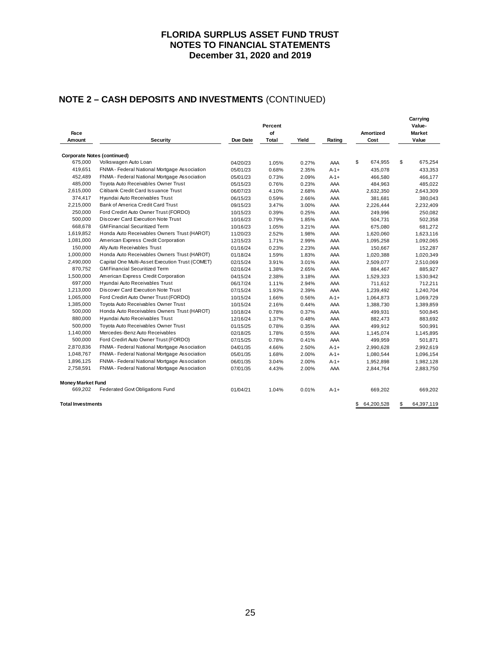# **NOTE 2 – CASH DEPOSITS AND INVESTMENTS** (CONTINUED)

| Face                     |                                                 |          | Percent<br>of |       |           | Amortized        | Carrying<br>Value-<br>Market |
|--------------------------|-------------------------------------------------|----------|---------------|-------|-----------|------------------|------------------------------|
| Amount                   | <b>Security</b>                                 | Due Date | <b>Total</b>  | Yield | Rating    | Cost             | Value                        |
|                          |                                                 |          |               |       |           |                  |                              |
|                          | <b>Corporate Notes (continued)</b>              |          |               |       |           |                  |                              |
| 675,000                  | Volkswagen Auto Loan                            | 04/20/23 | 1.05%         | 0.27% | AAA       | \$<br>674,955    | \$<br>675,254                |
| 419,651                  | FNMA - Federal National Mortgage Association    | 05/01/23 | 0.68%         | 2.35% | $A - 1 +$ | 435,078          | 433,353                      |
| 452,489                  | FNMA - Federal National Mortgage Association    | 05/01/23 | 0.73%         | 2.09% | $A - 1 +$ | 466,580          | 466,177                      |
| 485,000                  | Toyota Auto Receivables Owner Trust             | 05/15/23 | 0.76%         | 0.23% | AAA       | 484,963          | 485,022                      |
| 2,615,000                | Citibank Credit Card Issuance Trust             | 06/07/23 | 4.10%         | 2.68% | AAA       | 2,632,350        | 2,643,309                    |
| 374,417                  | Hyundai Auto Receivables Trust                  | 06/15/23 | 0.59%         | 2.66% | AAA       | 381,681          | 380,043                      |
| 2,215,000                | Bank of America Credit Card Trust               | 09/15/23 | 3.47%         | 3.00% | AAA       | 2,226,444        | 2,232,409                    |
| 250,000                  | Ford Credirt Auto Owner Trust (FORDO)           | 10/15/23 | 0.39%         | 0.25% | AAA       | 249,996          | 250,082                      |
| 500,000                  | Discover Card Execution Note Trust              | 10/16/23 | 0.79%         | 1.85% | AAA       | 504,731          | 502,358                      |
| 668,678                  | <b>GM Financial Securitized Term</b>            | 10/16/23 | 1.05%         | 3.21% | AAA       | 675,080          | 681,272                      |
| 1,619,852                | Honda Auto Receivables Owners Trust (HAROT)     | 11/20/23 | 2.52%         | 1.98% | AAA       | 1,620,060        | 1,623,116                    |
| 1,081,000                | American Express Credit Corporation             | 12/15/23 | 1.71%         | 2.99% | AAA       | 1,095,258        | 1,092,065                    |
| 150,000                  | Ally Auto Receivables Trust                     | 01/16/24 | 0.23%         | 2.23% | AAA       | 150,667          | 152,287                      |
| 1,000,000                | Honda Auto Receivables Owners Trust (HAROT)     | 01/18/24 | 1.59%         | 1.83% | AAA       | 1,020,388        | 1,020,349                    |
| 2,490,000                | Capital One Multi-Asset Execution Trust (COMET) | 02/15/24 | 3.91%         | 3.01% | AAA       | 2,509,077        | 2,510,069                    |
| 870,752                  | <b>GM Financial Securitized Term</b>            | 02/16/24 | 1.38%         | 2.65% | AAA       | 884,467          | 885,927                      |
| 1,500,000                | American Express Credit Corporation             | 04/15/24 | 2.38%         | 3.18% | AAA       | 1,529,323        | 1,530,942                    |
| 697,000                  | Hyundai Auto Receivables Trust                  | 06/17/24 | 1.11%         | 2.94% | AAA       | 711,612          | 712,211                      |
| 1,213,000                | Discover Card Execution Note Trust              | 07/15/24 | 1.93%         | 2.39% | AAA       | 1,239,492        | 1,240,704                    |
| 1,065,000                | Ford Credirt Auto Owner Trust (FORDO)           | 10/15/24 | 1.66%         | 0.56% | $A - 1 +$ | 1,064,873        | 1,069,729                    |
| 1,385,000                | Toyota Auto Receivables Owner Trust             | 10/15/24 | 2.16%         | 0.44% | AAA       | 1,388,730        | 1,389,859                    |
| 500,000                  | Honda Auto Receivables Owners Trust (HAROT)     | 10/18/24 | 0.78%         | 0.37% | AAA       | 499,931          | 500,845                      |
| 880,000                  | Hyundai Auto Receivables Trust                  | 12/16/24 | 1.37%         | 0.48% | AAA       | 882,473          | 883,692                      |
| 500,000                  | Toyota Auto Receivables Owner Trust             | 01/15/25 | 0.78%         | 0.35% | AAA       | 499,912          | 500,991                      |
| 1,140,000                | Mercedes-Benz Auto Receivables                  | 02/18/25 | 1.78%         | 0.55% | AAA       | 1,145,074        | 1,145,895                    |
| 500,000                  | Ford Credirt Auto Owner Trust (FORDO)           | 07/15/25 | 0.78%         | 0.41% | AAA       | 499,959          | 501,871                      |
| 2,870,836                | FNMA - Federal National Mortgage Association    | 04/01/35 | 4.66%         | 2.50% | $A-1+$    | 2,990,628        | 2,992,619                    |
| 1,048,767                | FNMA - Federal National Mortgage Association    | 05/01/35 | 1.68%         | 2.00% | $A - 1 +$ | 1,080,544        | 1,096,154                    |
| 1,896,125                | FNMA - Federal National Mortgage Association    | 06/01/35 | 3.04%         | 2.00% | $A - 1 +$ | 1,952,898        | 1,982,128                    |
| 2,758,591                | FNMA - Federal National Mortgage Association    | 07/01/35 | 4.43%         | 2.00% | AAA       | 2,844,764        | 2,883,750                    |
| <b>Money Market Fund</b> |                                                 |          |               |       |           |                  |                              |
| 669,202                  | Federated Govt Obligations Fund                 | 01/04/21 | 1.04%         | 0.01% | $A-1+$    | 669.202          | 669.202                      |
| <b>Total Investments</b> |                                                 |          |               |       |           | \$<br>64,200,528 | \$<br>64,397,119             |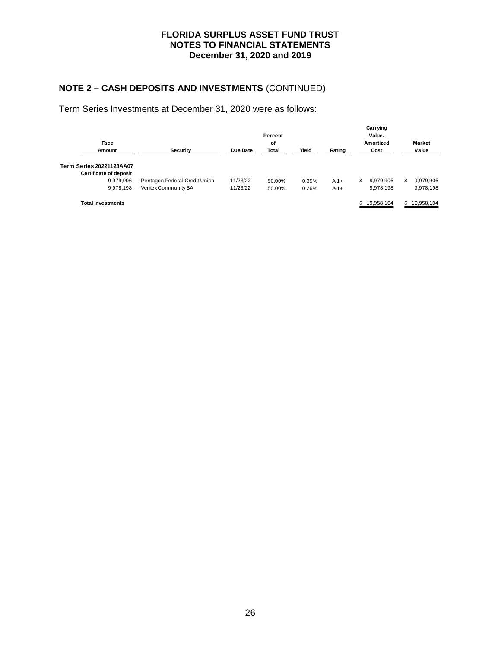# **NOTE 2 – CASH DEPOSITS AND INVESTMENTS** (CONTINUED)

Term Series Investments at December 31, 2020 were as follows:

| Face                                               |                               | Carrying<br>Value-<br>Amortized | <b>Market</b> |       |           |     |            |     |              |
|----------------------------------------------------|-------------------------------|---------------------------------|---------------|-------|-----------|-----|------------|-----|--------------|
| Amount                                             | Security                      | Due Date                        | Total         | Yield | Rating    |     | Cost       |     | Value        |
| Term Series 20221123AA07<br>Certificate of deposit |                               |                                 |               |       |           |     |            |     |              |
| 9,979,906                                          | Pentagon Federal Credit Union | 11/23/22                        | 50.00%        | 0.35% | $A - 1 +$ | \$. | 9,979,906  | \$. | 9,979,906    |
| 9.978.198                                          | Veritex Community BA          | 11/23/22                        | 50.00%        | 0.26% | $A - 1 +$ |     | 9,978,198  |     | 9,978,198    |
| <b>Total Investments</b>                           |                               |                                 |               |       |           | \$  | 19,958,104 |     | \$19,958,104 |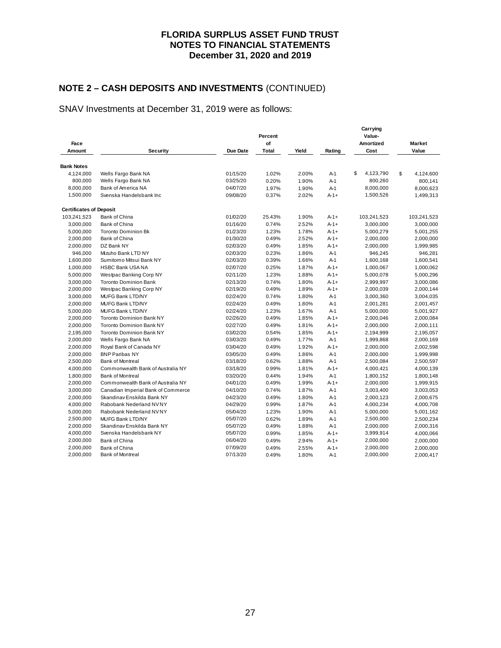# **NOTE 2 – CASH DEPOSITS AND INVESTMENTS** (CONTINUED)

## SNAV Investments at December 31, 2019 were as follows:

| Face                           |                                    |          | Percent<br>of |       |           | Carrying<br>Value-<br>Amortized | <b>Market</b>   |
|--------------------------------|------------------------------------|----------|---------------|-------|-----------|---------------------------------|-----------------|
| Amount                         | <b>Security</b>                    | Due Date | Total         | Yield | Rating    | Cost                            | Value           |
| <b>Bank Notes</b>              |                                    |          |               |       |           |                                 |                 |
| 4,124,000                      | Wells Fargo Bank NA                | 01/15/20 | 1.02%         | 2.00% | $A-1$     | \$<br>4,123,790                 | \$<br>4,124,600 |
| 800,000                        | Wells Fargo Bank NA                | 03/25/20 | 0.20%         | 1.90% | $A-1$     | 800,260                         | 800,141         |
| 8,000,000                      | Bank of America NA                 | 04/07/20 | 1.97%         | 1.90% | $A-1$     | 8,000,000                       | 8,000,623       |
| 1,500,000                      | Svenska Handelsbank Inc            | 09/08/20 | 0.37%         | 2.02% | $A - 1 +$ | 1,500,526                       | 1,499,313       |
| <b>Certificates of Deposit</b> |                                    |          |               |       |           |                                 |                 |
| 103,241,523                    | Bank of China                      | 01/02/20 | 25.43%        | 1.90% | $A-1+$    | 103,241,523                     | 103,241,523     |
| 3,000,000                      | Bank of China                      | 01/16/20 | 0.74%         | 2.52% | $A - 1 +$ | 3,000,000                       | 3,000,000       |
| 5,000,000                      | <b>Toronto Dominion Bk</b>         | 01/23/20 | 1.23%         | 1.78% | $A - 1 +$ | 5,000,279                       | 5,001,255       |
| 2,000,000                      | Bank of China                      | 01/30/20 | 0.49%         | 2.52% | $A - 1 +$ | 2,000,000                       | 2,000,000       |
| 2,000,000                      | DZ Bank NY                         | 02/03/20 | 0.49%         | 1.85% | $A-1+$    | 2,000,000                       | 1,999,985       |
| 946,000                        | Mizuho Bank LTD NY                 | 02/03/20 | 0.23%         | 1.86% | $A-1$     | 946,245                         | 946,281         |
| 1,600,000                      | Sumitomo Mitsui Bank NY            | 02/03/20 | 0.39%         | 1.66% | $A-1$     | 1,600,168                       | 1,600,541       |
| 1,000,000                      | <b>HSBC Bank USA NA</b>            | 02/07/20 | 0.25%         | 1.87% | $A - 1 +$ | 1,000,067                       | 1,000,062       |
| 5,000,000                      | Westpac Banking Corp NY            | 02/11/20 | 1.23%         | 1.88% | $A-1+$    | 5,000,078                       | 5,000,296       |
| 3,000,000                      | <b>Toronto Dominion Bank</b>       | 02/13/20 | 0.74%         | 1.80% | $A - 1 +$ | 2,999,997                       | 3,000,086       |
| 2,000,000                      | Westpac Banking Corp NY            | 02/19/20 | 0.49%         | 1.89% | $A - 1 +$ | 2,000,039                       | 2,000,144       |
| 3,000,000                      | MUFG Bank LTD/NY                   | 02/24/20 | 0.74%         | 1.80% | $A-1$     | 3,000,360                       | 3,004,035       |
| 2,000,000                      | MUFG Bank LTD/NY                   | 02/24/20 | 0.49%         | 1.80% | $A-1$     | 2,001,281                       | 2,001,457       |
| 5,000,000                      | <b>MUFG Bank LTD/NY</b>            | 02/24/20 | 1.23%         | 1.67% | $A-1$     | 5,000,000                       | 5,001,927       |
| 2,000,000                      | <b>Toronto Dominion Bank NY</b>    | 02/26/20 | 0.49%         | 1.85% | $A - 1 +$ | 2,000,046                       | 2,000,084       |
| 2,000,000                      | <b>Toronto Dominion Bank NY</b>    | 02/27/20 | 0.49%         | 1.81% | $A - 1 +$ | 2,000,000                       | 2,000,111       |
| 2,195,000                      | <b>Toronto Dominion Bank NY</b>    | 03/02/20 | 0.54%         | 1.85% | $A - 1 +$ | 2,194,999                       | 2,195,057       |
| 2,000,000                      | Wells Fargo Bank NA                | 03/03/20 | 0.49%         | 1.77% | $A-1$     | 1,999,868                       | 2,000,169       |
| 2,000,000                      | Royal Bank of Canada NY            | 03/04/20 | 0.49%         | 1.92% | $A - 1 +$ | 2,000,000                       | 2,002,598       |
| 2,000,000                      | <b>BNP Paribas NY</b>              | 03/05/20 | 0.49%         | 1.86% | $A-1$     | 2,000,000                       | 1,999,998       |
| 2,500,000                      | <b>Bank of Montreal</b>            | 03/18/20 | 0.62%         | 1.88% | $A-1$     | 2,500,084                       | 2,500,597       |
| 4,000,000                      | Commonwealth Bank of Australia NY  | 03/18/20 | 0.99%         | 1.81% | $A - 1 +$ | 4,000,421                       | 4,000,139       |
| 1,800,000                      | <b>Bank of Montreal</b>            | 03/20/20 | 0.44%         | 1.94% | $A-1$     | 1,800,152                       | 1,800,148       |
| 2,000,000                      | Commonwealth Bank of Australia NY  | 04/01/20 | 0.49%         | 1.99% | $A - 1 +$ | 2,000,000                       | 1,999,915       |
| 3,000,000                      | Canadian Imperial Bank of Commerce | 04/10/20 | 0.74%         | 1.87% | $A-1$     | 3,003,400                       | 3,003,053       |
| 2,000,000                      | Skandinav Enskilda Bank NY         | 04/23/20 | 0.49%         | 1.80% | $A-1$     | 2,000,123                       | 2,000,675       |
| 4,000,000                      | Rabobank Nederland NVNY            | 04/29/20 | 0.99%         | 1.87% | $A-1$     | 4,000,234                       | 4,000,708       |
| 5,000,000                      | Rabobank Nederland NVNY            | 05/04/20 | 1.23%         | 1.90% | $A-1$     | 5,000,000                       | 5,001,162       |
| 2,500,000                      | <b>MUFG Bank LTD/NY</b>            | 05/07/20 | 0.62%         | 1.89% | $A-1$     | 2,500,000                       | 2,500,234       |
| 2,000,000                      | Skandinav Enskilda Bank NY         | 05/07/20 | 0.49%         | 1.88% | $A-1$     | 2,000,000                       | 2,000,316       |
| 4,000,000                      | Svenska Handelsbank NY             | 05/07/20 | 0.99%         | 1.85% | $A - 1 +$ | 3,999,914                       | 4,000,066       |
| 2,000,000                      | Bank of China                      | 06/04/20 | 0.49%         | 2.94% | $A - 1 +$ | 2,000,000                       | 2,000,000       |
| 2,000,000                      | Bank of China                      | 07/09/20 | 0.49%         | 2.55% | $A - 1 +$ | 2,000,000                       | 2,000,000       |
| 2,000,000                      | <b>Bank of Montreal</b>            | 07/13/20 | 0.49%         | 1.80% | $A-1$     | 2,000,000                       | 2,000,417       |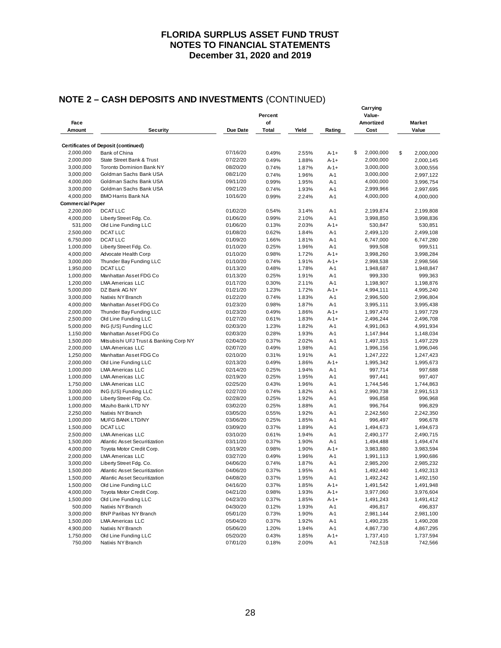# **NOTE 2 – CASH DEPOSITS AND INVESTMENTS** (CONTINUED)

| Face                    |                                            |          |       | Carrying<br>Value-<br>Amortized |           | Market          |    |           |
|-------------------------|--------------------------------------------|----------|-------|---------------------------------|-----------|-----------------|----|-----------|
| Amount                  | <b>Security</b>                            | Due Date | Total | Yield                           | Rating    | Cost            |    | Value     |
|                         | <b>Certificates of Deposit (continued)</b> |          |       |                                 |           |                 |    |           |
| 2,000,000               | Bank of China                              | 07/16/20 | 0.49% | 2.55%                           | $A - 1 +$ | \$<br>2,000,000 | \$ | 2,000,000 |
| 2,000,000               | State Street Bank & Trust                  | 07/22/20 | 0.49% | 1.88%                           | $A - 1 +$ | 2,000,000       |    | 2,000,145 |
| 3,000,000               | <b>Toronto Dominion Bank NY</b>            | 08/20/20 | 0.74% | 1.87%                           | $A - 1 +$ | 3,000,000       |    | 3,000,556 |
| 3,000,000               | Goldman Sachs Bank USA                     | 08/21/20 | 0.74% | 1.96%                           | $A-1$     | 3,000,000       |    | 2,997,122 |
| 4,000,000               | Goldman Sachs Bank USA                     | 09/11/20 | 0.99% | 1.95%                           | $A-1$     | 4,000,000       |    | 3,996,754 |
| 3,000,000               | Goldman Sachs Bank USA                     | 09/21/20 | 0.74% | 1.93%                           | $A-1$     | 2,999,966       |    | 2,997,695 |
| 4,000,000               | <b>BMO Harris Bank NA</b>                  | 10/16/20 | 0.99% | 2.24%                           | $A-1$     | 4,000,000       |    | 4,000,000 |
| <b>Commercial Paper</b> |                                            |          |       |                                 |           |                 |    |           |
| 2,200,000               | <b>DCAT LLC</b>                            | 01/02/20 | 0.54% | 3.14%                           | $A-1$     | 2,199,874       |    | 2,199,808 |
| 4,000,000               | Liberty Street Fdg. Co.                    | 01/06/20 | 0.99% | 2.10%                           | A-1       | 3,998,850       |    | 3,998,836 |
| 531,000                 | Old Line Funding LLC                       | 01/06/20 | 0.13% | 2.03%                           | $A - 1 +$ | 530,847         |    | 530,851   |
| 2,500,000               | <b>DCATLLC</b>                             | 01/08/20 | 0.62% | 1.84%                           | $A-1$     | 2,499,120       |    | 2,499,108 |
| 6,750,000               | <b>DCAT LLC</b>                            | 01/09/20 | 1.66% | 1.81%                           | $A-1$     | 6,747,000       |    | 6,747,280 |
| 1,000,000               | Liberty Street Fdg. Co.                    | 01/10/20 | 0.25% | 1.96%                           | $A-1$     | 999,508         |    | 999,511   |
| 4,000,000               | Advocate Health Corp                       | 01/10/20 | 0.98% | 1.72%                           | $A - 1 +$ | 3,998,260       |    | 3,998,284 |
| 3,000,000               | Thunder Bay Funding LLC                    | 01/10/20 | 0.74% | 1.91%                           | $A - 1 +$ | 2,998,538       |    | 2,998,566 |
| 1,950,000               | <b>DCAT LLC</b>                            | 01/13/20 | 0.48% | 1.78%                           | A-1       | 1,948,687       |    | 1,948,847 |
| 1,000,000               | Manhattan Asset FDG Co                     | 01/13/20 | 0.25% | 1.91%                           | $A-1$     | 999,330         |    | 999,363   |
| 1,200,000               | <b>LMA Americas LLC</b>                    | 01/17/20 | 0.30% | 2.11%                           | $A-1$     | 1,198,907       |    | 1,198,876 |
| 5,000,000               | DZ Bank AG NY                              | 01/21/20 | 1.23% | 1.72%                           | $A - 1 +$ | 4,994,111       |    | 4,995,240 |
| 3,000,000               | Natixis NY Branch                          | 01/22/20 | 0.74% | 1.83%                           | $A-1$     | 2,996,500       |    | 2,996,804 |
| 4,000,000               | Manhattan Asset FDG Co                     | 01/23/20 | 0.98% | 1.87%                           | $A-1$     | 3,995,111       |    | 3,995,438 |
| 2,000,000               | Thunder Bay Funding LLC                    | 01/23/20 | 0.49% | 1.86%                           | $A - 1 +$ | 1,997,470       |    | 1,997,729 |
| 2,500,000               | Old Line Funding LLC                       | 01/27/20 | 0.61% | 1.83%                           | $A - 1 +$ | 2,496,244       |    | 2,496,708 |
| 5,000,000               | ING (US) Funding LLC                       | 02/03/20 | 1.23% | 1.82%                           | A-1       | 4,991,063       |    | 4,991,934 |
| 1,150,000               | Manhattan Asset FDG Co                     | 02/03/20 | 0.28% | 1.93%                           | $A-1$     | 1,147,944       |    | 1,148,034 |
| 1,500,000               | Mitsubishi UFJ Trust & Banking Corp NY     | 02/04/20 | 0.37% | 2.02%                           | $A-1$     | 1,497,315       |    | 1,497,229 |
| 2,000,000               | <b>LMA Americas LLC</b>                    | 02/07/20 | 0.49% | 1.98%                           | $A-1$     | 1,996,156       |    | 1,996,046 |
| 1,250,000               | Manhattan Asset FDG Co                     | 02/10/20 | 0.31% | 1.91%                           | $A-1$     | 1,247,222       |    | 1,247,423 |
| 2,000,000               | Old Line Funding LLC                       | 02/13/20 | 0.49% | 1.86%                           | $A - 1 +$ | 1,995,342       |    | 1,995,673 |
| 1,000,000               | <b>LMA Americas LLC</b>                    | 02/14/20 | 0.25% | 1.94%                           | $A-1$     | 997,714         |    | 997,688   |
| 1,000,000               | <b>LMA Americas LLC</b>                    | 02/19/20 | 0.25% | 1.95%                           | $A-1$     | 997,441         |    | 997,407   |
| 1,750,000               | LMA Americas LLC                           | 02/25/20 | 0.43% | 1.96%                           | $A-1$     | 1,744,546       |    | 1,744,863 |
| 3,000,000               | ING (US) Funding LLC                       | 02/27/20 | 0.74% | 1.82%                           | $A-1$     | 2,990,738       |    | 2,991,513 |
| 1,000,000               | Liberty Street Fdg. Co.                    | 02/28/20 | 0.25% | 1.92%                           | $A-1$     | 996,858         |    | 996,968   |
| 1,000,000               | Mizuho Bank LTD NY                         | 03/02/20 | 0.25% | 1.88%                           | A-1       | 996,764         |    | 996,829   |
| 2,250,000               | Natixis NY Branch                          | 03/05/20 | 0.55% | 1.92%                           | A-1       | 2,242,560       |    | 2,242,350 |
| 1,000,000               | MUFG BANK LTD/NY                           | 03/06/20 | 0.25% | 1.85%                           | A-1       | 996,497         |    | 996,678   |
| 1,500,000               | <b>DCAT LLC</b>                            | 03/09/20 | 0.37% | 1.89%                           | $A-1$     | 1,494,673       |    | 1,494,673 |
| 2,500,000               | LMA Americas LLC                           | 03/10/20 | 0.61% | 1.94%                           | $A-1$     | 2,490,177       |    | 2,490,715 |
| 1,500,000               | Atlantic Asset Securitization              | 03/11/20 | 0.37% | 1.90%                           | $A-1$     | 1,494,488       |    | 1,494,474 |
| 4,000,000               | Toyota Motor Credit Corp.                  | 03/19/20 | 0.98% | 1.90%                           | $A - 1 +$ | 3,983,880       |    | 3,983,594 |
| 2,000,000               | <b>LMA Americas LLC</b>                    | 03/27/20 | 0.49% | 1.96%                           | A-1       | 1,991,113       |    | 1,990,686 |
| 3,000,000               | Liberty Street Fdg. Co.                    | 04/06/20 | 0.74% | 1.87%                           | A-1       | 2,985,200       |    | 2,985,232 |
| 1,500,000               | Atlantic Asset Securitization              | 04/06/20 | 0.37% | 1.95%                           | A-1       | 1,492,440       |    | 1,492,313 |
| 1,500,000               | Atlantic Asset Securitization              | 04/08/20 | 0.37% | 1.95%                           | A-1       | 1,492,242       |    | 1,492,150 |
| 1,500,000               | Old Line Funding LLC                       | 04/16/20 | 0.37% | 1.85%                           | $A - 1 +$ | 1,491,542       |    | 1,491,948 |
| 4,000,000               | Toyota Motor Credit Corp.                  | 04/21/20 | 0.98% | 1.93%                           | $A - 1 +$ | 3,977,060       |    | 3,976,604 |
| 1,500,000               | Old Line Funding LLC                       | 04/23/20 | 0.37% | 1.85%                           | $A - 1 +$ | 1,491,243       |    | 1,491,412 |
| 500,000                 | Natixis NY Branch                          | 04/30/20 | 0.12% | 1.93%                           | A-1       | 496,817         |    | 496,837   |
| 3,000,000               | <b>BNP Paribas NY Branch</b>               | 05/01/20 | 0.73% | 1.90%                           | A-1       | 2,981,144       |    | 2,981,100 |
| 1,500,000               | LMA Americas LLC                           | 05/04/20 | 0.37% | 1.92%                           | A-1       | 1,490,235       |    | 1,490,208 |
| 4,900,000               | Natixis NY Branch                          | 05/06/20 | 1.20% | 1.94%                           | A-1       | 4,867,730       |    | 4,867,295 |
| 1,750,000               | Old Line Funding LLC                       | 05/20/20 | 0.43% | 1.85%                           | $A - 1 +$ | 1,737,410       |    | 1,737,594 |
| 750,000                 | Natixis NY Branch                          | 07/01/20 | 0.18% | 2.00%                           | A-1       | 742,518         |    | 742,566   |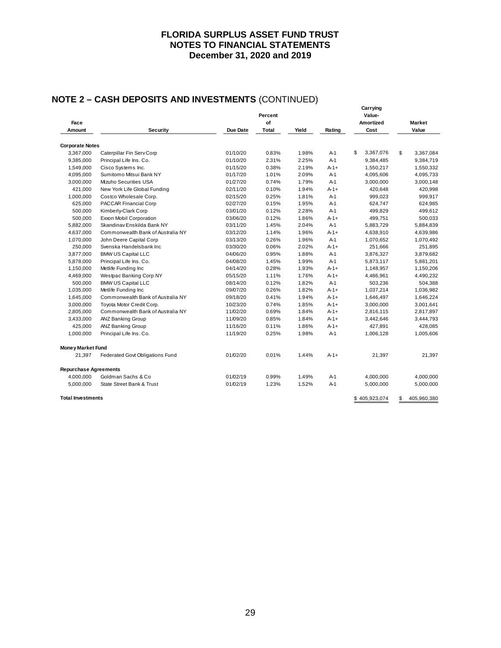# **NOTE 2 – CASH DEPOSITS AND INVESTMENTS** (CONTINUED)

|                              |                                   |          | Percent |       |           | Carrying<br>Value- |                   |
|------------------------------|-----------------------------------|----------|---------|-------|-----------|--------------------|-------------------|
| Face                         |                                   |          | of      |       |           | <b>Amortized</b>   | Market            |
| Amount                       | Security                          | Due Date | Total   | Yield | Rating    | Cost               | Value             |
| <b>Corporate Notes</b>       |                                   |          |         |       |           |                    |                   |
| 3,367,000                    | Caterpillar Fin Serv Corp         | 01/10/20 | 0.83%   | 1.98% | A-1       | \$<br>3,367,076    | \$<br>3,367,084   |
| 9,385,000                    | Principal Life Ins. Co.           | 01/10/20 | 2.31%   | 2.25% | $A-1$     | 9,384,485          | 9,384,719         |
| 1,549,000                    | Cisco Systems Inc.                | 01/15/20 | 0.38%   | 2.19% | $A-1+$    | 1,550,217          | 1,550,332         |
| 4,095,000                    | Sumitomo Mitsui Bank NY           | 01/17/20 | 1.01%   | 2.09% | $A-1$     | 4,095,606          | 4,095,733         |
| 3,000,000                    | Mizuho Securities USA             | 01/27/20 | 0.74%   | 1.79% | A-1       | 3,000,000          | 3,000,148         |
| 421,000                      | New York Life Global Funding      | 02/11/20 | 0.10%   | 1.94% | $A - 1 +$ | 420,648            | 420,998           |
| 1,000,000                    | Costco Wholesale Corp.            | 02/15/20 | 0.25%   | 1.81% | $A-1$     | 999,023            | 999,917           |
| 625,000                      | PACCAR Financial Corp             | 02/27/20 | 0.15%   | 1.95% | $A-1$     | 624,747            | 624,985           |
| 500,000                      | Kimberly-Clark Corp               | 03/01/20 | 0.12%   | 2.28% | $A-1$     | 499,829            | 499,612           |
| 500,000                      | Exxon Mobil Corporation           | 03/06/20 | 0.12%   | 1.86% | $A-1+$    | 499,751            | 500,033           |
| 5,882,000                    | Skandinav Enskilda Bank NY        | 03/11/20 | 1.45%   | 2.04% | $A-1$     | 5,883,729          | 5,884,839         |
| 4,637,000                    | Commonwealth Bank of Australia NY | 03/12/20 | 1.14%   | 1.96% | $A - 1 +$ | 4,638,910          | 4,639,986         |
| 1,070,000                    | John Deere Capital Corp           | 03/13/20 | 0.26%   | 1.96% | A-1       | 1,070,652          | 1,070,492         |
| 250,000                      | Svenska Handelsbank Inc           | 03/30/20 | 0.06%   | 2.02% | $A-1+$    | 251,666            | 251,895           |
| 3,877,000                    | <b>BMW US Capital LLC</b>         | 04/06/20 | 0.95%   | 1.88% | $A-1$     | 3,876,327          | 3,879,682         |
| 5,878,000                    | Principal Life Ins. Co.           | 04/08/20 | 1.45%   | 1.99% | $A-1$     | 5,873,117          | 5,881,201         |
| 1,150,000                    | Metlife Funding Inc               | 04/14/20 | 0.28%   | 1.93% | $A - 1 +$ | 1,148,957          | 1,150,206         |
| 4,469,000                    | Westpac Banking Corp NY           | 05/15/20 | 1.11%   | 1.76% | $A-1+$    | 4,486,961          | 4,490,232         |
| 500,000                      | <b>BMW US Capital LLC</b>         | 08/14/20 | 0.12%   | 1.82% | $A-1$     | 503,236            | 504,388           |
| 1,035,000                    | Metlife Funding Inc               | 09/07/20 | 0.26%   | 1.82% | $A - 1 +$ | 1,037,214          | 1,036,982         |
| 1,645,000                    | Commonwealth Bank of Australia NY | 09/18/20 | 0.41%   | 1.94% | $A - 1 +$ | 1,646,497          | 1,646,224         |
| 3,000,000                    | Toyota Motor Credit Corp.         | 10/23/20 | 0.74%   | 1.85% | $A-1+$    | 3,000,000          | 3,001,641         |
| 2,805,000                    | Commonwealth Bank of Australia NY | 11/02/20 | 0.69%   | 1.84% | $A-1+$    | 2,816,115          | 2,817,897         |
| 3,433,000                    | ANZ Banking Group                 | 11/09/20 | 0.85%   | 1.84% | $A - 1 +$ | 3,442,646          | 3,444,793         |
| 425,000                      | ANZ Banking Group                 | 11/16/20 | 0.11%   | 1.86% | $A - 1 +$ | 427,891            | 428,085           |
| 1,000,000                    | Principal Life Ins. Co.           | 11/19/20 | 0.25%   | 1.98% | $A-1$     | 1,006,128          | 1,005,606         |
| <b>Money Market Fund</b>     |                                   |          |         |       |           |                    |                   |
| 21,397                       | Federated Govt Obligations Fund   | 01/02/20 | 0.01%   | 1.44% | $A - 1 +$ | 21,397             | 21,397            |
| <b>Repurchase Agreements</b> |                                   |          |         |       |           |                    |                   |
| 4,000,000                    | Goldman Sachs & Co.               | 01/02/19 | 0.99%   | 1.49% | $A-1$     | 4,000,000          | 4,000,000         |
| 5,000,000                    | State Street Bank & Trust         | 01/02/19 | 1.23%   | 1.52% | $A-1$     | 5,000,000          | 5,000,000         |
| <b>Total Investments</b>     |                                   |          |         |       |           | \$405,923,074      | \$<br>405,960,380 |

29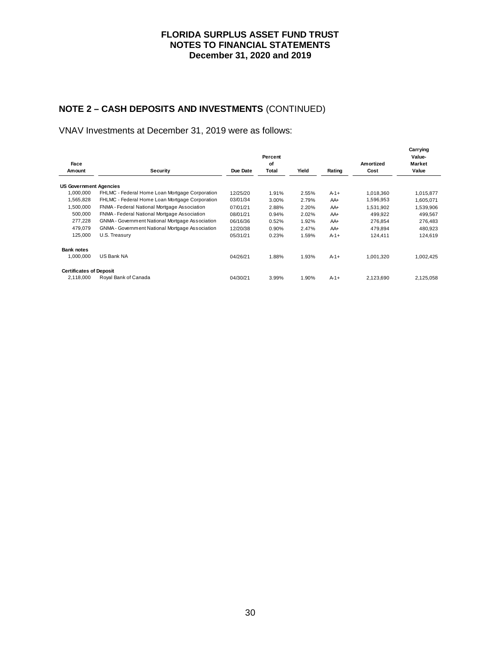# **NOTE 2 – CASH DEPOSITS AND INVESTMENTS** (CONTINUED)

VNAV Investments at December 31, 2019 were as follows:

|                                |                                                 |          | Percent |         |           |           | Carrying<br>Value- |
|--------------------------------|-------------------------------------------------|----------|---------|---------|-----------|-----------|--------------------|
| Face                           |                                                 |          | of      |         |           | Amortized | <b>Market</b>      |
| Amount                         | Security                                        | Due Date | Total   | Yield   | Rating    | Cost      | Value              |
| <b>US Government Agencies</b>  |                                                 |          |         |         |           |           |                    |
| 1,000,000                      | FHLMC - Federal Home Loan Mortgage Corporation  | 12/25/20 | 1.91%   | 2.55%   | $A - 1 +$ | 1,018,360 | 1,015,877          |
| 1,565,828                      | FHLMC - Federal Home Loan Mortgage Corporation  | 03/01/34 | 3.00%   | 2.79%   | $AA+$     | 1,596,953 | 1,605,071          |
| 1,500,000                      | FNMA - Federal National Mortgage Association    | 07/01/21 | 2.88%   | 2.20%   | $AA+$     | 1.531.902 | 1,539,906          |
| 500,000                        | FNMA - Federal National Mortgage Association    | 08/01/21 | 0.94%   | 2.02%   | AA+       | 499,922   | 499,567            |
| 277,228                        | GNMA - Government National Mortgage Association | 06/16/36 | 0.52%   | 1.92%   | AA+       | 276,854   | 276,483            |
| 479,079                        | GNMA - Government National Mortgage Association | 12/20/38 | 0.90%   | 2.47%   | AA+       | 479,894   | 480,923            |
| 125,000                        | U.S. Treasury                                   | 05/31/21 | 0.23%   | 1.59%   | $A-1+$    | 124.411   | 124,619            |
| <b>Bank notes</b>              |                                                 |          |         |         |           |           |                    |
| 1,000,000                      | US Bank NA                                      | 04/26/21 | 1.88%   | 1.93%   | $A-1+$    | 1,001,320 | 1,002,425          |
| <b>Certificates of Deposit</b> |                                                 |          |         |         |           |           |                    |
| 2.118.000                      | Royal Bank of Canada                            | 04/30/21 | 3.99%   | $.90\%$ | $A - 1 +$ | 2,123,690 | 2,125,058          |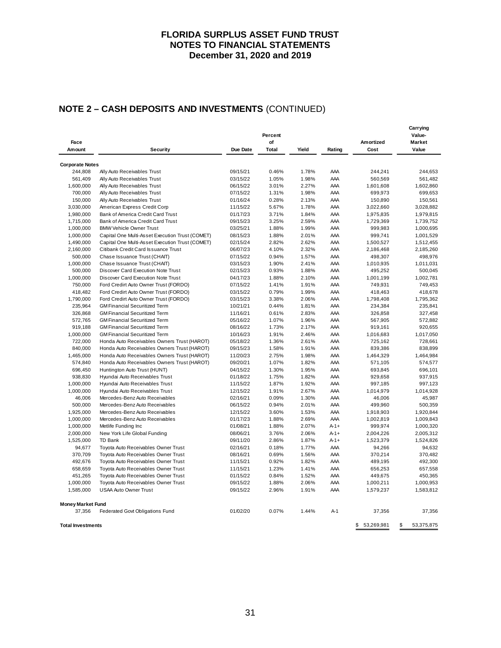# **NOTE 2 – CASH DEPOSITS AND INVESTMENTS** (CONTINUED)

| Face                     |                                                 |          | Percent<br>of |       |        | Amortized        | Carrying<br>Value-<br>Market |
|--------------------------|-------------------------------------------------|----------|---------------|-------|--------|------------------|------------------------------|
| Amount                   | Security                                        | Due Date | <b>Total</b>  | Yield | Rating | Cost             | Value                        |
| <b>Corporate Notes</b>   |                                                 |          |               |       |        |                  |                              |
| 244,808                  | Ally Auto Receivables Trust                     | 09/15/21 | 0.46%         | 1.78% | AAA    | 244,241          | 244,653                      |
| 561,409                  | Ally Auto Receivables Trust                     | 03/15/22 | 1.05%         | 1.98% | AAA    | 560,569          | 561,482                      |
| 1,600,000                | Ally Auto Receivables Trust                     | 06/15/22 | 3.01%         | 2.27% | AAA    | 1,601,608        | 1,602,860                    |
| 700,000                  | Ally Auto Receivables Trust                     | 07/15/22 | 1.31%         | 1.98% | AAA    | 699,973          | 699,653                      |
| 150,000                  | Ally Auto Receivables Trust                     | 01/16/24 | 0.28%         | 2.13% | AAA    | 150,890          | 150,561                      |
| 3,030,000                | American Express Credit Corp                    | 11/15/22 | 5.67%         | 1.78% | AAA    | 3,022,660        | 3,028,882                    |
| 1,980,000                | Bank of America Credit Card Trust               | 01/17/23 | 3.71%         | 1.84% | AAA    | 1,975,835        | 1,979,815                    |
| 1,715,000                | Bank of America Credit Card Trust               | 09/15/23 | 3.25%         | 2.59% | AAA    | 1,729,369        | 1,739,752                    |
| 1,000,000                | <b>BMW Vehicle Owner Trust</b>                  | 03/25/21 | 1.88%         | 1.99% | AAA    | 999,983          | 1,000,695                    |
| 1,000,000                | Capital One Multi-Asset Execution Trust (COMET) | 08/15/23 | 1.88%         | 2.01% | AAA    | 999,741          | 1,001,529                    |
| 1,490,000                | Capital One Multi-Asset Execution Trust (COMET) | 02/15/24 | 2.82%         | 2.62% | AAA    | 1,500,527        | 1,512,455                    |
| 2,160,000                | Citibank Credit Card Issuance Trust             | 06/07/23 | 4.10%         | 2.32% | AAA    | 2,186,468        | 2,185,260                    |
| 500,000                  | Chase Issuance Trust (CHAIT)                    | 07/15/22 | 0.94%         | 1.57% | AAA    | 498,307          | 498,976                      |
| 1,000,000                | Chase Issuance Trust (CHAIT)                    | 03/15/23 | 1.90%         | 2.41% | AAA    | 1,010,935        | 1,011,031                    |
| 500,000                  | Discover Card Execution Note Trust              | 02/15/23 | 0.93%         | 1.88% | AAA    | 495,252          | 500,045                      |
| 1,000,000                | Discover Card Execution Note Trust              | 04/17/23 | 1.88%         | 2.10% | AAA    | 1,001,199        | 1,002,781                    |
| 750,000                  | Ford Credirt Auto Owner Trust (FORDO)           | 07/15/22 | 1.41%         | 1.91% | AAA    | 749,931          | 749,453                      |
| 418,482                  | Ford Credirt Auto Owner Trust (FORDO)           | 03/15/22 | 0.79%         | 1.99% | AAA    | 418,463          | 418,678                      |
| 1,790,000                | Ford Credirt Auto Owner Trust (FORDO)           | 03/15/23 | 3.38%         | 2.06% | AAA    | 1,798,408        | 1,795,362                    |
| 235,964                  | <b>GM Financial Securitized Term</b>            | 10/21/21 | 0.44%         | 1.81% | AAA    | 234,384          | 235,841                      |
| 326,868                  | <b>GM Financial Securitized Term</b>            | 11/16/21 | 0.61%         | 2.83% | AAA    | 326,858          | 327,458                      |
| 572,765                  | <b>GM Financial Securitized Term</b>            | 05/16/22 | 1.07%         | 1.96% | AAA    | 567,905          | 572,882                      |
| 919,188                  | <b>GM Financial Securitized Term</b>            | 08/16/22 | 1.73%         | 2.17% | AAA    | 919,161          | 920,655                      |
| 1,000,000                | <b>GM Financial Securitized Term</b>            | 10/16/23 | 1.91%         | 2.46% | AAA    | 1,016,683        | 1,017,050                    |
| 722,000                  | Honda Auto Receivables Owners Trust (HAROT)     | 05/18/22 | 1.36%         | 2.61% | AAA    | 725,162          | 728,661                      |
| 840,000                  | Honda Auto Receivables Owners Trust (HAROT)     | 09/15/23 | 1.58%         | 1.91% | AAA    | 839,386          | 838,899                      |
| 1,465,000                | Honda Auto Receivables Owners Trust (HAROT)     | 11/20/23 | 2.75%         | 1.98% | AAA    | 1,464,329        | 1,464,984                    |
| 574,840                  | Honda Auto Receivables Owners Trust (HAROT)     | 09/20/21 | 1.07%         | 1.82% | AAA    | 571,105          | 574,577                      |
| 696,450                  | Huntington Auto Trust (HUNT)                    | 04/15/22 | 1.30%         | 1.95% | AAA    | 693,845          | 696,101                      |
| 938,830                  | Hyundai Auto Receivables Trust                  | 01/18/22 | 1.75%         | 1.82% | AAA    | 929,658          | 937,915                      |
| 1,000,000                | Hyundai Auto Receivables Trust                  | 11/15/22 | 1.87%         | 1.92% | AAA    | 997,185          | 997,123                      |
| 1,000,000                | Hyundai Auto Receivables Trust                  | 12/15/22 | 1.91%         | 2.67% | AAA    | 1,014,979        | 1,014,928                    |
| 46,006                   | Mercedes-Benz Auto Receivables                  | 02/16/21 | 0.09%         | 1.30% | AAA    | 46,006           | 45,987                       |
| 500,000                  | Mercedes-Benz Auto Receivables                  | 06/15/22 | 0.94%         | 2.01% | AAA    | 499,960          | 500,359                      |
| 1,925,000                | Mercedes-Benz Auto Receivables                  | 12/15/22 | 3.60%         | 1.53% | AAA    | 1,918,903        | 1,920,844                    |
| 1,000,000                | Mercedes-Benz Auto Receivables                  | 01/17/23 | 1.88%         | 2.69% | AAA    | 1,002,819        | 1,009,843                    |
| 1,000,000                | Metlife Funding Inc                             | 01/08/21 | 1.88%         | 2.07% | $A-1+$ | 999,974          | 1,000,320                    |
| 2,000,000                | New York Life Global Funding                    | 08/06/21 | 3.76%         | 2.06% | $A-1+$ | 2,004,226        | 2,005,312                    |
| 1,525,000                | TD Bank                                         | 09/11/20 | 2.86%         | 1.87% | $A-1+$ | 1,523,379        | 1,524,826                    |
| 94,677                   | Toyota Auto Receivables Owner Trust             | 02/16/21 | 0.18%         | 1.77% | AAA    | 94,266           | 94,632                       |
| 370,709                  | Toyota Auto Receivables Owner Trust             | 08/16/21 | 0.69%         | 1.56% | AAA    | 370,214          | 370,482                      |
| 492,676                  | Toyota Auto Receivables Owner Trust             | 11/15/21 | 0.92%         | 1.82% | AAA    | 489,195          | 492,300                      |
| 658,659                  | Toyota Auto Receivables Owner Trust             | 11/15/21 | 1.23%         | 1.41% | AAA    | 656,253          | 657,558                      |
| 451,265                  | Toyota Auto Receivables Owner Trust             | 01/15/22 | 0.84%         | 1.52% | AAA    | 449,675          | 450,365                      |
| 1,000,000                | Toyota Auto Receivables Owner Trust             | 09/15/22 | 1.88%         | 2.06% | AAA    | 1,000,211        | 1,000,953                    |
| 1,585,000                | <b>USAA Auto Owner Trust</b>                    | 09/15/22 | 2.96%         | 1.91% | AAA    | 1,579,237        | 1,583,812                    |
| <b>Money Market Fund</b> |                                                 |          |               |       |        |                  |                              |
| 37,356                   | Federated Govt Obligations Fund                 | 01/02/20 | 0.07%         | 1.44% | $A-1$  | 37,356           | 37,356                       |
| <b>Total Investments</b> |                                                 |          |               |       |        | \$<br>53,269,981 | \$<br>53,375,875             |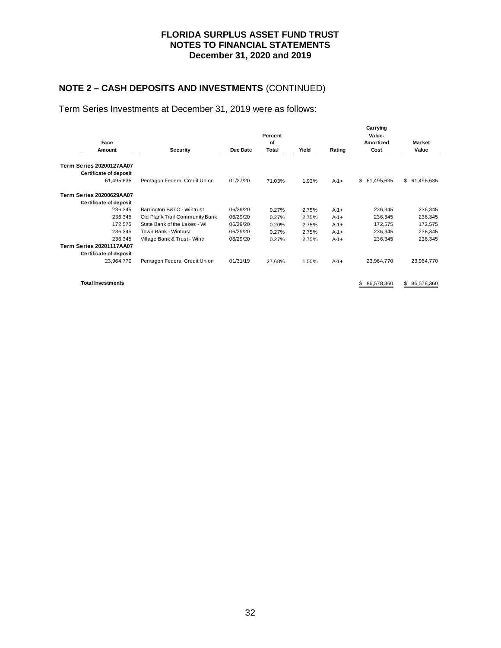# **NOTE 2 – CASH DEPOSITS AND INVESTMENTS** (CONTINUED)

Term Series Investments at December 31, 2019 were as follows:

|                                 |                                |          |        |       |        | Carrying         |               |  |
|---------------------------------|--------------------------------|----------|--------|-------|--------|------------------|---------------|--|
|                                 |                                | Percent  |        |       |        | Value-           |               |  |
| Face                            |                                | οf       |        |       |        | Amortized        | <b>Market</b> |  |
| Amount                          | Security                       | Due Date | Total  | Yield | Rating | Cost             | Value         |  |
| <b>Term Series 20200127AA07</b> |                                |          |        |       |        |                  |               |  |
| Certificate of deposit          |                                |          |        |       |        |                  |               |  |
| 61,495,635                      | Pentagon Federal Credit Union  | 01/27/20 | 71.03% | 1.93% | $A-1+$ | \$<br>61,495,635 | \$ 61,495,635 |  |
| <b>Term Series 20200629AA07</b> |                                |          |        |       |        |                  |               |  |
| Certificate of deposit          |                                |          |        |       |        |                  |               |  |
| 236,345                         | Barrington B&TC - Wintrust     | 06/29/20 | 0.27%  | 2.75% | $A-1+$ | 236,345          | 236,345       |  |
| 236,345                         | Old Plank Trail Community Bank | 06/29/20 | 0.27%  | 2.75% | $A-1+$ | 236,345          | 236,345       |  |
| 172,575                         | State Bank of the Lakes - WI   | 06/29/20 | 0.20%  | 2.75% | $A-1+$ | 172,575          | 172,575       |  |
| 236,345                         | Town Bank - Wintrust           | 06/29/20 | 0.27%  | 2.75% | $A-1+$ | 236,345          | 236,345       |  |
| 236.345                         | Village Bank & Trust - Wintr   | 06/29/20 | 0.27%  | 2.75% | $A-1+$ | 236,345          | 236,345       |  |
| <b>Term Series 20201117AA07</b> |                                |          |        |       |        |                  |               |  |
| Certificate of deposit          |                                |          |        |       |        |                  |               |  |
| 23,964,770                      | Pentagon Federal Credit Union  | 01/31/19 | 27.68% | 1.50% | $A-1+$ | 23,964,770       | 23,964,770    |  |
|                                 |                                |          |        |       |        |                  |               |  |

**Total Investments** 86,578,360 578,360 578,360 578,360 578,360 578,360 578,360 578,360 578,360 578,360 578,360 578,360 578,360 578,360 578,360 578,360 578,360 578,360 578,360 578,360 578,360 578,360 578,360 578,360 578,360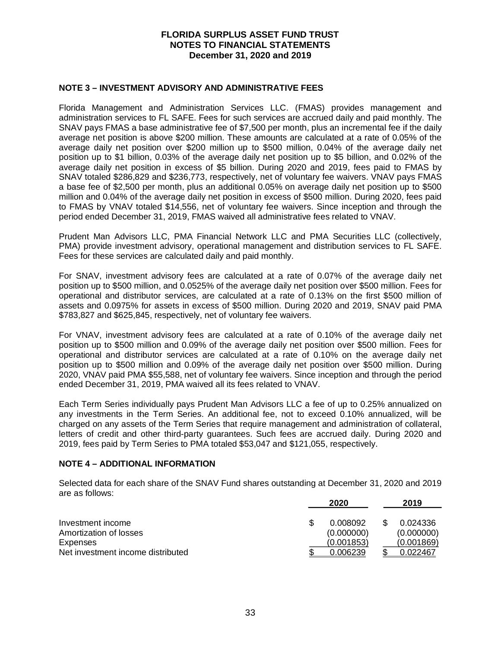#### **NOTE 3 – INVESTMENT ADVISORY AND ADMINISTRATIVE FEES**

Florida Management and Administration Services LLC. (FMAS) provides management and administration services to FL SAFE. Fees for such services are accrued daily and paid monthly. The SNAV pays FMAS a base administrative fee of \$7,500 per month, plus an incremental fee if the daily average net position is above \$200 million. These amounts are calculated at a rate of 0.05% of the average daily net position over \$200 million up to \$500 million, 0.04% of the average daily net position up to \$1 billion, 0.03% of the average daily net position up to \$5 billion, and 0.02% of the average daily net position in excess of \$5 billion. During 2020 and 2019, fees paid to FMAS by SNAV totaled \$286,829 and \$236,773, respectively, net of voluntary fee waivers. VNAV pays FMAS a base fee of \$2,500 per month, plus an additional 0.05% on average daily net position up to \$500 million and 0.04% of the average daily net position in excess of \$500 million. During 2020, fees paid to FMAS by VNAV totaled \$14,556, net of voluntary fee waivers. Since inception and through the period ended December 31, 2019, FMAS waived all administrative fees related to VNAV.

Prudent Man Advisors LLC, PMA Financial Network LLC and PMA Securities LLC (collectively, PMA) provide investment advisory, operational management and distribution services to FL SAFE. Fees for these services are calculated daily and paid monthly.

For SNAV, investment advisory fees are calculated at a rate of 0.07% of the average daily net position up to \$500 million, and 0.0525% of the average daily net position over \$500 million. Fees for operational and distributor services, are calculated at a rate of 0.13% on the first \$500 million of assets and 0.0975% for assets in excess of \$500 million. During 2020 and 2019, SNAV paid PMA \$783,827 and \$625,845, respectively, net of voluntary fee waivers.

For VNAV, investment advisory fees are calculated at a rate of 0.10% of the average daily net position up to \$500 million and 0.09% of the average daily net position over \$500 million. Fees for operational and distributor services are calculated at a rate of 0.10% on the average daily net position up to \$500 million and 0.09% of the average daily net position over \$500 million. During 2020, VNAV paid PMA \$55,588, net of voluntary fee waivers. Since inception and through the period ended December 31, 2019, PMA waived all its fees related to VNAV.

Each Term Series individually pays Prudent Man Advisors LLC a fee of up to 0.25% annualized on any investments in the Term Series. An additional fee, not to exceed 0.10% annualized, will be charged on any assets of the Term Series that require management and administration of collateral, letters of credit and other third-party guarantees. Such fees are accrued daily. During 2020 and 2019, fees paid by Term Series to PMA totaled \$53,047 and \$121,055, respectively.

#### **NOTE 4 – ADDITIONAL INFORMATION**

Selected data for each share of the SNAV Fund shares outstanding at December 31, 2020 and 2019 are as follows:

|                                   | 2020       | 2019       |
|-----------------------------------|------------|------------|
| Investment income                 | 0.008092   | 0.024336   |
| Amortization of losses            | (0.000000) | (0.000000) |
| Expenses                          | (0.001853) | (0.001869) |
| Net investment income distributed | 0.006239   | 0.022467   |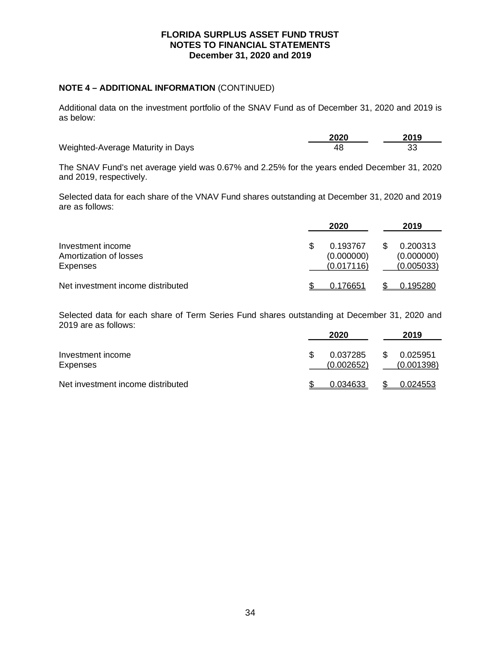### **NOTE 4 – ADDITIONAL INFORMATION** (CONTINUED)

Additional data on the investment portfolio of the SNAV Fund as of December 31, 2020 and 2019 is as below:

|                                   | 2020 | 2019 |
|-----------------------------------|------|------|
| Weighted-Average Maturity in Days | 4۶   |      |

The SNAV Fund's net average yield was 0.67% and 2.25% for the years ended December 31, 2020 and 2019, respectively.

Selected data for each share of the VNAV Fund shares outstanding at December 31, 2020 and 2019 are as follows:

|                                                         | 2020                                 | 2019                                 |
|---------------------------------------------------------|--------------------------------------|--------------------------------------|
| Investment income<br>Amortization of losses<br>Expenses | 0.193767<br>(0.000000)<br>(0.017116) | 0.200313<br>(0.000000)<br>(0.005033) |
| Net investment income distributed                       | 0.176651                             | 0.195280                             |

Selected data for each share of Term Series Fund shares outstanding at December 31, 2020 and 2019 are as follows:

|                                   | 2020                   | 2019                   |
|-----------------------------------|------------------------|------------------------|
| Investment income<br>Expenses     | 0.037285<br>(0.002652) | 0.025951<br>(0.001398) |
| Net investment income distributed | 0.034633               | 0.024553               |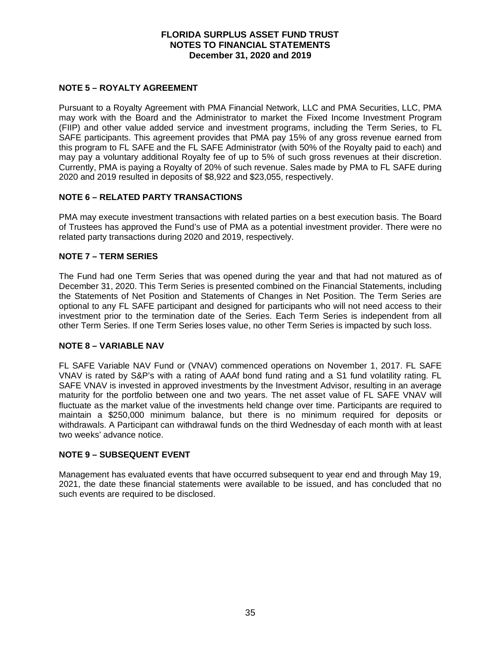### **NOTE 5 – ROYALTY AGREEMENT**

Pursuant to a Royalty Agreement with PMA Financial Network, LLC and PMA Securities, LLC, PMA may work with the Board and the Administrator to market the Fixed Income Investment Program (FIIP) and other value added service and investment programs, including the Term Series, to FL SAFE participants. This agreement provides that PMA pay 15% of any gross revenue earned from this program to FL SAFE and the FL SAFE Administrator (with 50% of the Royalty paid to each) and may pay a voluntary additional Royalty fee of up to 5% of such gross revenues at their discretion. Currently, PMA is paying a Royalty of 20% of such revenue. Sales made by PMA to FL SAFE during 2020 and 2019 resulted in deposits of \$8,922 and \$23,055, respectively.

### **NOTE 6 – RELATED PARTY TRANSACTIONS**

PMA may execute investment transactions with related parties on a best execution basis. The Board of Trustees has approved the Fund's use of PMA as a potential investment provider. There were no related party transactions during 2020 and 2019, respectively.

### **NOTE 7 – TERM SERIES**

The Fund had one Term Series that was opened during the year and that had not matured as of December 31, 2020. This Term Series is presented combined on the Financial Statements, including the Statements of Net Position and Statements of Changes in Net Position. The Term Series are optional to any FL SAFE participant and designed for participants who will not need access to their investment prior to the termination date of the Series. Each Term Series is independent from all other Term Series. If one Term Series loses value, no other Term Series is impacted by such loss.

#### **NOTE 8 – VARIABLE NAV**

FL SAFE Variable NAV Fund or (VNAV) commenced operations on November 1, 2017. FL SAFE VNAV is rated by S&P's with a rating of AAAf bond fund rating and a S1 fund volatility rating. FL SAFE VNAV is invested in approved investments by the Investment Advisor, resulting in an average maturity for the portfolio between one and two years. The net asset value of FL SAFE VNAV will fluctuate as the market value of the investments held change over time. Participants are required to maintain a \$250,000 minimum balance, but there is no minimum required for deposits or withdrawals. A Participant can withdrawal funds on the third Wednesday of each month with at least two weeks' advance notice.

#### **NOTE 9 – SUBSEQUENT EVENT**

Management has evaluated events that have occurred subsequent to year end and through May 19, 2021, the date these financial statements were available to be issued, and has concluded that no such events are required to be disclosed.